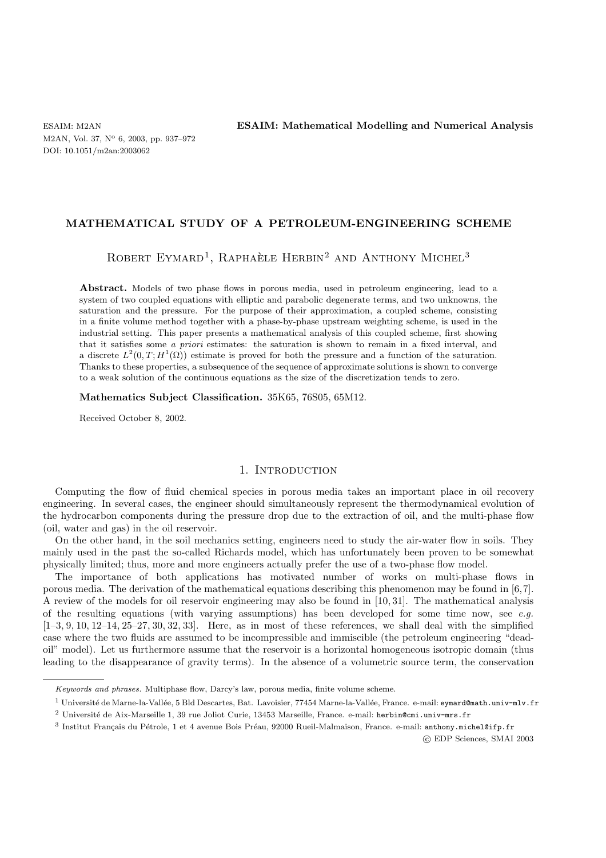M2AN, Vol. 37, N° 6, 2003, pp. 937-972 DOI: 10.1051/m2an:2003062

ESAIM: M2AN **ESAIM: Mathematical Modelling and Numerical Analysis**

## **MATHEMATICAL STUDY OF A PETROLEUM-ENGINEERING SCHEME**

ROBERT EYMARD<sup>1</sup>, RAPHAÈLE HERBIN<sup>2</sup> AND ANTHONY MICHEL<sup>3</sup>

Abstract. Models of two phase flows in porous media, used in petroleum engineering, lead to a system of two coupled equations with elliptic and parabolic degenerate terms, and two unknowns, the saturation and the pressure. For the purpose of their approximation, a coupled scheme, consisting in a finite volume method together with a phase-by-phase upstream weighting scheme, is used in the industrial setting. This paper presents a mathematical analysis of this coupled scheme, first showing that it satisfies some a priori estimates: the saturation is shown to remain in a fixed interval, and a discrete  $L^2(0,T;H^1(\Omega))$  estimate is proved for both the pressure and a function of the saturation. Thanks to these properties, a subsequence of the sequence of approximate solutions is shown to converge to a weak solution of the continuous equations as the size of the discretization tends to zero.

### **Mathematics Subject Classification.** 35K65, 76S05, 65M12.

Received October 8, 2002.

## 1. INTRODUCTION

Computing the flow of fluid chemical species in porous media takes an important place in oil recovery engineering. In several cases, the engineer should simultaneously represent the thermodynamical evolution of the hydrocarbon components during the pressure drop due to the extraction of oil, and the multi-phase flow (oil, water and gas) in the oil reservoir.

On the other hand, in the soil mechanics setting, engineers need to study the air-water flow in soils. They mainly used in the past the so-called Richards model, which has unfortunately been proven to be somewhat physically limited; thus, more and more engineers actually prefer the use of a two-phase flow model.

The importance of both applications has motivated number of works on multi-phase flows in porous media. The derivation of the mathematical equations describing this phenomenon may be found in [6,7]. A review of the models for oil reservoir engineering may also be found in [10, 31]. The mathematical analysis of the resulting equations (with varying assumptions) has been developed for some time now, see *e.g.*  $[1-3, 9, 10, 12-14, 25-27, 30, 32, 33]$ . Here, as in most of these references, we shall deal with the simplified case where the two fluids are assumed to be incompressible and immiscible (the petroleum engineering "deadoil" model). Let us furthermore assume that the reservoir is a horizontal homogeneous isotropic domain (thus leading to the disappearance of gravity terms). In the absence of a volumetric source term, the conservation

c EDP Sciences, SMAI 2003

Keywords and phrases. Multiphase flow, Darcy's law, porous media, finite volume scheme.

<sup>&</sup>lt;sup>1</sup> Université de Marne-la-Vallée, 5 Bld Descartes, Bat. Lavoisier, 77454 Marne-la-Vallée, France. e-mail: eymard@math.univ-mlv.fr

<sup>&</sup>lt;sup>2</sup> Université de Aix-Marseille 1, 39 rue Joliot Curie, 13453 Marseille, France. e-mail: herbin@cmi.univ-mrs.fr

 $3$  Institut Français du Pétrole, 1 et 4 avenue Bois Préau, 92000 Rueil-Malmaison, France. e-mail: anthony.michel@ifp.fr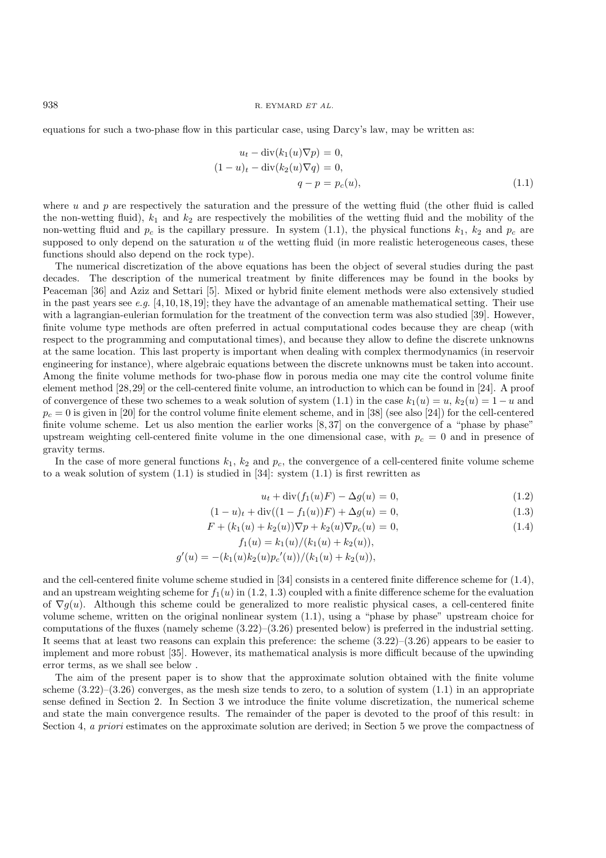equations for such a two-phase flow in this particular case, using Darcy's law, may be written as:

$$
u_t - \operatorname{div}(k_1(u)\nabla p) = 0,
$$
  
\n
$$
(1-u)_t - \operatorname{div}(k_2(u)\nabla q) = 0,
$$
  
\n
$$
q - p = p_c(u),
$$
\n(1.1)

where u and p are respectively the saturation and the pressure of the wetting fluid (the other fluid is called the non-wetting fluid),  $k_1$  and  $k_2$  are respectively the mobilities of the wetting fluid and the mobility of the non-wetting fluid and  $p_c$  is the capillary pressure. In system (1.1), the physical functions  $k_1$ ,  $k_2$  and  $p_c$  are supposed to only depend on the saturation  $u$  of the wetting fluid (in more realistic heterogeneous cases, these functions should also depend on the rock type).

The numerical discretization of the above equations has been the object of several studies during the past decades. The description of the numerical treatment by finite differences may be found in the books by Peaceman [36] and Aziz and Settari [5]. Mixed or hybrid finite element methods were also extensively studied in the past years see *e.g.* [4,10,18,19]; they have the advantage of an amenable mathematical setting. Their use with a lagrangian-eulerian formulation for the treatment of the convection term was also studied [39]. However, finite volume type methods are often preferred in actual computational codes because they are cheap (with respect to the programming and computational times), and because they allow to define the discrete unknowns at the same location. This last property is important when dealing with complex thermodynamics (in reservoir engineering for instance), where algebraic equations between the discrete unknowns must be taken into account. Among the finite volume methods for two-phase flow in porous media one may cite the control volume finite element method [28,29] or the cell-centered finite volume, an introduction to which can be found in [24]. A proof of convergence of these two schemes to a weak solution of system (1.1) in the case  $k_1(u) = u$ ,  $k_2(u) = 1 - u$  and  $p_c = 0$  is given in [20] for the control volume finite element scheme, and in [38] (see also [24]) for the cell-centered finite volume scheme. Let us also mention the earlier works  $[8,37]$  on the convergence of a "phase by phase" upstream weighting cell-centered finite volume in the one dimensional case, with  $p_c = 0$  and in presence of gravity terms.

In the case of more general functions  $k_1$ ,  $k_2$  and  $p_c$ , the convergence of a cell-centered finite volume scheme to a weak solution of system  $(1.1)$  is studied in  $[34]$ : system  $(1.1)$  is first rewritten as

$$
u_t + \text{div}(f_1(u)F) - \Delta g(u) = 0,
$$
\n(1.2)

$$
(1 - u)_t + \operatorname{div}((1 - f_1(u))F) + \Delta g(u) = 0,
$$
\n(1.3)

$$
F + (k_1(u) + k_2(u))\nabla p + k_2(u)\nabla p_c(u) = 0,
$$
\n(1.4)

$$
f_1(u) = k_1(u)/(k_1(u) + k_2(u)),
$$
  

$$
g'(u) = -(k_1(u)k_2(u)p_c'(u))/(k_1(u) + k_2(u)),
$$

and the cell-centered finite volume scheme studied in [34] consists in a centered finite difference scheme for (1.4), and an upstream weighting scheme for  $f_1(u)$  in (1.2, 1.3) coupled with a finite difference scheme for the evaluation of  $\nabla g(u)$ . Although this scheme could be generalized to more realistic physical cases, a cell-centered finite volume scheme, written on the original nonlinear system (1.1), using a "phase by phase" upstream choice for computations of the fluxes (namely scheme  $(3.22)$ – $(3.26)$  presented below) is preferred in the industrial setting. It seems that at least two reasons can explain this preference: the scheme  $(3.22)$ – $(3.26)$  appears to be easier to implement and more robust [35]. However, its mathematical analysis is more difficult because of the upwinding error terms, as we shall see below .

The aim of the present paper is to show that the approximate solution obtained with the finite volume scheme  $(3.22)$ – $(3.26)$  converges, as the mesh size tends to zero, to a solution of system  $(1.1)$  in an appropriate sense defined in Section 2. In Section 3 we introduce the finite volume discretization, the numerical scheme and state the main convergence results. The remainder of the paper is devoted to the proof of this result: in Section 4, *a priori* estimates on the approximate solution are derived; in Section 5 we prove the compactness of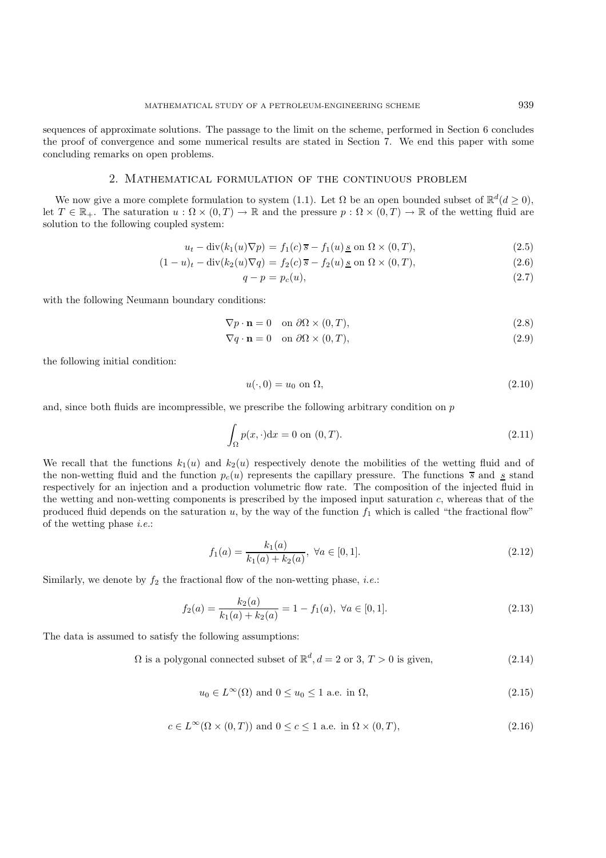sequences of approximate solutions. The passage to the limit on the scheme, performed in Section 6 concludes the proof of convergence and some numerical results are stated in Section 7. We end this paper with some concluding remarks on open problems.

## 2. Mathematical formulation of the continuous problem

We now give a more complete formulation to system (1.1). Let  $\Omega$  be an open bounded subset of  $\mathbb{R}^d(d \geq 0)$ , let  $T \in \mathbb{R}_+$ . The saturation  $u : \Omega \times (0,T) \to \mathbb{R}$  and the pressure  $p : \Omega \times (0,T) \to \mathbb{R}$  of the wetting fluid are solution to the following coupled system:

$$
u_t - \operatorname{div}(k_1(u)\nabla p) = f_1(c)\overline{s} - f_1(u)\underline{s} \text{ on } \Omega \times (0,T), \tag{2.5}
$$

$$
(1-u)_t - \operatorname{div}(k_2(u)\nabla q) = f_2(c)\overline{s} - f_2(u)\underline{s} \text{ on } \Omega \times (0,T), \qquad (2.6)
$$

$$
q - p = p_c(u),\tag{2.7}
$$

with the following Neumann boundary conditions:

$$
\nabla p \cdot \mathbf{n} = 0 \quad \text{on } \partial \Omega \times (0, T), \tag{2.8}
$$

$$
\nabla q \cdot \mathbf{n} = 0 \quad \text{on } \partial\Omega \times (0, T), \tag{2.9}
$$

the following initial condition:

$$
u(\cdot,0) = u_0 \text{ on } \Omega,\tag{2.10}
$$

and, since both fluids are incompressible, we prescribe the following arbitrary condition on  $p$ 

$$
\int_{\Omega} p(x, \cdot) \mathrm{d}x = 0 \text{ on } (0, T). \tag{2.11}
$$

We recall that the functions  $k_1(u)$  and  $k_2(u)$  respectively denote the mobilities of the wetting fluid and of the non-wetting fluid and the function  $p_c(u)$  represents the capillary pressure. The functions  $\overline{s}$  and  $\overline{s}$  stand respectively for an injection and a production volumetric flow rate. The composition of the injected fluid in the wetting and non-wetting components is prescribed by the imposed input saturation c, whereas that of the produced fluid depends on the saturation  $u$ , by the way of the function  $f_1$  which is called "the fractional flow" of the wetting phase *i.e.*:

$$
f_1(a) = \frac{k_1(a)}{k_1(a) + k_2(a)}, \ \forall a \in [0, 1].
$$
\n(2.12)

Similarly, we denote by  $f_2$  the fractional flow of the non-wetting phase, *i.e.*:

$$
f_2(a) = \frac{k_2(a)}{k_1(a) + k_2(a)} = 1 - f_1(a), \ \forall a \in [0, 1].
$$
\n(2.13)

The data is assumed to satisfy the following assumptions:

 $\Omega$  is a polygonal connected subset of  $\mathbb{R}^d$ ,  $d = 2$  or 3,  $T > 0$  is given, (2.14)

$$
u_0 \in L^{\infty}(\Omega) \text{ and } 0 \le u_0 \le 1 \text{ a.e. in } \Omega,
$$
\n
$$
(2.15)
$$

$$
c \in L^{\infty}(\Omega \times (0, T)) \text{ and } 0 \le c \le 1 \text{ a.e. in } \Omega \times (0, T), \tag{2.16}
$$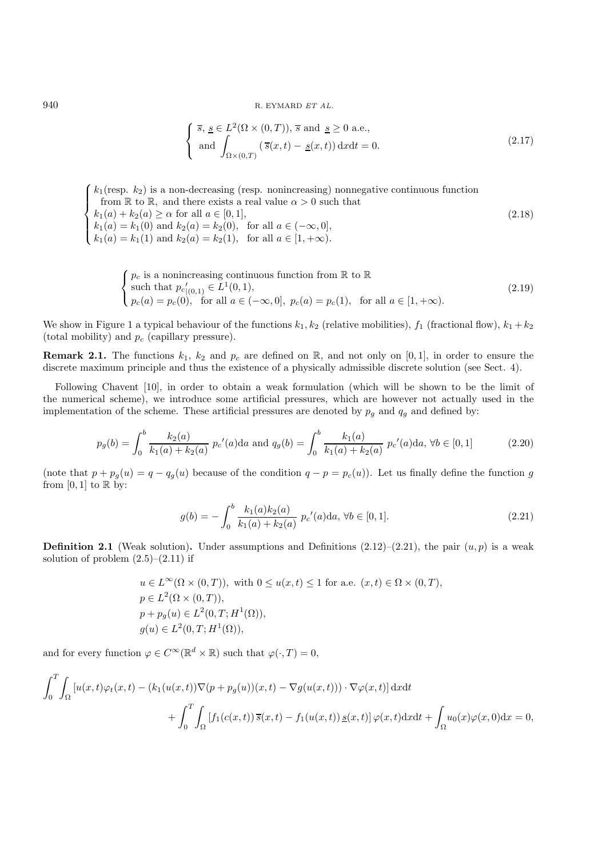940 R. EYMARD  $ETAL$ .

$$
\begin{cases} \overline{s}, \underline{s} \in L^{2}(\Omega \times (0, T)), \overline{s} \text{ and } \underline{s} \ge 0 \text{ a.e.,} \\ \text{and } \int_{\Omega \times (0, T)} (\overline{s}(x, t) - \underline{s}(x, t)) \, dx dt = 0. \end{cases}
$$
\n(2.17)

 $\sqrt{ }$  $\int$  $\overline{\mathcal{L}}$  $k_1$ (resp.  $k_2$ ) is a non-decreasing (resp. nonincreasing) nonnegative continuous function from  $\mathbb R$  to  $\mathbb R$ , and there exists a real value  $\alpha > 0$  such that  $k_1(a) + k_2(a) \ge \alpha$  for all  $a \in [0, 1],$  $k_1(a) = k_1(0)$  and  $k_2(a) = k_2(0)$ , for all  $a \in (-\infty, 0]$ ,  $k_1(a) = k_1(1)$  and  $k_2(a) = k_2(1)$ , for all  $a \in [1, +\infty)$ . (2.18)

$$
\begin{cases}\n p_c \text{ is a nonincreasing continuous function from } \mathbb{R} \text{ to } \mathbb{R} \\
 \text{such that } p_c'_{|(0,1)} \in L^1(0,1), \\
 p_c(a) = p_c(0), \text{ for all } a \in (-\infty,0], \ p_c(a) = p_c(1), \text{ for all } a \in [1,+\infty).\n\end{cases}
$$
\n(2.19)

We show in Figure 1 a typical behaviour of the functions  $k_1, k_2$  (relative mobilities),  $f_1$  (fractional flow),  $k_1 + k_2$ (total mobility) and  $p_c$  (capillary pressure).

**Remark 2.1.** The functions  $k_1$ ,  $k_2$  and  $p_c$  are defined on  $\mathbb{R}$ , and not only on [0, 1], in order to ensure the discrete maximum principle and thus the existence of a physically admissible discrete solution (see Sect. 4).

Following Chavent [10], in order to obtain a weak formulation (which will be shown to be the limit of the numerical scheme), we introduce some artificial pressures, which are however not actually used in the implementation of the scheme. These artificial pressures are denoted by  $p_g$  and  $q_g$  and defined by:

$$
p_g(b) = \int_0^b \frac{k_2(a)}{k_1(a) + k_2(a)} \ p_c'(a) da \text{ and } q_g(b) = \int_0^b \frac{k_1(a)}{k_1(a) + k_2(a)} \ p_c'(a) da, \ \forall b \in [0, 1]
$$
 (2.20)

(note that  $p + p_g(u) = q - q_g(u)$  because of the condition  $q - p = p_c(u)$ ). Let us finally define the function g from  $[0, 1]$  to  $\mathbb R$  by:

$$
g(b) = -\int_0^b \frac{k_1(a)k_2(a)}{k_1(a) + k_2(a)} p_c'(a)da, \,\forall b \in [0, 1].
$$
\n(2.21)

**Definition 2.1** (Weak solution). Under assumptions and Definitions  $(2.12)$ – $(2.21)$ , the pair  $(u, p)$  is a weak solution of problem  $(2.5)$ – $(2.11)$  if

$$
u \in L^{\infty}(\Omega \times (0, T)), \text{ with } 0 \le u(x, t) \le 1 \text{ for a.e. } (x, t) \in \Omega \times (0, T),
$$
  
\n
$$
p \in L^{2}(\Omega \times (0, T)),
$$
  
\n
$$
p + p_{g}(u) \in L^{2}(0, T; H^{1}(\Omega)),
$$
  
\n
$$
g(u) \in L^{2}(0, T; H^{1}(\Omega)),
$$

and for every function  $\varphi \in C^{\infty}(\mathbb{R}^d \times \mathbb{R})$  such that  $\varphi(\cdot, T) = 0$ ,

$$
\int_0^T \int_{\Omega} \left[ u(x,t) \varphi_t(x,t) - (k_1(u(x,t)) \nabla (p + p_g(u))(x,t) - \nabla g(u(x,t))) \cdot \nabla \varphi(x,t) \right] dx dt
$$

$$
+ \int_0^T \int_{\Omega} \left[ f_1(c(x,t)) \overline{s}(x,t) - f_1(u(x,t)) \underline{s}(x,t) \right] \varphi(x,t) dx dt + \int_{\Omega} u_0(x) \varphi(x,0) dx = 0,
$$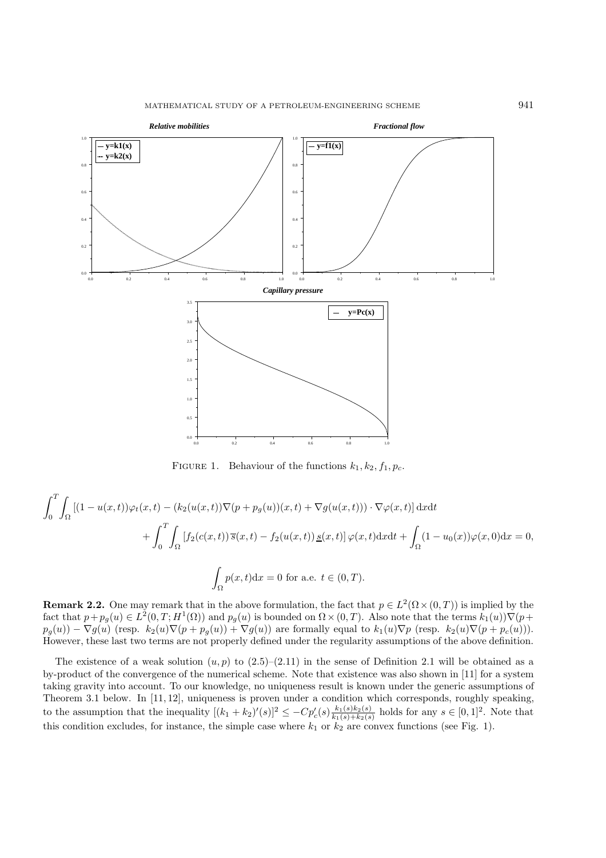

FIGURE 1. Behaviour of the functions  $k_1, k_2, f_1, p_c$ .

$$
\int_0^T \int_{\Omega} \left[ (1 - u(x, t)) \varphi_t(x, t) - (k_2(u(x, t)) \nabla (p + p_g(u))(x, t) + \nabla g(u(x, t))) \cdot \nabla \varphi(x, t) \right] dx dt
$$

$$
+ \int_0^T \int_{\Omega} \left[ f_2(c(x, t)) \overline{s}(x, t) - f_2(u(x, t)) \underline{s}(x, t) \right] \varphi(x, t) dx dt + \int_{\Omega} (1 - u_0(x)) \varphi(x, 0) dx = 0,
$$

$$
\int_{\Omega} p(x, t) dx = 0 \text{ for a.e. } t \in (0, T).
$$

**Remark 2.2.** One may remark that in the above formulation, the fact that  $p \in L^2(\Omega \times (0,T))$  is implied by the fact that  $p+p_g(u) \in L^2(0,T;H^1(\Omega))$  and  $p_g(u)$  is bounded on  $\Omega \times (0,T)$ . Also note that the terms  $k_1(u)\nabla(p+1)$  $p_g(u) - \nabla g(u)$  (resp.  $k_2(u)\nabla(p + p_g(u)) + \nabla g(u)$ ) are formally equal to  $k_1(u)\nabla p$  (resp.  $k_2(u)\nabla(p + p_c(u))$ ). However, these last two terms are not properly defined under the regularity assumptions of the above definition.

The existence of a weak solution  $(u, p)$  to  $(2.5)$ – $(2.11)$  in the sense of Definition 2.1 will be obtained as a by-product of the convergence of the numerical scheme. Note that existence was also shown in [11] for a system taking gravity into account. To our knowledge, no uniqueness result is known under the generic assumptions of Theorem 3.1 below. In [11, 12], uniqueness is proven under a condition which corresponds, roughly speaking, to the assumption that the inequality  $[(k_1 + k_2)'(s)]^2 \leq -Cp_c'(s)\frac{k_1(s)k_2(s)}{k_1(s)+k_2(s)}$  holds for any  $s \in [0,1]^2$ . Note that this condition excludes, for instance, the simple case where  $k_1$  or  $k_2$  are convex functions (see Fig. 1).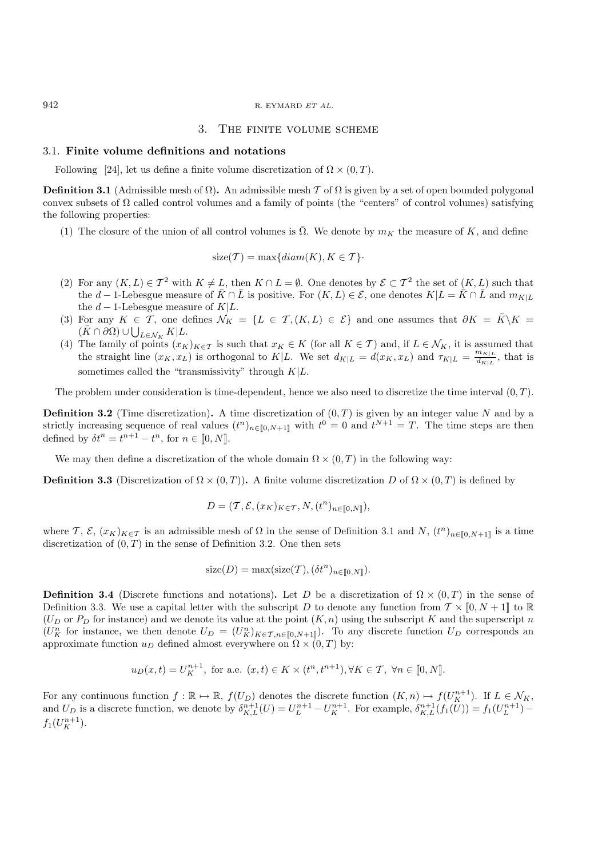#### 942 R. EYMARD ET AL.

### 3. The finite volume scheme

### 3.1. **Finite volume definitions and notations**

Following [24], let us define a finite volume discretization of  $\Omega \times (0, T)$ .

**Definition 3.1** (Admissible mesh of  $\Omega$ ). An admissible mesh T of  $\Omega$  is given by a set of open bounded polygonal convex subsets of  $\Omega$  called control volumes and a family of points (the "centers" of control volumes) satisfying the following properties:

(1) The closure of the union of all control volumes is  $\overline{\Omega}$ . We denote by  $m_K$  the measure of K, and define

$$
size(\mathcal{T}) = max\{diam(K), K \in \mathcal{T}\}\cdot
$$

- (2) For any  $(K, L) \in \mathcal{T}^2$  with  $K \neq L$ , then  $K \cap L = \emptyset$ . One denotes by  $\mathcal{E} \subset \mathcal{T}^2$  the set of  $(K, L)$  such that the d – 1-Lebesgue measure of  $\bar{K} \cap \bar{L}$  is positive. For  $(K, L) \in \mathcal{E}$ , one denotes  $K|L = \bar{K} \cap \bar{L}$  and  $m_{K|L}$ the  $d-1$ -Lebesgue measure of  $K|L$ .
- (3) For any  $K \in \mathcal{T}$ , one defines  $\mathcal{N}_K = \{L \in \mathcal{T}, (K, L) \in \mathcal{E}\}\$  and one assumes that  $\partial K = \bar{K} \backslash K =$  $(\bar{K} \cap \partial \Omega) \cup \bigcup_{L \in \mathcal{N}_K} K | L.$
- (4) The family of points  $(x_K)_{K\in\mathcal{T}}$  is such that  $x_K \in K$  (for all  $K\in\mathcal{T}$ ) and, if  $L\in\mathcal{N}_K$ , it is assumed that the straight line  $(x_K, x_L)$  is orthogonal to  $K|L$ . We set  $d_{K|L} = d(x_K, x_L)$  and  $\tau_{K|L} = \frac{m_{K|L}}{d_{K|L}}$ , that is sometimes called the "transmissivity" through  $K|L$ .

The problem under consideration is time-dependent, hence we also need to discretize the time interval  $(0, T)$ .

**Definition 3.2** (Time discretization). A time discretization of  $(0, T)$  is given by an integer value N and by a strictly increasing sequence of real values  $(t^n)_{n \in [0, N+1]}$  with  $t^0 = 0$  and  $t^{N+1} = T$ . The time steps are then defined by  $\delta t^n = t^{n+1} - t^n$ , for  $n \in [0, N]$ .

We may then define a discretization of the whole domain  $\Omega \times (0,T)$  in the following way:

**Definition 3.3** (Discretization of  $\Omega \times (0,T)$ ). A finite volume discretization D of  $\Omega \times (0,T)$  is defined by

$$
D = (\mathcal{T}, \mathcal{E}, (x_K)_{K \in \mathcal{T}}, N, (t^n)_{n \in [\![ 0, N ]\!]}),
$$

where  $\mathcal{T}, \mathcal{E}, (x_K)_{K \in \mathcal{T}}$  is an admissible mesh of  $\Omega$  in the sense of Definition 3.1 and  $N, (t^n)_{n \in [0, N+1]}$  is a time discretization of  $(0, T)$  in the sense of Definition 3.2. One then sets

$$
size(D) = max(size(T), (\delta t^n)_{n \in [0, N]}).
$$

**Definition 3.4** (Discrete functions and notations). Let D be a discretization of  $\Omega \times (0,T)$  in the sense of Definition 3.3. We use a capital letter with the subscript D to denote any function from  $\mathcal{T} \times [0, N + 1]$  to R  $(U_D \text{ or } P_D \text{ for instance})$  and we denote its value at the point  $(K, n)$  using the subscript K and the superscript n  $(U_K^n$  for instance, we then denote  $U_D = (U_K^n)_{K \in \mathcal{T}, n \in [0, N+1]}$ ). To any discrete function  $U_D$  corresponds an approximate function  $u_D$  defined almost everywhere on  $\Omega \times (0,T)$  by:

$$
u_D(x,t) = U_K^{n+1}
$$
, for a.e.  $(x,t) \in K \times (t^n, t^{n+1}), \forall K \in \mathcal{T}, \ \forall n \in [0, N].$ 

For any continuous function  $f : \mathbb{R} \to \mathbb{R}$ ,  $f(U_D)$  denotes the discrete function  $(K, n) \mapsto f(U_K^{n+1})$ . If  $L \in \mathcal{N}_K$ , and  $U_D$  is a discrete function, we denote by  $\delta_{K,L}^{n+1}(U) = U_L^{n+1} - U_K^{n+1}$ . For example,  $\delta_{K,L}^{n+1}(f_1(U)) = f_1(U_L^{n+1})$  $f_1(U_K^{n+1}).$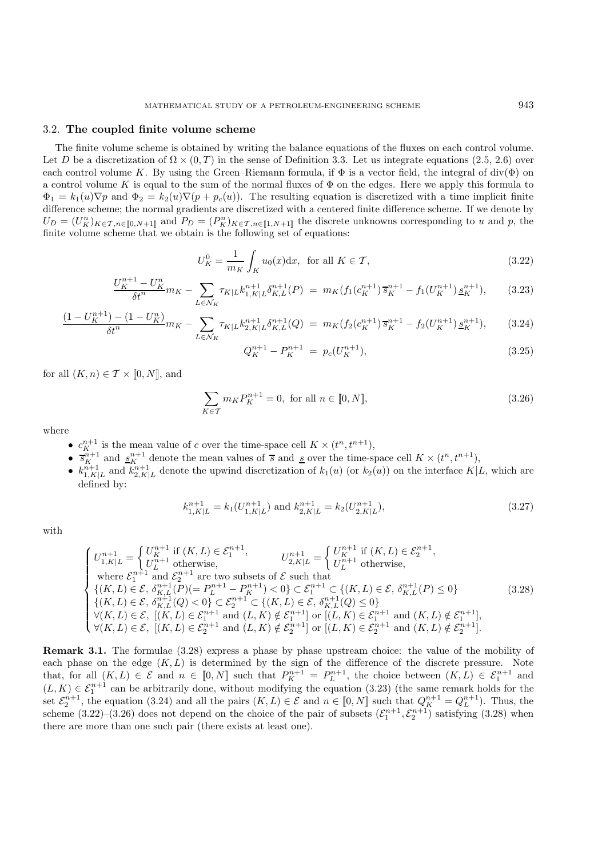# 3.2. **The coupled finite volume scheme**

The finite volume scheme is obtained by writing the balance equations of the fluxes on each control volume. Let D be a discretization of  $\Omega \times (0,T)$  in the sense of Definition 3.3. Let us integrate equations (2.5, 2.6) over each control volume K. By using the Green–Riemann formula, if  $\Phi$  is a vector field, the integral of div( $\Phi$ ) on a control volume K is equal to the sum of the normal fluxes of  $\Phi$  on the edges. Here we apply this formula to  $\Phi_1 = k_1(u)\nabla p$  and  $\Phi_2 = k_2(u)\nabla (p + p_c(u))$ . The resulting equation is discretized with a time implicit finite difference scheme; the normal gradients are discretized with a centered finite difference scheme. If we denote by  $U_D = (U_K^n)_{K \in \mathcal{T}, n \in [0, N+1]}$  and  $P_D = (P_K^n)_{K \in \mathcal{T}, n \in [1, N+1]}$  the discrete unknowns corresponding to u and p, the finite volume scheme that we obtain is the following set of equations:

$$
U_K^0 = \frac{1}{m_K} \int_K u_0(x) dx, \text{ for all } K \in \mathcal{T}, \qquad (3.22)
$$

$$
\frac{U_K^{n+1} - U_K^n}{\delta t^n} m_K - \sum_{L \in \mathcal{N}_K} \tau_{K|L} k_{1,K|L}^{n+1} \delta_{K,L}^{n+1}(P) = m_K(f_1(c_K^{n+1}) \overline{s}_K^{n+1} - f_1(U_K^{n+1}) \underline{s}_K^{n+1}), \tag{3.23}
$$

$$
\frac{(1-U_K^{n+1}) - (1-U_K^n)}{\delta t^n} m_K - \sum_{L \in \mathcal{N}_K} \tau_{K|L} k_{2,K|L}^{n+1} \delta_{K,L}^{n+1}(Q) = m_K(f_2(c_K^{n+1}) \overline{s}_K^{n+1} - f_2(U_K^{n+1}) \underline{s}_K^{n+1}), \tag{3.24}
$$

$$
Q_K^{n+1} - P_K^{n+1} = p_c(U_K^{n+1}), \tag{3.25}
$$

for all  $(K, n) \in T \times [0, N]$ , and

$$
\sum_{K \in \mathcal{T}} m_K P_K^{n+1} = 0, \text{ for all } n \in [0, N],
$$
\n(3.26)

where

- $c_K^{n+1}$  is the mean value of c over the time-space cell  $K \times (t^n, t^{n+1})$ ,
- $\bar{s}_{K}^{n+1}$  and  $\underline{s}_{K}^{n+1}$  denote the mean values of  $\bar{s}$  and  $\underline{s}$  over the time-space cell  $K \times (t^{n}, t^{n+1}),$
- $k_{1,K|L}^{n+1}$  and  $k_{2,K|L}^{n+1}$  denote the upwind discretization of  $k_1(u)$  (or  $k_2(u)$ ) on the interface  $K|L$ , which are defined by:

$$
k_{1,K|L}^{n+1} = k_1(U_{1,K|L}^{n+1}) \text{ and } k_{2,K|L}^{n+1} = k_2(U_{2,K|L}^{n+1}),\tag{3.27}
$$

with

$$
\begin{cases}\nU_{1,K|L}^{n+1} = \begin{cases}\nU_{K}^{n+1} & \text{if } (K,L) \in \mathcal{E}_{1}^{n+1}, \\
U_{L}^{n+1} & \text{otherwise,} \n\end{cases} & U_{2,K|L}^{n+1} = \begin{cases}\nU_{K}^{n+1} & \text{if } (K,L) \in \mathcal{E}_{2}^{n+1}, \\
U_{L}^{n+1} & \text{otherwise,} \n\end{cases} \\
\text{where } \mathcal{E}_{1}^{n+1} & \text{and } \mathcal{E}_{2}^{n+1} & \text{are two subsets of } \mathcal{E} \text{ such that} \\
\{(K,L) \in \mathcal{E}, \delta_{K,L}^{n+1}(P) (= P_{L}^{n+1} - P_{K}^{n+1}) < 0\} \subset \mathcal{E}_{1}^{n+1} \subset \{(K,L) \in \mathcal{E}, \delta_{K,L}^{n+1}(P) \le 0\} \\
\{(K,L) \in \mathcal{E}, \delta_{K,L}^{n+1}(Q) < 0\} \subset \mathcal{E}_{2}^{n+1} \subset \{(K,L) \in \mathcal{E}, \delta_{K,L}^{n+1}(Q) \le 0\} \\
\forall (K,L) \in \mathcal{E}, \ [(K,L) \in \mathcal{E}_{1}^{n+1} \text{ and } (L,K) \notin \mathcal{E}_{1}^{n+1}] \text{ or } [(L,K) \in \mathcal{E}_{2}^{n+1} \text{ and } (K,L) \notin \mathcal{E}_{2}^{n+1}].\n\end{cases} (3.28)
$$
\n
$$
\forall (K,L) \in \mathcal{E}, \ [(K,L) \in \mathcal{E}_{2}^{n+1} \text{ and } (L,K) \notin \mathcal{E}_{2}^{n+1}] \text{ or } [(L,K) \in \mathcal{E}_{2}^{n+1} \text{ and } (K,L) \notin \mathcal{E}_{2}^{n+1}].\n\end{cases}
$$

**Remark 3.1.** The formulae  $(3.28)$  express a phase by phase upstream choice: the value of the mobility of each phase on the edge  $(K, L)$  is determined by the sign of the difference of the discrete pressure. Note that, for all  $(K, L) \in \mathcal{E}$  and  $n \in [0, N]$  such that  $P_K^{n+1} = P_L^{n+1}$ , the choice between  $(K, L) \in \mathcal{E}_1^{n+1}$  and  $(L, K) \in \mathcal{E}_1^{n+1}$  can be arbitrarily done, without modifying the equation (3.23) (the same remark holds for the set  $\mathcal{E}_2^{n+1}$ , the equation (3.24) and all the pairs  $(K, L) \in \mathcal{E}$  and  $n \in [0, N]$  such that  $Q_K^{n+1} = Q_L^{n+1}$ ). Thus, the scheme  $(3.22)$ – $(3.26)$  does not depend on the choice of the pair of subsets  $(\mathcal{E}_1^{n+1}, \mathcal{E}_2^{n+1})$  satisfying  $(3.28)$  when there are more than one such pair (there exists at least one).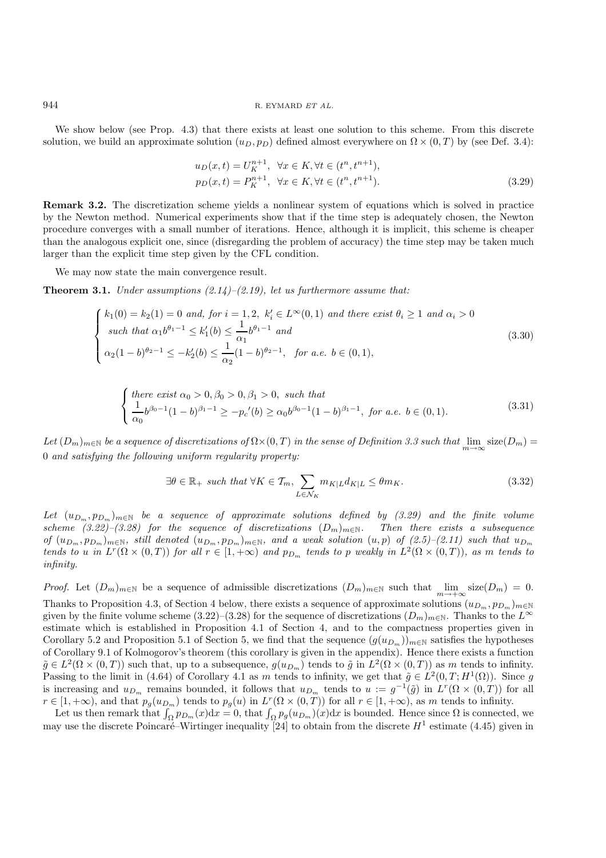We show below (see Prop. 4.3) that there exists at least one solution to this scheme. From this discrete solution, we build an approximate solution  $(u_D, p_D)$  defined almost everywhere on  $\Omega \times (0, T)$  by (see Def. 3.4):

$$
u_D(x,t) = U_K^{n+1}, \quad \forall x \in K, \forall t \in (t^n, t^{n+1}),
$$
  
\n
$$
p_D(x,t) = P_K^{n+1}, \quad \forall x \in K, \forall t \in (t^n, t^{n+1}).
$$
\n(3.29)

**Remark 3.2.** The discretization scheme yields a nonlinear system of equations which is solved in practice by the Newton method. Numerical experiments show that if the time step is adequately chosen, the Newton procedure converges with a small number of iterations. Hence, although it is implicit, this scheme is cheaper than the analogous explicit one, since (disregarding the problem of accuracy) the time step may be taken much larger than the explicit time step given by the CFL condition.

We may now state the main convergence result.

**Theorem 3.1.** *Under assumptions (2.14)–(2.19), let us furthermore assume that:*

$$
\begin{cases}\nk_1(0) = k_2(1) = 0 \text{ and, for } i = 1, 2, \ k'_i \in L^{\infty}(0, 1) \text{ and there exist } \theta_i \ge 1 \text{ and } \alpha_i > 0 \\
\text{such that } \alpha_1 b^{\theta_1 - 1} \le k'_1(b) \le \frac{1}{\alpha_1} b^{\theta_1 - 1} \text{ and} \\
\alpha_2 (1 - b)^{\theta_2 - 1} \le -k'_2(b) \le \frac{1}{\alpha_2} (1 - b)^{\theta_2 - 1}, \text{ for a.e. } b \in (0, 1),\n\end{cases} \tag{3.30}
$$

$$
\begin{cases} \text{there exist } \alpha_0 > 0, \beta_0 > 0, \beta_1 > 0, \text{ such that} \\ \frac{1}{\alpha_0} b^{\beta_0 - 1} (1 - b)^{\beta_1 - 1} \ge -p_c'(b) \ge \alpha_0 b^{\beta_0 - 1} (1 - b)^{\beta_1 - 1}, \text{ for a.e. } b \in (0, 1). \end{cases} (3.31)
$$

 $Let (D_m)_{m \in \mathbb{N}}$  *be a sequence of discretizations of*  $\Omega \times (0,T)$  *in the sense of Definition 3.3 such that*  $\lim_{m \to \infty} \text{size}(D_m) =$ 0 *and satisfying the following uniform regularity property:*

$$
\exists \theta \in \mathbb{R}_+ \text{ such that } \forall K \in \mathcal{T}_m, \sum_{L \in \mathcal{N}_K} m_{K|L} d_{K|L} \leq \theta m_K. \tag{3.32}
$$

Let  $(u_{D_m}, p_{D_m})_{m\in\mathbb{N}}$  *be a sequence of approximate solutions defined by (3.29) and the finite volume scheme (3.22)–(3.28) for the sequence of discretizations*  $(D_m)_{m\in\mathbb{N}}$ . Then there exists a subsequence  $of (u_{D_m}, p_{D_m})_{m \in \mathbb{N}}$ , still denoted  $(u_{D_m}, p_{D_m})_{m \in \mathbb{N}}$ , and a weak solution  $(u, p)$  of  $(2.5)$ – $(2.11)$  such that  $u_{D_m}$ *tends to* u *in*  $L^r(\Omega \times (0,T))$  *for all*  $r \in [1,+\infty)$  *and*  $p_{D_m}$  *tends to* p *weakly in*  $L^2(\Omega \times (0,T))$ *, as* m *tends to infinity.*

*Proof.* Let  $(D_m)_{m\in\mathbb{N}}$  be a sequence of admissible discretizations  $(D_m)_{m\in\mathbb{N}}$  such that  $\lim_{m\to+\infty}$  size $(D_m) = 0$ . Thanks to Proposition 4.3, of Section 4 below, there exists a sequence of approximate solutions  $(u_{D_m}, p_{D_m})_{m\in\mathbb{N}}$ given by the finite volume scheme (3.22)–(3.28) for the sequence of discretizations  $(D_m)_{m\in\mathbb{N}}$ . Thanks to the  $L^{\infty}$ estimate which is established in Proposition 4.1 of Section 4, and to the compactness properties given in Corollary 5.2 and Proposition 5.1 of Section 5, we find that the sequence  $(g(u_{D_m}))_{m\in\mathbb{N}}$  satisfies the hypotheses of Corollary 9.1 of Kolmogorov's theorem (this corollary is given in the appendix). Hence there exists a function  $\tilde{g} \in L^2(\Omega \times (0,T))$  such that, up to a subsequence,  $g(u_{D_m})$  tends to  $\tilde{g}$  in  $L^2(\Omega \times (0,T))$  as m tends to infinity. Passing to the limit in (4.64) of Corollary 4.1 as m tends to infinity, we get that  $\tilde{q} \in L^2(0,T;H^1(\Omega))$ . Since g is increasing and  $u_{D_m}$  remains bounded, it follows that  $u_{D_m}$  tends to  $u := g^{-1}(\tilde{g})$  in  $L^r(\Omega \times (0,T))$  for all  $r \in [1, +\infty)$ , and that  $p_g(u_{D_m})$  tends to  $p_g(u)$  in  $L^r(\Omega \times (0, T))$  for all  $r \in [1, +\infty)$ , as m tends to infinity.

Let us then remark that  $\int_{\Omega} p_{D_m}(x)dx = 0$ , that  $\int_{\Omega} p_g(u_{D_m})(x)dx$  is bounded. Hence since  $\Omega$  is connected, we may use the discrete Poincaré–Wirtinger inequality [24] to obtain from the discrete  $H<sup>1</sup>$  estimate (4.45) given in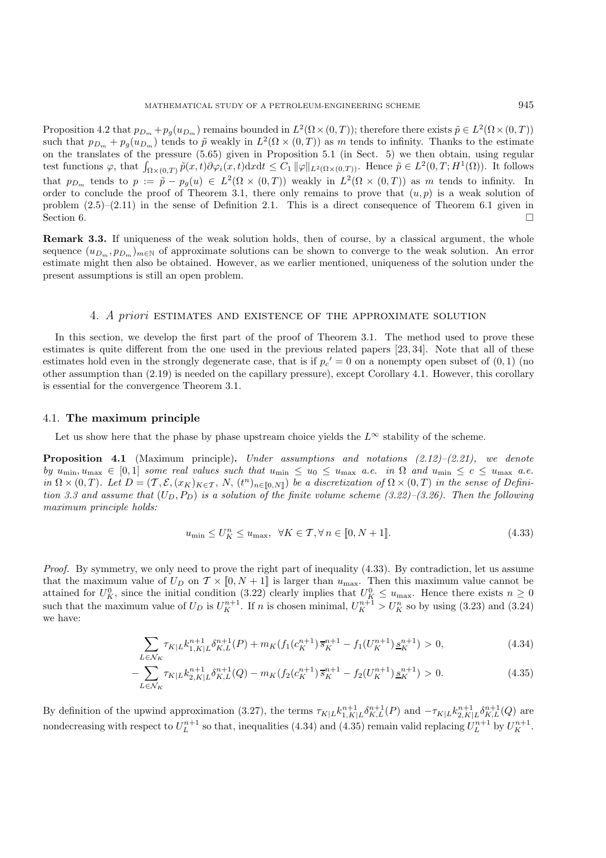Proposition 4.2 that  $p_{D_m} + p_g(u_{D_m})$  remains bounded in  $L^2(\Omega \times (0,T))$ ; therefore there exists  $\tilde{p} \in L^2(\Omega \times (0,T))$ such that  $p_{D_m} + p_g(u_{D_m})$  tends to  $\tilde{p}$  weakly in  $L^2(\Omega \times (0,T))$  as m tends to infinity. Thanks to the estimate on the translates of the pressure (5.65) given in Proposition 5.1 (in Sect. 5) we then obtain, using regular test functions  $\varphi$ , that  $\int_{\Omega \times (0,T)} \tilde{p}(x,t) \partial \varphi_i(x,t) dx dt \leq C_1 ||\varphi||_{L^2(\Omega \times (0,T))}$ . Hence  $\tilde{p} \in L^2(0,T;H^1(\Omega))$ . It follows that  $p_{D_m}$  tends to  $p := \tilde{p} - p_g(u) \in L^2(\Omega \times (0,T))$  weakly in  $L^2(\Omega \times (0,T))$  as m tends to infinity. In order to conclude the proof of Theorem 3.1, there only remains to prove that  $(u, p)$  is a weak solution of problem (2.5)–(2.11) in the sense of Definition 2.1. This is a direct consequence of Theorem 6.1 given in Section 6.

**Remark 3.3.** If uniqueness of the weak solution holds, then of course, by a classical argument, the whole sequence  $(u_{D_m}, p_{D_m})_{m \in \mathbb{N}}$  of approximate solutions can be shown to converge to the weak solution. An error estimate might then also be obtained. However, as we earlier mentioned, uniqueness of the solution under the present assumptions is still an open problem.

# 4. A priori estimates and existence of the approximate solution

In this section, we develop the first part of the proof of Theorem 3.1. The method used to prove these estimates is quite different from the one used in the previous related papers [23, 34]. Note that all of these estimates hold even in the strongly degenerate case, that is if  $p_c' = 0$  on a nonempty open subset of  $(0, 1)$  (no other assumption than (2.19) is needed on the capillary pressure), except Corollary 4.1. However, this corollary is essential for the convergence Theorem 3.1.

### 4.1. **The maximum principle**

Let us show here that the phase by phase upstream choice yields the  $L^{\infty}$  stability of the scheme.

**Proposition 4.1** (Maximum principle)**.** *Under assumptions and notations (2.12)–(2.21), we denote by*  $u_{\min}, u_{\max} \in [0, 1]$  *some real values such that*  $u_{\min} \leq u_0 \leq u_{\max}$  *a.e.* in  $\Omega$  *and*  $u_{\min} \leq c \leq u_{\max}$  *a.e.*  $in \Omega \times (0,T)$ *. Let*  $D = (T, \mathcal{E}, (x_K)_{K \in T}, N, (t^n)_{n \in [0,N]})$  *be a discretization of*  $\Omega \times (0,T)$  *in the sense of Definition 3.3 and assume that*  $(U_D, P_D)$  *is a solution of the finite volume scheme (3.22)–(3.26). Then the following maximum principle holds:*

$$
u_{\min} \le U_K^n \le u_{\max}, \ \ \forall K \in \mathcal{T}, \forall n \in [0, N+1]. \tag{4.33}
$$

*Proof.* By symmetry, we only need to prove the right part of inequality (4.33). By contradiction, let us assume that the maximum value of  $U_D$  on  $\mathcal{T} \times [0, N + 1]$  is larger than  $u_{\text{max}}$ . Then this maximum value cannot be attained for  $U_K^0$ , since the initial condition (3.22) clearly implies that  $U_K^0 \le u_{\text{max}}$ . Hence there exists  $n \ge 0$ such that the maximum value of  $U_D$  is  $U_K^{n+1}$ . If n is chosen minimal,  $U_K^{n+1} > U_K^n$  so by using (3.23) and (3.24) we have:

$$
\sum_{L \in \mathcal{N}_K} \tau_{K|L} k_{1,K|L}^{n+1} \delta_{K,L}^{n+1}(P) + m_K(f_1(c_K^{n+1}) \overline{s}_K^{n+1} - f_1(U_K^{n+1}) \underline{s}_K^{n+1}) > 0,
$$
\n(4.34)

$$
-\sum_{L\in\mathcal{N}_K} \tau_{K|L} k_{2,K|L}^{n+1} \delta_{K,L}^{n+1}(Q) - m_K(f_2(c_K^{n+1})\overline{s}_K^{n+1} - f_2(U_K^{n+1})\underline{s}_K^{n+1}) > 0. \tag{4.35}
$$

By definition of the upwind approximation (3.27), the terms  $\tau_{K|L} k_{1,K|L}^{n+1} \delta_{K,L}^{n+1}(P)$  and  $-\tau_{K|L} k_{2,K|L}^{n+1} \delta_{K,L}^{n+1}(Q)$  are nondecreasing with respect to  $U_L^{n+1}$  so that, inequalities (4.34) and (4.35) remain valid replacing  $U_L^{n+1}$  by  $U_K^{n+1}$ .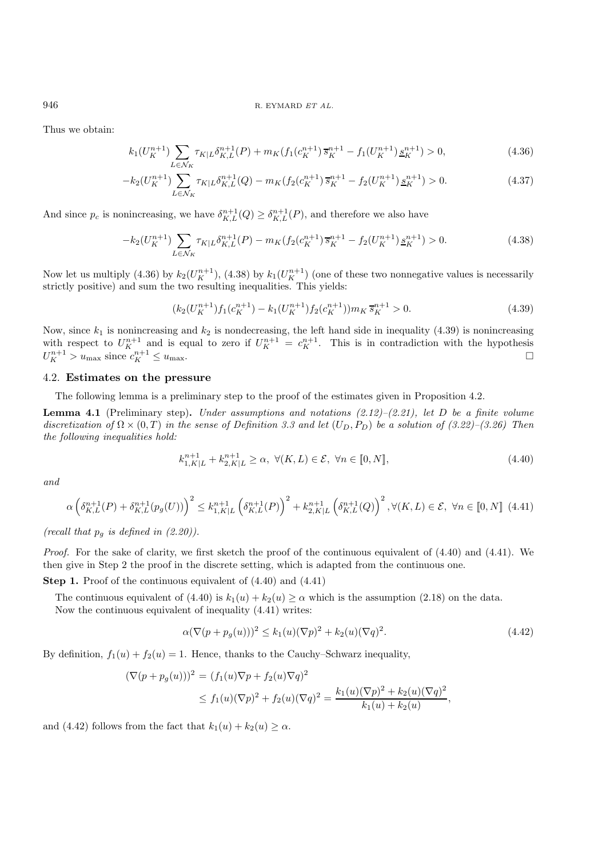#### 946 R. EYMARD ET AL.

Thus we obtain:

$$
k_1(U_K^{n+1}) \sum_{L \in \mathcal{N}_K} \tau_{K|L} \delta_{K,L}^{n+1}(P) + m_K(f_1(c_K^{n+1}) \overline{s}_K^{n+1} - f_1(U_K^{n+1}) \underline{s}_K^{n+1}) > 0,
$$
\n
$$
(4.36)
$$

$$
-k_2(U_K^{n+1})\sum_{L\in\mathcal{N}_K}\tau_{K|L}\delta_{K,L}^{n+1}(Q) - m_K(f_2(c_K^{n+1})\overline{s}_K^{n+1} - f_2(U_K^{n+1})\underline{s}_K^{n+1}) > 0.
$$
\n(4.37)

And since  $p_c$  is nonincreasing, we have  $\delta^{n+1}_{K,L}(Q) \geq \delta^{n+1}_{K,L}(P)$ , and therefore we also have

$$
-k_2(U_K^{n+1})\sum_{L\in\mathcal{N}_K}\tau_{K|L}\delta_{K,L}^{n+1}(P)-m_K(f_2(c_K^{n+1})\overline{s}_K^{n+1}-f_2(U_K^{n+1})\underline{s}_K^{n+1})>0. \tag{4.38}
$$

Now let us multiply (4.36) by  $k_2(U_K^{n+1})$ , (4.38) by  $k_1(U_K^{n+1})$  (one of these two nonnegative values is necessarily strictly positive) and sum the two resulting inequalities. This yields:

$$
(k_2(U_K^{n+1})f_1(c_K^{n+1}) - k_1(U_K^{n+1})f_2(c_K^{n+1}))m_K\overline{s}_K^{n+1} > 0.
$$
\n(4.39)

Now, since  $k_1$  is nonincreasing and  $k_2$  is nondecreasing, the left hand side in inequality (4.39) is nonincreasing with respect to  $U_K^{n+1}$  and is equal to zero if  $U_K^{n+1} = c_K^{n+1}$ . This is in contradiction with the hypothesis  $U_K^{n+1} > u_{\text{max}}$  since  $c_K^{n+1} \leq u_{\text{max}}$ .

# 4.2. **Estimates on the pressure**

The following lemma is a preliminary step to the proof of the estimates given in Proposition 4.2.

**Lemma 4.1** (Preliminary step)**.** *Under assumptions and notations (2.12)–(2.21), let* D *be a finite volume* discretization of  $\Omega \times (0,T)$  in the sense of Definition 3.3 and let  $(U_D, P_D)$  be a solution of (3.22)–(3.26). Then *the following inequalities hold:*

$$
k_{1,K|L}^{n+1} + k_{2,K|L}^{n+1} \ge \alpha, \ \forall (K, L) \in \mathcal{E}, \ \forall n \in [0, N], \tag{4.40}
$$

*and*

$$
\alpha \left(\delta_{K,L}^{n+1}(P) + \delta_{K,L}^{n+1}(p_g(U))\right)^2 \le k_{1,K|L}^{n+1} \left(\delta_{K,L}^{n+1}(P)\right)^2 + k_{2,K|L}^{n+1} \left(\delta_{K,L}^{n+1}(Q)\right)^2, \forall (K,L) \in \mathcal{E}, \ \forall n \in [0,N] \tag{4.41}
$$

*(recall that*  $p_q$  *is defined in (2.20)).* 

*Proof.* For the sake of clarity, we first sketch the proof of the continuous equivalent of  $(4.40)$  and  $(4.41)$ . We then give in Step 2 the proof in the discrete setting, which is adapted from the continuous one.

**Step 1.** Proof of the continuous equivalent of (4.40) and (4.41)

The continuous equivalent of (4.40) is  $k_1(u) + k_2(u) \ge \alpha$  which is the assumption (2.18) on the data. Now the continuous equivalent of inequality (4.41) writes:

$$
\alpha(\nabla(p + p_g(u)))^2 \le k_1(u)(\nabla p)^2 + k_2(u)(\nabla q)^2.
$$
\n(4.42)

By definition,  $f_1(u) + f_2(u) = 1$ . Hence, thanks to the Cauchy–Schwarz inequality,

$$
(\nabla(p + p_g(u)))^2 = (f_1(u)\nabla p + f_2(u)\nabla q)^2
$$
  
 
$$
\leq f_1(u)(\nabla p)^2 + f_2(u)(\nabla q)^2 = \frac{k_1(u)(\nabla p)^2 + k_2(u)(\nabla q)^2}{k_1(u) + k_2(u)},
$$

and (4.42) follows from the fact that  $k_1(u) + k_2(u) \ge \alpha$ .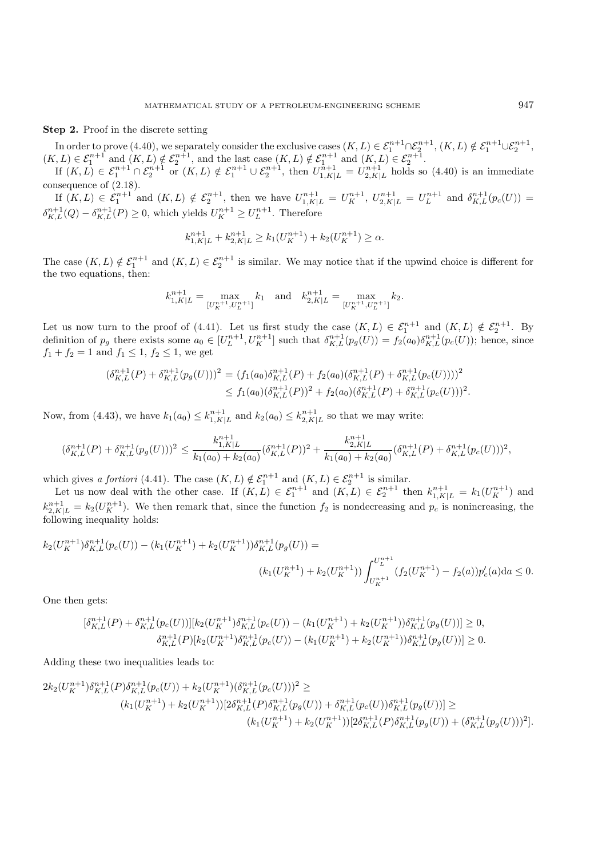#### **Step 2.** Proof in the discrete setting

In order to prove (4.40), we separately consider the exclusive cases  $(K, L) \in \mathcal{E}_1^{n+1} \cap \mathcal{E}_2^{n+1}, (K, L) \notin \mathcal{E}_1^{n+1} \cup \mathcal{E}_2^{n+1}$ ,  $(K, L) \in \mathcal{E}_1^{n+1}$  and  $(K, L) \notin \mathcal{E}_2^{n+1}$ , and the last case  $(K, L) \notin \mathcal{E}_1^{n+1}$  and  $(K, L) \in \mathcal{E}_2^{n+1}$ .

If  $(K, L) \in \mathcal{E}_1^{n+1} \cap \mathcal{E}_2^{n+1}$  or  $(K, L) \notin \mathcal{E}_1^{n+1} \cup \mathcal{E}_2^{n+1}$ , then  $U_{1,K|L}^{n+1} = U_{2,K|L}^{n+1}$  holds so (4.40) is an immediate consequence of (2.18).

If  $(K, L) \in \mathcal{E}_1^{n+1}$  and  $(K, L) \notin \mathcal{E}_2^{n+1}$ , then we have  $U_{1,K|L}^{n+1} = U_K^{n+1}$ ,  $U_{2,K|L}^{n+1} = U_L^{n+1}$  and  $\delta_{K,L}^{n+1}(p_c(U)) =$  $\delta_{K,L}^{n+1}(Q) - \delta_{K,L}^{n+1}(P) \geq 0$ , which yields  $U_K^{n+1} \geq U_L^{n+1}$ . Therefore

$$
k_{1,K|L}^{n+1} + k_{2,K|L}^{n+1} \ge k_1(U_K^{n+1}) + k_2(U_K^{n+1}) \ge \alpha.
$$

The case  $(K, L) \notin \mathcal{E}_1^{n+1}$  and  $(K, L) \in \mathcal{E}_2^{n+1}$  is similar. We may notice that if the upwind choice is different for the two equations, then:

$$
k_{1,K|L}^{n+1} = \max_{[U_K^{n+1}, U_L^{n+1}]} k_1 \quad \text{and} \quad k_{2,K|L}^{n+1} = \max_{[U_K^{n+1}, U_L^{n+1}]} k_2.
$$

Let us now turn to the proof of (4.41). Let us first study the case  $(K, L) \in \mathcal{E}_1^{n+1}$  and  $(K, L) \notin \mathcal{E}_2^{n+1}$ . By definition of  $p_g$  there exists some  $a_0 \in [U_L^{n+1}, U_K^{n+1}]$  such that  $\delta_{K,L}^{n+1}(p_g(U)) = f_2(a_0)\delta_{K,L}^{n+1}(p_c(U));$  hence, since  $f_1 + f_2 = 1$  and  $f_1 \leq 1, f_2 \leq 1$ , we get

$$
\begin{split} (\delta_{K,L}^{n+1}(P) + \delta_{K,L}^{n+1}(p_g(U)))^2 &= (f_1(a_0)\delta_{K,L}^{n+1}(P) + f_2(a_0)(\delta_{K,L}^{n+1}(P) + \delta_{K,L}^{n+1}(p_c(U))))^2 \\ &\leq f_1(a_0)(\delta_{K,L}^{n+1}(P))^2 + f_2(a_0)(\delta_{K,L}^{n+1}(P) + \delta_{K,L}^{n+1}(p_c(U)))^2. \end{split}
$$

Now, from (4.43), we have  $k_1(a_0) \leq k_{1,K|L}^{n+1}$  and  $k_2(a_0) \leq k_{2,K|L}^{n+1}$  so that we may write:

$$
(\delta_{K,L}^{n+1}(P) + \delta_{K,L}^{n+1}(p_g(U)))^2 \le \frac{k_{1,K|L}^{n+1}}{k_1(a_0) + k_2(a_0)} (\delta_{K,L}^{n+1}(P))^2 + \frac{k_{2,K|L}^{n+1}}{k_1(a_0) + k_2(a_0)} (\delta_{K,L}^{n+1}(P) + \delta_{K,L}^{n+1}(p_c(U)))^2,
$$

which gives *a fortiori* (4.41). The case  $(K, L) \notin \mathcal{E}_1^{n+1}$  and  $(K, L) \in \mathcal{E}_2^{n+1}$  is similar.

Let us now deal with the other case. If  $(K, L) \in \mathcal{E}_1^{n+1}$  and  $(K, L) \in \mathcal{E}_2^{n+1}$  then  $k_{1,K|L}^{n+1} = k_1(U_K^{n+1})$  and  $k_{2,K|L}^{n+1} = k_2(U_K^{n+1})$ . We then remark that, since the function  $f_2$  is nondecreasing and  $p_c$  is nonincreasing, the following inequality holds:

$$
k_2(U_K^{n+1})\delta_{K,L}^{n+1}(p_c(U)) - (k_1(U_K^{n+1}) + k_2(U_K^{n+1}))\delta_{K,L}^{n+1}(p_g(U)) =
$$
  

$$
(k_1(U_K^{n+1}) + k_2(U_K^{n+1})) \int_{U_K^{n+1}}^{U_L^{n+1}} (f_2(U_K^{n+1}) - f_2(a))p_c'(a)da \le 0.
$$

One then gets:

$$
[\delta_{K,L}^{n+1}(P) + \delta_{K,L}^{n+1}(p_c(U))][k_2(U_K^{n+1})\delta_{K,L}^{n+1}(p_c(U)) - (k_1(U_K^{n+1}) + k_2(U_K^{n+1}))\delta_{K,L}^{n+1}(p_g(U))] \ge 0,
$$
  

$$
\delta_{K,L}^{n+1}(P)[k_2(U_K^{n+1})\delta_{K,L}^{n+1}(p_c(U)) - (k_1(U_K^{n+1}) + k_2(U_K^{n+1}))\delta_{K,L}^{n+1}(p_g(U))] \ge 0.
$$

Adding these two inequalities leads to:

$$
2k_2(U_K^{n+1})\delta_{K,L}^{n+1}(P)\delta_{K,L}^{n+1}(p_c(U)) + k_2(U_K^{n+1})(\delta_{K,L}^{n+1}(p_c(U)))^2 \ge (k_1(U_K^{n+1}) + k_2(U_K^{n+1}))[2\delta_{K,L}^{n+1}(P)\delta_{K,L}^{n+1}(p_g(U)) + \delta_{K,L}^{n+1}(p_c(U))\delta_{K,L}^{n+1}(p_g(U))] \ge (k_1(U_K^{n+1}) + k_2(U_K^{n+1}))[2\delta_{K,L}^{n+1}(P)\delta_{K,L}^{n+1}(p_g(U)) + (\delta_{K,L}^{n+1}(p_g(U)))^2].
$$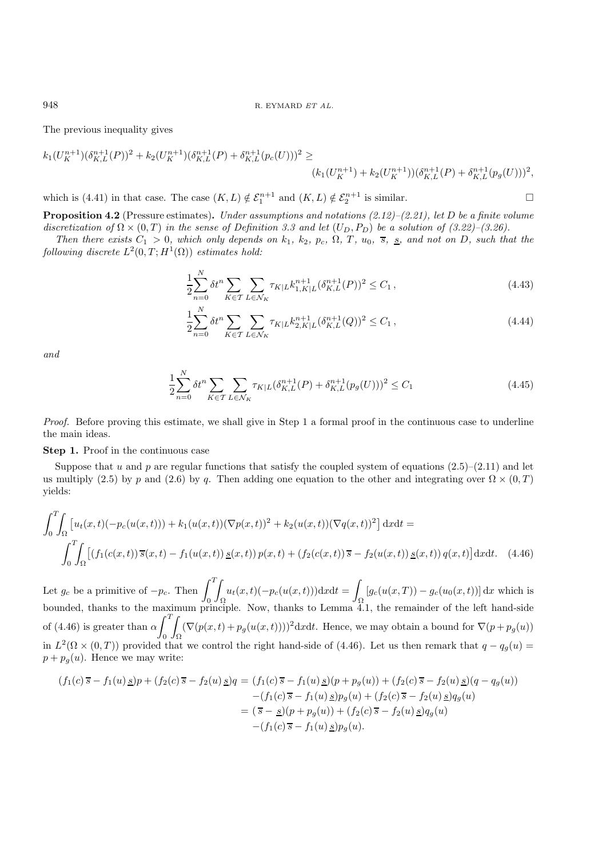The previous inequality gives

$$
k_1(U_K^{n+1})(\delta_{K,L}^{n+1}(P))^2 + k_2(U_K^{n+1})(\delta_{K,L}^{n+1}(P) + \delta_{K,L}^{n+1}(p_c(U)))^2 \ge (k_1(U_K^{n+1}) + k_2(U_K^{n+1}))(\delta_{K,L}^{n+1}(P) + \delta_{K,L}^{n+1}(p_g(U)))^2,
$$

which is (4.41) in that case. The case  $(K, L) \notin \mathcal{E}_1^{n+1}$  and  $(K, L) \notin \mathcal{E}_2^{n+1}$  is similar.

**Proposition 4.2** (Pressure estimates)**.** *Under assumptions and notations (2.12)–(2.21), let* D *be a finite volume* discretization of  $\Omega \times (0,T)$  in the sense of Definition 3.3 and let  $(U_D, P_D)$  be a solution of  $(3.22)$ – $(3.26)$ .

*Then there exists*  $C_1 > 0$ *, which only depends on*  $k_1$ *,*  $k_2$ *,*  $p_c$ *,*  $\Omega$ *,*  $T$ *,*  $u_0$ *,*  $\overline{s}$ *,*  $\underline{s}$ *,* and not on D*,* such that the *following discrete*  $L^2(0,T;H^1(\Omega))$  *estimates hold:* 

$$
\frac{1}{2} \sum_{n=0}^{N} \delta t^{n} \sum_{K \in \mathcal{T}} \sum_{L \in \mathcal{N}_{K}} \tau_{K|L} k_{1,K|L}^{n+1} (\delta_{K,L}^{n+1}(P))^{2} \le C_{1}, \qquad (4.43)
$$

$$
\frac{1}{2} \sum_{n=0}^{N} \delta t^{n} \sum_{K \in \mathcal{T}} \sum_{L \in \mathcal{N}_{K}} \tau_{K|L} k_{2,K|L}^{n+1} (\delta_{K,L}^{n+1}(Q))^{2} \le C_{1}, \qquad (4.44)
$$

*and*

$$
\frac{1}{2} \sum_{n=0}^{N} \delta t^{n} \sum_{K \in \mathcal{T}} \sum_{L \in \mathcal{N}_{K}} \tau_{K|L} (\delta_{K,L}^{n+1}(P) + \delta_{K,L}^{n+1}(p_{g}(U)))^{2} \le C_{1}
$$
\n(4.45)

*Proof.* Before proving this estimate, we shall give in Step 1 a formal proof in the continuous case to underline the main ideas.

#### **Step 1.** Proof in the continuous case

Suppose that u and p are regular functions that satisfy the coupled system of equations  $(2.5)-(2.11)$  and let us multiply (2.5) by p and (2.6) by q. Then adding one equation to the other and integrating over  $\Omega \times (0,T)$ yields:

$$
\int_0^T \int_{\Omega} \left[ u_t(x,t)(-p_c(u(x,t))) + k_1(u(x,t))(\nabla p(x,t))^2 + k_2(u(x,t))(\nabla q(x,t))^2 \right] dx dt =
$$
\n
$$
\int_0^T \int_{\Omega} \left[ \left( f_1(c(x,t)) \, \overline{s}(x,t) - f_1(u(x,t)) \, \underline{s}(x,t) \right) p(x,t) + \left( f_2(c(x,t)) \, \overline{s} - f_2(u(x,t)) \, \underline{s}(x,t) \right) q(x,t) \right] dx dt. \tag{4.46}
$$

Let  $g_c$  be a primitive of  $-p_c$ . Then  $\int_0^T$ Z  $\int u_t(x,t)(-p_c(u(x,t)))dxdt = \int$  $\int_{\Omega} [g_c(u(x,T)) - g_c(u_0(x,t))] dx$  which is bounded, thanks to the maximum principle. Now, thanks to Lemma 4.1, the remainder of the left hand-side of (4.46) is greater than  $\alpha \int_0^T$  $\mathbf{0}$ Z  $\int_{\Omega} (\nabla(p(x,t) + p_g(u(x,t))))^2 \mathrm{d}x \mathrm{d}t$ . Hence, we may obtain a bound for  $\nabla(p + p_g(u))$ in  $L^2(\Omega \times (0,T))$  provided that we control the right hand-side of (4.46). Let us then remark that  $q - q_g(u) =$  $p + p_q(u)$ . Hence we may write:

$$
(f_1(c)\overline{s} - f_1(u)\underline{s})p + (f_2(c)\overline{s} - f_2(u)\underline{s})q = (f_1(c)\overline{s} - f_1(u)\underline{s})(p + p_g(u)) + (f_2(c)\overline{s} - f_2(u)\underline{s})(q - q_g(u))
$$
  

$$
- (f_1(c)\overline{s} - f_1(u)\underline{s})p_g(u) + (f_2(c)\overline{s} - f_2(u)\underline{s})q_g(u)
$$
  

$$
= (\overline{s} - \underline{s})(p + p_g(u)) + (f_2(c)\overline{s} - f_2(u)\underline{s})q_g(u)
$$
  

$$
- (f_1(c)\overline{s} - f_1(u)\underline{s})p_g(u).
$$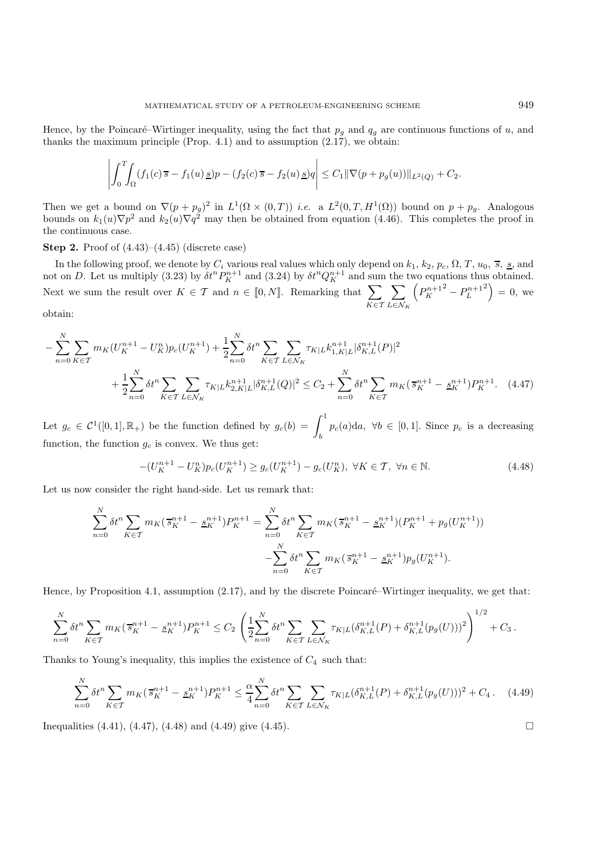$$
\left| \int_0^T \int_{\Omega} (f_1(c)\overline{s} - f_1(u) \underline{s})p - (f_2(c)\overline{s} - f_2(u) \underline{s})q \right| \leq C_1 ||\nabla(p + p_g(u))||_{L^2(Q)} + C_2.
$$

Then we get a bound on  $\nabla (p + p_g)^2$  in  $L^1(\Omega \times (0,T))$  *i.e.* a  $L^2(0,T,H^1(\Omega))$  bound on  $p + p_g$ . Analogous bounds on  $k_1(u)\nabla p^2$  and  $k_2(u)\nabla q^2$  may then be obtained from equation (4.46). This completes the proof in the continuous case.

**Step 2.** Proof of (4.43)–(4.45) (discrete case)

In the following proof, we denote by  $C_i$  various real values which only depend on  $k_1, k_2, p_c, \Omega, T, u_0, \overline{s}, \underline{s}$ , and not on D. Let us multiply (3.23) by  $\delta t^n P_K^{n+1}$  and (3.24) by  $\delta t^n Q_K^{n+1}$  and sum the two equations thus obtained. Next we sum the result over  $K \in \mathcal{T}$  and  $n \in [0, N]$ . Remarking that  $\sum_{i=1}^{N}$  $K \in \mathcal{T}$  $\sum$  $L \in \mathcal{N}_K$  $\left( P_K^{n+1^2} - P_L^{n+1} \right)$  $\binom{2}{1} = 0$ , we

obtain:

$$
-\sum_{n=0}^{N} \sum_{K \in \mathcal{T}} m_K (U_K^{n+1} - U_K^n) p_c (U_K^{n+1}) + \frac{1}{2} \sum_{n=0}^{N} \delta t^n \sum_{K \in \mathcal{T}} \sum_{L \in \mathcal{N}_K} \tau_{K|L} k_{1,K|L}^{n+1} |\delta_{K,L}^{n+1}(P)|^2
$$
  
+ 
$$
\frac{1}{2} \sum_{n=0}^{N} \delta t^n \sum_{K \in \mathcal{T}} \sum_{L \in \mathcal{N}_K} \tau_{K|L} k_{2,K|L}^{n+1} |\delta_{K,L}^{n+1}(Q)|^2 \leq C_2 + \sum_{n=0}^{N} \delta t^n \sum_{K \in \mathcal{T}} m_K (\overline{s}_K^{n+1} - \underline{s}_K^{n+1}) P_K^{n+1}.
$$
 (4.47)

Let  $g_c \in C^1([0,1], \mathbb{R}_+)$  be the function defined by  $g_c(b) = \int_b^1 p_c(a)da$ ,  $\forall b \in [0,1]$ . Since  $p_c$  is a decreasing function, the function  $g_c$  is convex. We thus get:

$$
-(U_K^{n+1} - U_K^n)p_c(U_K^{n+1}) \ge g_c(U_K^{n+1}) - g_c(U_K^n), \ \forall K \in \mathcal{T}, \ \forall n \in \mathbb{N}.
$$

Let us now consider the right hand-side. Let us remark that:

$$
\sum_{n=0}^{N} \delta t^{n} \sum_{K \in \mathcal{T}} m_{K} (\overline{s}_{K}^{n+1} - \underline{s}_{K}^{n+1}) P_{K}^{n+1} = \sum_{n=0}^{N} \delta t^{n} \sum_{K \in \mathcal{T}} m_{K} (\overline{s}_{K}^{n+1} - \underline{s}_{K}^{n+1}) (P_{K}^{n+1} + p_{g} (U_{K}^{n+1})) - \sum_{n=0}^{N} \delta t^{n} \sum_{K \in \mathcal{T}} m_{K} (\overline{s}_{K}^{n+1} - \underline{s}_{K}^{n+1}) p_{g} (U_{K}^{n+1}).
$$

Hence, by Proposition 4.1, assumption  $(2.17)$ , and by the discrete Poincaré–Wirtinger inequality, we get that:

$$
\sum_{n=0}^{N} \delta t^{n} \sum_{K \in \mathcal{T}} m_{K} (\overline{s}_{K}^{n+1} - \underline{s}_{K}^{n+1}) P_{K}^{n+1} \leq C_{2} \left( \frac{1}{2} \sum_{n=0}^{N} \delta t^{n} \sum_{K \in \mathcal{T}} \sum_{L \in \mathcal{N}_{K}} \tau_{K|L} (\delta_{K,L}^{n+1}(P) + \delta_{K,L}^{n+1}(p_{g}(U)))^{2} \right)^{1/2} + C_{3}.
$$

Thanks to Young's inequality, this implies the existence of  $C_4$  such that:

$$
\sum_{n=0}^{N} \delta t^{n} \sum_{K \in \mathcal{T}} m_{K} (\bar{s}_{K}^{n+1} - \underline{s}_{K}^{n+1}) P_{K}^{n+1} \leq \frac{\alpha}{4} \sum_{n=0}^{N} \delta t^{n} \sum_{K \in \mathcal{T}} \sum_{L \in \mathcal{N}_{K}} \tau_{K|L} (\delta_{K,L}^{n+1}(P) + \delta_{K,L}^{n+1}(p_{g}(U)))^{2} + C_{4}.
$$
 (4.49)

Inequalities (4.41), (4.47), (4.48) and (4.49) give (4.45).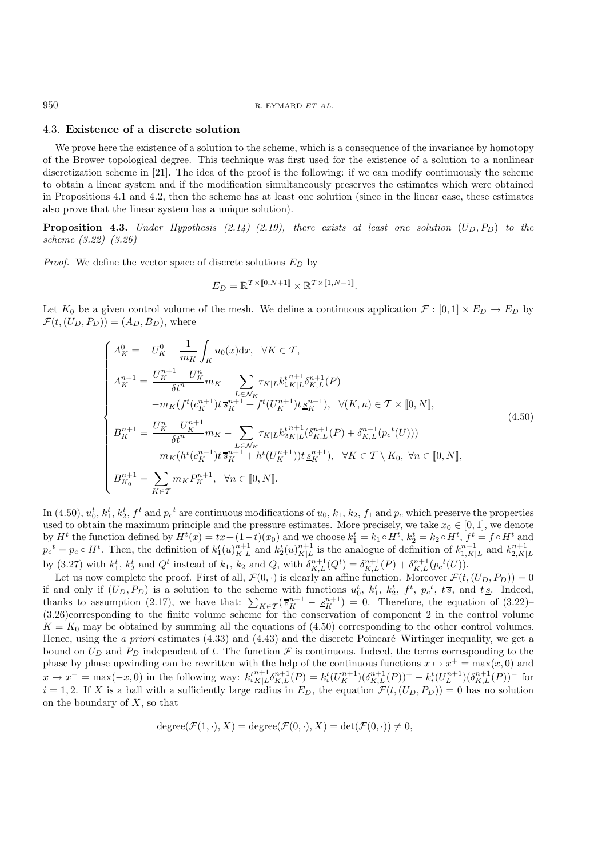#### 950 R. EYMARD  $ETAL$ .

### 4.3. **Existence of a discrete solution**

We prove here the existence of a solution to the scheme, which is a consequence of the invariance by homotopy of the Brower topological degree. This technique was first used for the existence of a solution to a nonlinear discretization scheme in [21]. The idea of the proof is the following: if we can modify continuously the scheme to obtain a linear system and if the modification simultaneously preserves the estimates which were obtained in Propositions 4.1 and 4.2, then the scheme has at least one solution (since in the linear case, these estimates also prove that the linear system has a unique solution).

**Proposition 4.3.** *Under Hypothesis*  $(2.14)$ *–* $(2.19)$ *, there exists at least one solution*  $(U_D, P_D)$  *to the scheme (3.22)–(3.26).*

*Proof.* We define the vector space of discrete solutions  $E_D$  by

$$
E_D = \mathbb{R}^{\mathcal{T} \times [\![0, N+1]\!]} \times \mathbb{R}^{\mathcal{T} \times [\![1, N+1]\!]}.
$$

Let  $K_0$  be a given control volume of the mesh. We define a continuous application  $\mathcal{F} : [0,1] \times E_D \to E_D$  by  $\mathcal{F}(t,(U_D,P_D)) = (A_D, B_D)$ , where

$$
\begin{cases}\nA_K^0 = U_K^0 - \frac{1}{m_K} \int_K u_0(x) dx, \quad \forall K \in \mathcal{T}, \\
A_K^{n+1} = \frac{U_K^{n+1} - U_K^n}{\delta t^n} m_K - \sum_{L \in \mathcal{N}_K} \tau_{K|L} k_1^{t n+1} \delta_{K,L}^{n+1}(P) \\
-m_K(f^t(c_K^{n+1}) t \overline{s}_K^{n+1} + f^t(U_K^{n+1}) t \underline{s}_K^{n+1}), \quad \forall (K, n) \in \mathcal{T} \times [0, N], \\
B_K^{n+1} = \frac{U_K^n - U_K^{n+1}}{\delta t^n} m_K - \sum_{L \in \mathcal{N}_K} \tau_{K|L} k_2^{t n+1} (\delta_{K,L}^{n+1}(P) + \delta_{K,L}^{n+1}(p_c^t(U))) \\
-m_K(h^t(c_K^{n+1}) t \overline{s}_K^{n+1} + h^t(U_K^{n+1})) t \underline{s}_K^{n+1}), \quad \forall K \in \mathcal{T} \setminus K_0, \forall n \in [0, N], \\
B_{K_0}^{n+1} = \sum_{K \in \mathcal{T}} m_K P_K^{n+1}, \quad \forall n \in [0, N].\n\end{cases} \tag{4.50}
$$

In (4.50),  $u_0^t$ ,  $k_1^t$ ,  $k_2^t$ ,  $f^t$  and  $p_c^t$  are continuous modifications of  $u_0$ ,  $k_1$ ,  $k_2$ ,  $f_1$  and  $p_c$  which preserve the properties used to obtain the maximum principle and the pressure estimates. More precisely, we take  $x_0 \in [0, 1]$ , we denote by  $H^t$  the function defined by  $H^t(x) = tx + (1-t)(x_0)$  and we choose  $k_1^t = k_1 \circ H^t$ ,  $k_2^t = k_2 \circ H^t$ ,  $f^t = f \circ H^t$  and  $p_c^t = p_c \circ H^t$ . Then, the definition of  $k_1^t(u)_{K|L}^{n+1}$  and  $k_2^t(u)_{K|L}^{n+1}$  is the analogue of definition of  $k_{1,K|L}^{n+1}$  and  $k_{2,K|L}^{n+1}$ by (3.27) with  $k_1^t$ ,  $k_2^t$  and  $Q^t$  instead of  $k_1$ ,  $k_2$  and  $Q$ , with  $\delta_{K,L}^{n+1}(Q^t) = \delta_{K,L}^{n+1}(P) + \delta_{K,L}^{n+1}(p_c^t(U)).$ 

Let us now complete the proof. First of all,  $\mathcal{F}(0, \cdot)$  is clearly an affine function. Moreover  $\mathcal{F}(t,(U_D, P_D)) = 0$ if and only if  $(U_D, P_D)$  is a solution to the scheme with functions  $u_0^t$ ,  $k_1^t$ ,  $k_2^t$ ,  $f^t$ ,  $p_c^t$ ,  $t\overline{s}$ , and  $t\underline{s}$ . Indeed, thanks to assumption (2.17), we have that:  $\sum_{K \in \mathcal{T}} (\overline{s}_{K}^{n+1} - \underline{s}_{K}^{n+1}) = 0$ . Therefore, the equation of (3.22)– (3.26)corresponding to the finite volume scheme for the conservation of component 2 in the control volume  $K = K_0$  may be obtained by summing all the equations of (4.50) corresponding to the other control volumes. Hence, using the *a priori* estimates (4.33) and (4.43) and the discrete Poincaré–Wirtinger inequality, we get a bound on  $U_D$  and  $P_D$  independent of t. The function  $\mathcal F$  is continuous. Indeed, the terms corresponding to the phase by phase upwinding can be rewritten with the help of the continuous functions  $x \mapsto x^+ = \max(x, 0)$  and  $x \mapsto x^- = \max(-x, 0)$  in the following way:  $k_{iK|L}^{t^{n+1}} \delta_{K,L}^{n+1}(P) = k_i^t(U_K^{n+1})(\delta_{K,L}^{n+1}(P)) + k_i^t(U_L^{n+1})(\delta_{K,L}^{n+1}(P))$  for  $i = 1, 2$ . If X is a ball with a sufficiently large radius in  $E_D$ , the equation  $\mathcal{F}(t,(U_D, P_D)) = 0$  has no solution on the boundary of  $X$ , so that

$$
degree(\mathcal{F}(1,\cdot),X) = degree(\mathcal{F}(0,\cdot),X) = det(\mathcal{F}(0,\cdot)) \neq 0,
$$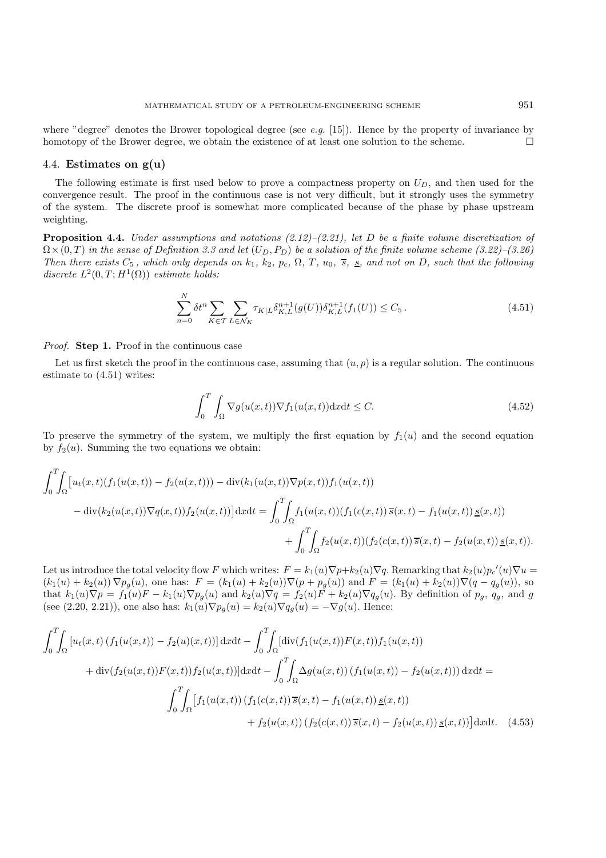where "degree" denotes the Brower topological degree (see *e.g.* [15]). Hence by the property of invariance by homotopy of the Brower degree, we obtain the existence of at least one solution to the scheme.

### 4.4. **Estimates on g(u)**

The following estimate is first used below to prove a compactness property on  $U_D$ , and then used for the convergence result. The proof in the continuous case is not very difficult, but it strongly uses the symmetry of the system. The discrete proof is somewhat more complicated because of the phase by phase upstream weighting.

**Proposition 4.4.** *Under assumptions and notations (2.12)–(2.21), let* D *be a finite volume discretization of*  $\Omega \times (0, T)$  *in the sense of Definition 3.3 and let*  $(U_D, P_D)$  *be a solution of the finite volume scheme (3.22)–(3.26). Then there exists*  $C_5$ *, which only depends on*  $k_1$ *,*  $k_2$ *,*  $p_c$ *,*  $\Omega$ *,*  $T$ *,*  $u_0$ *,*  $\overline{s}$ *,*  $\underline{s}$ *,* and not on D*,* such that the following *discrete*  $L^2(0,T;H^1(\Omega))$  *estimate holds:* 

$$
\sum_{n=0}^{N} \delta t^{n} \sum_{K \in \mathcal{T}} \sum_{L \in \mathcal{N}_{K}} \tau_{K|L} \delta_{K,L}^{n+1}(g(U)) \delta_{K,L}^{n+1}(f_{1}(U)) \leq C_{5}.
$$
\n(4.51)

*Proof.* **Step 1.** Proof in the continuous case

Let us first sketch the proof in the continuous case, assuming that  $(u, p)$  is a regular solution. The continuous estimate to (4.51) writes:

$$
\int_0^T \int_{\Omega} \nabla g(u(x,t)) \nabla f_1(u(x,t)) \, dx \, dt \le C. \tag{4.52}
$$

To preserve the symmetry of the system, we multiply the first equation by  $f_1(u)$  and the second equation by  $f_2(u)$ . Summing the two equations we obtain:

$$
\int_0^T \int_{\Omega} \left[ u_t(x,t)(f_1(u(x,t)) - f_2(u(x,t))) - \text{div}(k_1(u(x,t))\nabla p(x,t))f_1(u(x,t)) \right] dx dt = \int_0^T \int_{\Omega} f_1(u(x,t))(f_1(c(x,t))\,\overline{s}(x,t) - f_1(u(x,t))\,\underline{s}(x,t)) + \int_0^T \int_{\Omega} f_2(u(x,t))(f_2(c(x,t))\,\overline{s}(x,t) - f_2(u(x,t))\,\underline{s}(x,t)).
$$

Let us introduce the total velocity flow F which writes:  $F = k_1(u)\nabla p + k_2(u)\nabla q$ . Remarking that  $k_2(u)p_c'(u)\nabla u =$  $(k_1(u) + k_2(u)) \nabla p_g(u)$ , one has:  $F = (k_1(u) + k_2(u)) \nabla (p + p_g(u))$  and  $F = (k_1(u) + k_2(u)) \nabla (q - q_g(u))$ , so that  $k_1(u)\nabla p = f_1(u)F - k_1(u)\nabla p_g(u)$  and  $k_2(u)\nabla q = f_2(u)F + k_2(u)\nabla q_g(u)$ . By definition of  $p_g$ ,  $q_g$ , and g (see (2.20, 2.21)), one also has:  $k_1(u)\nabla p_g(u) = k_2(u)\nabla q_g(u) = -\nabla g(u)$ . Hence:

$$
\int_{0}^{T} \int_{\Omega} \left[ u_{t}(x,t) \left( f_{1}(u(x,t)) - f_{2}(u)(x,t) \right) \right] dx dt - \int_{0}^{T} \int_{\Omega} \left[ \operatorname{div}(f_{1}(u(x,t))F(x,t)) f_{1}(u(x,t)) + \operatorname{div}(f_{2}(u(x,t))F(x,t)) f_{2}(u(x,t)) \right] dx dt - \int_{0}^{T} \int_{\Omega} \Delta g(u(x,t)) \left( f_{1}(u(x,t)) - f_{2}(u(x,t)) \right) dx dt =
$$
\n
$$
\int_{0}^{T} \int_{\Omega} \left[ f_{1}(u(x,t)) \left( f_{1}(c(x,t)) \overline{s}(x,t) - f_{1}(u(x,t)) \underline{s}(x,t) \right) \right] dx dt - \int_{0}^{T} \int_{\Omega} \left[ f_{1}(u(x,t)) \left( f_{1}(c(x,t)) \overline{s}(x,t) - f_{2}(u(x,t)) \underline{s}(x,t) \right) \right] dx dt. \quad (4.53)
$$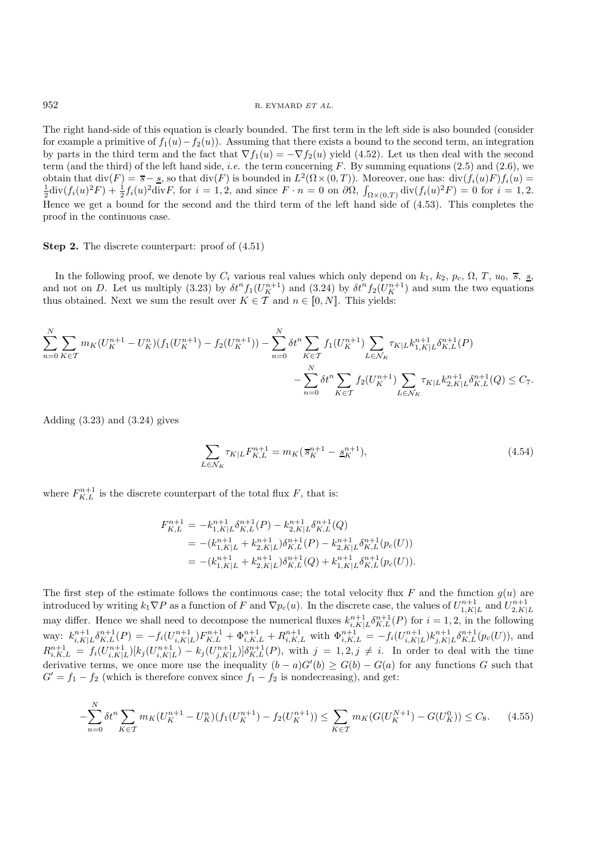The right hand-side of this equation is clearly bounded. The first term in the left side is also bounded (consider for example a primitive of  $f_1(u)-f_2(u)$ . Assuming that there exists a bound to the second term, an integration by parts in the third term and the fact that  $\nabla f_1(u) = -\nabla f_2(u)$  yield (4.52). Let us then deal with the second term (and the third) of the left hand side, *i.e.* the term concerning F. By summing equations (2.5) and (2.6), we obtain that  $div(F) = \overline{s} - \underline{s}$ , so that  $div(F)$  is bounded in  $L^2(\Omega \times (0,T))$ . Moreover, one has:  $div(f_i(u)F)f_i(u) =$  $\frac{1}{2}$ div $(f_i(u)^2 F) + \frac{1}{2} f_i(u)^2$ divF, for  $i = 1, 2$ , and since  $F \cdot n = 0$  on  $\partial \Omega$ ,  $\int_{\Omega \times (0,T)} \text{div}(f_i(u)^2 F) = 0$  for  $i = 1, 2$ . Hence we get a bound for the second and the third term of the left hand side of (4.53). This completes the proof in the continuous case.

### **Step 2.** The discrete counterpart: proof of  $(4.51)$

In the following proof, we denote by  $C_i$  various real values which only depend on  $k_1$ ,  $k_2$ ,  $p_c$ ,  $\Omega$ ,  $T$ ,  $u_0$ ,  $\overline{s}$ ,  $\underline{s}$ , and not on D. Let us multiply (3.23) by  $\delta t^n f_1(U_K^{n+1})$  and (3.24) by  $\delta t^n f_2(U_K^{n+1})$  and sum the two equations thus obtained. Next we sum the result over  $K \in \mathcal{T}$  and  $n \in [0, N]$ . This yields:

$$
\sum_{n=0}^{N} \sum_{K \in \mathcal{T}} m_K (U_K^{n+1} - U_K^n) (f_1(U_K^{n+1}) - f_2(U_K^{n+1})) - \sum_{n=0}^{N} \delta t^n \sum_{K \in \mathcal{T}} f_1(U_K^{n+1}) \sum_{L \in \mathcal{N}_K} \tau_{K|L} k_{1,K|L}^{n+1} \delta_{K,L}^{n+1}(P) - \sum_{n=0}^{N} \delta t^n \sum_{K \in \mathcal{T}} f_2(U_K^{n+1}) \sum_{L \in \mathcal{N}_K} \tau_{K|L} k_{2,K|L}^{n+1} \delta_{K,L}^{n+1}(Q) \le C_7.
$$

Adding  $(3.23)$  and  $(3.24)$  gives

$$
\sum_{L \in \mathcal{N}_K} \tau_{K|L} F_{K,L}^{n+1} = m_K (\overline{s}_K^{n+1} - \underline{s}_K^{n+1}), \tag{4.54}
$$

where  $F_{K,L}^{n+1}$  is the discrete counterpart of the total flux F, that is:

$$
F_{K,L}^{n+1} = -k_{1,K|L}^{n+1} \delta_{K,L}^{n+1}(P) - k_{2,K|L}^{n+1} \delta_{K,L}^{n+1}(Q)
$$
  
= 
$$
-(k_{1,K|L}^{n+1} + k_{2,K|L}^{n+1}) \delta_{K,L}^{n+1}(P) - k_{2,K|L}^{n+1} \delta_{K,L}^{n+1}(p_c(U))
$$
  
= 
$$
-(k_{1,K|L}^{n+1} + k_{2,K|L}^{n+1}) \delta_{K,L}^{n+1}(Q) + k_{1,K|L}^{n+1} \delta_{K,L}^{n+1}(p_c(U)).
$$

The first step of the estimate follows the continuous case; the total velocity flux F and the function  $g(u)$  are introduced by writing  $k_1 \nabla P$  as a function of F and  $\nabla p_c(u)$ . In the discrete case, the values of  $U_{1,K|L}^{n+1}$  and  $U_{2,K|}^{n+1}$ may differ. Hence we shall need to decompose the numerical fluxes  $k_{i,K|L}^{n+1} \delta_{K,L}^{n+1}(P)$  for  $i = 1, 2$ , in the following  $\text{way: } k_{i,K|L}^{n+1} \delta_{K,L}^{n+1}(P) = -f_i(U_{i,K|L}^{n+1}) F_{K,L}^{n+1} + \Phi_{i,K,L}^{n+1} + R_{i,K,L}^{n+1} \text{ with } \Phi_{i,K,L}^{n+1} = -f_i(U_{i,K|L}^{n+1}) k_{j,K|L}^{n+1} \delta_{K,L}^{n+1}(p_c(U)), \text{ and }$  $R_{i,K,L}^{n+1} = f_i(U_{i,K|L}^{n+1})[k_j(U_{i,K|L}^{n+1}) - k_j(U_{j,K|L}^{n+1})]\delta_{K,L}^{n+1}(P)$ , with  $j = 1, 2, j \neq i$ . In order to deal with the time derivative terms, we once more use the inequality  $(b - a)G'(b) \ge G(b) - G(a)$  for any functions G such that  $G' = f_1 - f_2$  (which is therefore convex since  $f_1 - f_2$  is nondecreasing), and get:

$$
-\sum_{n=0}^{N} \delta t^{n} \sum_{K \in \mathcal{T}} m_{K} (U_{K}^{n+1} - U_{K}^{n}) (f_{1}(U_{K}^{n+1}) - f_{2}(U_{K}^{n+1})) \leq \sum_{K \in \mathcal{T}} m_{K} (G(U_{K}^{N+1}) - G(U_{K}^{0})) \leq C_{8}.
$$
 (4.55)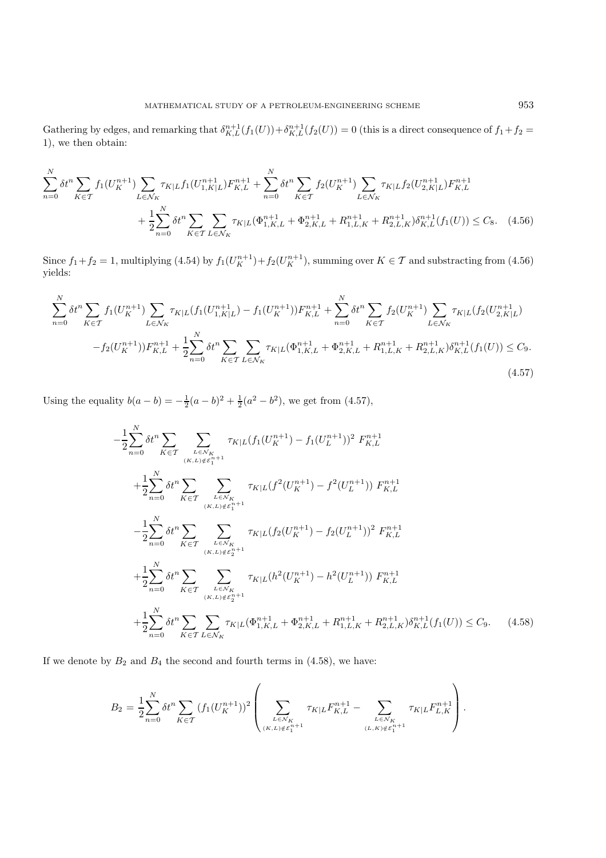Gathering by edges, and remarking that  $\delta^{n+1}_{K,L}(f_1(U)) + \delta^{n+1}_{K,L}(f_2(U)) = 0$  (this is a direct consequence of  $f_1 + f_2 =$ 1), we then obtain:

$$
\sum_{n=0}^{N} \delta t^{n} \sum_{K \in \mathcal{T}} f_{1}(U_{K}^{n+1}) \sum_{L \in \mathcal{N}_{K}} \tau_{K|L} f_{1}(U_{1,K|L}^{n+1}) F_{K,L}^{n+1} + \sum_{n=0}^{N} \delta t^{n} \sum_{K \in \mathcal{T}} f_{2}(U_{K}^{n+1}) \sum_{L \in \mathcal{N}_{K}} \tau_{K|L} f_{2}(U_{2,K|L}^{n+1}) F_{K,L}^{n+1} + \frac{1}{2} \sum_{n=0}^{N} \delta t^{n} \sum_{K \in \mathcal{T}} \sum_{L \in \mathcal{N}_{K}} \tau_{K|L} (\Phi_{1,K,L}^{n+1} + \Phi_{2,K,L}^{n+1} + R_{1,L,K}^{n+1} + R_{2,L,K}^{n+1}) \delta_{K,L}^{n+1}(f_{1}(U)) \leq C_{8}.
$$
 (4.56)

Since  $f_1 + f_2 = 1$ , multiplying (4.54) by  $f_1(U_K^{n+1}) + f_2(U_K^{n+1})$ , summing over  $K \in \mathcal{T}$  and substracting from (4.56) yields:

$$
\sum_{n=0}^{N} \delta t^{n} \sum_{K \in \mathcal{T}} f_{1}(U_{K}^{n+1}) \sum_{L \in \mathcal{N}_{K}} \tau_{K|L}(f_{1}(U_{1,K|L}^{n+1}) - f_{1}(U_{K}^{n+1})) F_{K,L}^{n+1} + \sum_{n=0}^{N} \delta t^{n} \sum_{K \in \mathcal{T}} f_{2}(U_{K}^{n+1}) \sum_{L \in \mathcal{N}_{K}} \tau_{K|L}(f_{2}(U_{2,K|L}^{n+1}))
$$

$$
-f_{2}(U_{K}^{n+1})) F_{K,L}^{n+1} + \frac{1}{2} \sum_{n=0}^{N} \delta t^{n} \sum_{K \in \mathcal{T}} \sum_{L \in \mathcal{N}_{K}} \tau_{K|L}(\Phi_{1,K,L}^{n+1} + \Phi_{2,K,L}^{n+1} + R_{1,L,K}^{n+1} + R_{2,L,K}^{n+1}) \delta_{K,L}^{n+1}(f_{1}(U)) \leq C_{9}.
$$
\n(4.57)

Using the equality  $b(a - b) = -\frac{1}{2}(a - b)^2 + \frac{1}{2}(a^2 - b^2)$ , we get from (4.57),

−1

$$
\frac{1}{2} \sum_{n=0}^{N} \delta t^{n} \sum_{K \in \mathcal{T}} \sum_{L \in \mathcal{N}_{K} \atop (K, L) \notin \mathcal{E}_{1}^{n+1}} \tau_{K|L}(f_{1}(U_{K}^{n+1}) - f_{1}(U_{L}^{n+1}))^{2} F_{K,L}^{n+1} + \frac{1}{2} \sum_{n=0}^{N} \delta t^{n} \sum_{K \in \mathcal{T}} \sum_{L \in \mathcal{N}_{K} \atop (K, L) \notin \mathcal{E}_{1}^{n+1}} \tau_{K|L}(f^{2}(U_{K}^{n+1}) - f^{2}(U_{L}^{n+1})) F_{K,L}^{n+1} - \frac{1}{2} \sum_{n=0}^{N} \delta t^{n} \sum_{K \in \mathcal{T}} \sum_{L \in \mathcal{N}_{K} \atop (K, L) \notin \mathcal{E}_{2}^{n+1}} \tau_{K|L}(f_{2}(U_{K}^{n+1}) - f_{2}(U_{L}^{n+1}))^{2} F_{K,L}^{n+1} + \frac{1}{2} \sum_{n=0}^{N} \delta t^{n} \sum_{K \in \mathcal{T}} \sum_{L \in \mathcal{N}_{K} \atop (K, L) \notin \mathcal{E}_{2}^{n+1}} \tau_{K|L}(h^{2}(U_{K}^{n+1}) - h^{2}(U_{L}^{n+1})) F_{K,L}^{n+1} + \frac{1}{2} \sum_{n=0}^{N} \delta t^{n} \sum_{K \in \mathcal{T}} \sum_{L \in \mathcal{N}_{K}} \tau_{K|L}(\Phi_{1,K,L}^{n+1} + \Phi_{2,K,L}^{n+1} + R_{1,L,K}^{n+1} + R_{2,L,K}^{n+1}) \delta_{K,L}^{n+1}(f_{1}(U)) \leq C_{9}.
$$
 (4.58)

If we denote by  $B_2$  and  $B_4$  the second and fourth terms in (4.58), we have:

$$
B_2 = \frac{1}{2} \sum_{n=0}^{N} \delta t^n \sum_{K \in \mathcal{T}} (f_1(U_K^{n+1}))^2 \left( \sum_{L \in \mathcal{N}_K \atop (K,L) \notin \mathcal{E}_1^{n+1}} \tau_{K|L} F_{K,L}^{n+1} - \sum_{L \in \mathcal{N}_K \atop (L,K) \notin \mathcal{E}_1^{n+1}} \tau_{K|L} F_{L,K}^{n+1} \right).
$$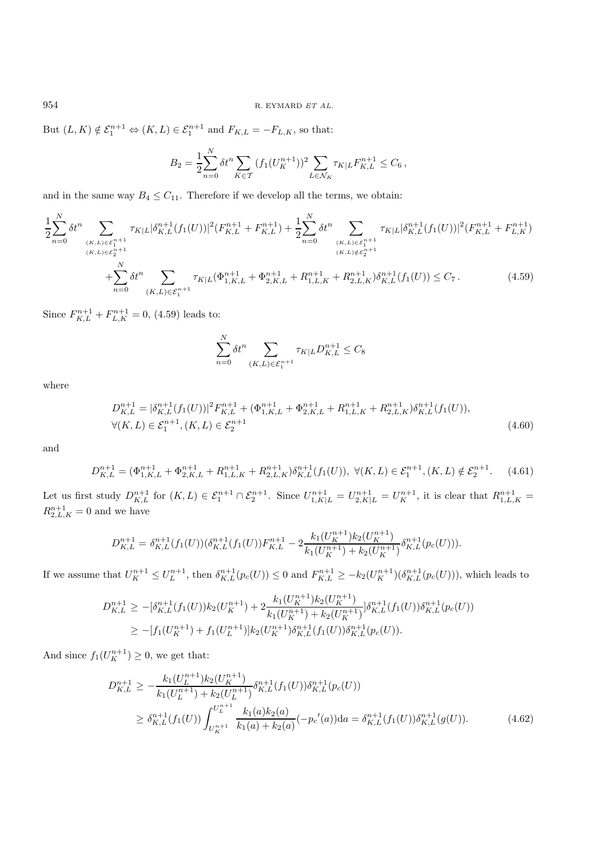But  $(L, K) \notin \mathcal{E}_1^{n+1} \Leftrightarrow (K, L) \in \mathcal{E}_1^{n+1}$  and  $F_{K,L} = -F_{L,K}$ , so that:

$$
B_2 = \frac{1}{2} \sum_{n=0}^{N} \delta t^n \sum_{K \in \mathcal{T}} (f_1(U_K^{n+1}))^2 \sum_{L \in \mathcal{N}_K} \tau_{K|L} F_{K,L}^{n+1} \leq C_6,
$$

and in the same way  $B_4 \leq C_{11}$ . Therefore if we develop all the terms, we obtain:

$$
\frac{1}{2} \sum_{n=0}^{N} \delta t^{n} \sum_{\substack{(K,L) \in \mathcal{E}_{1}^{n+1} \\ (K,L) \in \mathcal{E}_{2}^{n+1} \\ n \geq 0}} \tau_{K|L} |\delta_{K,L}^{n+1}(f_{1}(U))|^{2} (F_{K,L}^{n+1} + F_{K,L}^{n+1}) + \frac{1}{2} \sum_{n=0}^{N} \delta t^{n} \sum_{\substack{(K,L) \in \mathcal{E}_{1}^{n+1} \\ (K,L) \notin \mathcal{E}_{2}^{n+1} \\ n \geq 0}} \tau_{K|L} |\delta_{K,L}^{n+1}(f_{1}(U))|^{2} (F_{K,L}^{n+1} + F_{L,K}^{n+1}) + \sum_{\substack{(K,L) \notin \mathcal{E}_{2}^{n+1} \\ (K,L) \notin \mathcal{E}_{2}^{n+1} \\ n \geq 0}} \tau_{K|L} |\delta_{K,L}^{n+1}(f_{1}(U))|^{2} (F_{K,L}^{n+1} + F_{L,K}^{n+1})
$$
\n
$$
+ \sum_{n=0}^{N} \delta t^{n} \sum_{(K,L) \in \mathcal{E}_{1}^{n+1}} \tau_{K|L} (\Phi_{1,K,L}^{n+1} + \Phi_{2,K,L}^{n+1} + R_{1,L,K}^{n+1} + R_{2,L,K}^{n+1}) \delta_{K,L}^{n+1}(f_{1}(U)) \leq C_{7}.
$$
\n
$$
(4.59)
$$

Since  $F_{K,L}^{n+1} + F_{L,K}^{n+1} = 0$ , (4.59) leads to:

$$
\sum_{n=0}^{N} \delta t^n \sum_{(K,L)\in \mathcal{E}_1^{n+1}} \tau_{K|L} D_{K,L}^{n+1} \le C_8
$$

where

$$
D_{K,L}^{n+1} = |\delta_{K,L}^{n+1}(f_1(U))|^2 F_{K,L}^{n+1} + (\Phi_{1,K,L}^{n+1} + \Phi_{2,K,L}^{n+1} + R_{1,L,K}^{n+1} + R_{2,L,K}^{n+1}) \delta_{K,L}^{n+1}(f_1(U)),
$$
  

$$
\forall (K,L) \in \mathcal{E}_1^{n+1}, (K,L) \in \mathcal{E}_2^{n+1}
$$
 (4.60)

and

$$
D_{K,L}^{n+1} = (\Phi_{1,K,L}^{n+1} + \Phi_{2,K,L}^{n+1} + R_{1,L,K}^{n+1} + R_{2,L,K}^{n+1})\delta_{K,L}^{n+1}(f_1(U)), \ \forall (K,L) \in \mathcal{E}_1^{n+1}, (K,L) \notin \mathcal{E}_2^{n+1}.\tag{4.61}
$$

Let us first study  $D_{K,L}^{n+1}$  for  $(K, L) \in \mathcal{E}_1^{n+1} \cap \mathcal{E}_2^{n+1}$ . Since  $U_{1,K|L}^{n+1} = U_{2,K|L}^{n+1} = U_K^{n+1}$ , it is clear that  $R_{1,L,K}^{n+1} =$  $R_{2,L,K}^{n+1}=0$  and we have

$$
D_{K,L}^{n+1} = \delta_{K,L}^{n+1}(f_1(U))(\delta_{K,L}^{n+1}(f_1(U))F_{K,L}^{n+1} - 2\frac{k_1(U_K^{n+1})k_2(U_K^{n+1})}{k_1(U_K^{n+1}) + k_2(U_K^{n+1})}\delta_{K,L}^{n+1}(p_c(U))).
$$

If we assume that  $U_K^{n+1} \leq U_L^{n+1}$ , then  $\delta_{K,L}^{n+1}(p_c(U)) \leq 0$  and  $F_{K,L}^{n+1} \geq -k_2(U_K^{n+1})(\delta_{K,L}^{n+1}(p_c(U))),$  which leads to

$$
D_{K,L}^{n+1} \ge -[\delta_{K,L}^{n+1}(f_1(U))k_2(U_K^{n+1}) + 2\frac{k_1(U_K^{n+1})k_2(U_K^{n+1})}{k_1(U_K^{n+1}) + k_2(U_K^{n+1})}]\delta_{K,L}^{n+1}(f_1(U))\delta_{K,L}^{n+1}(p_c(U))
$$
  
\n
$$
\ge -[f_1(U_K^{n+1}) + f_1(U_L^{n+1})]k_2(U_K^{n+1})\delta_{K,L}^{n+1}(f_1(U))\delta_{K,L}^{n+1}(p_c(U)).
$$

And since  $f_1(U_K^{n+1}) \geq 0$ , we get that:

$$
D_{K,L}^{n+1} \geq -\frac{k_1(U_L^{n+1})k_2(U_K^{n+1})}{k_1(U_L^{n+1}) + k_2(U_L^{n+1})} \delta_{K,L}^{n+1}(f_1(U)) \delta_{K,L}^{n+1}(p_c(U))
$$
  
\n
$$
\geq \delta_{K,L}^{n+1}(f_1(U)) \int_{U_K^{n+1}}^{U_L^{n+1}} \frac{k_1(a)k_2(a)}{k_1(a) + k_2(a)} (-p_c'(a)) da = \delta_{K,L}^{n+1}(f_1(U)) \delta_{K,L}^{n+1}(g(U)). \tag{4.62}
$$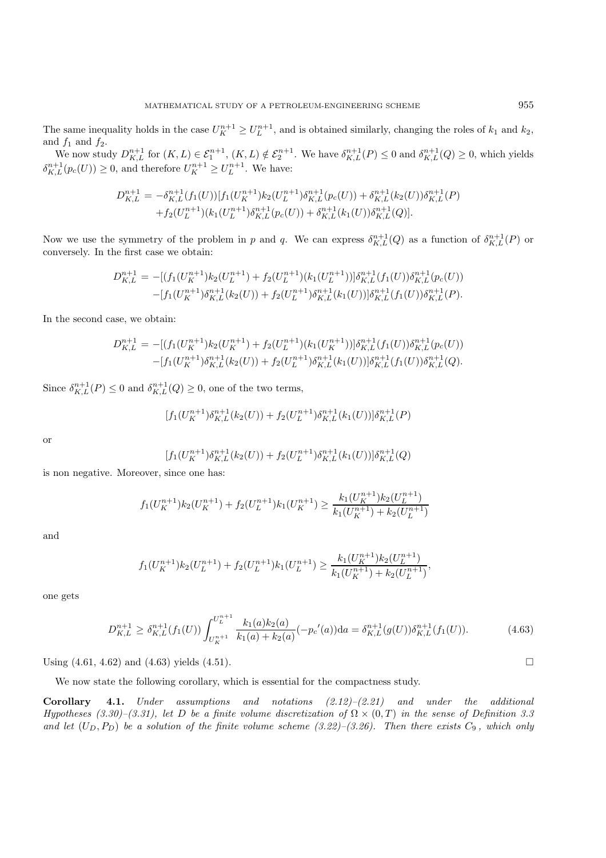The same inequality holds in the case  $U_K^{n+1} \ge U_L^{n+1}$ , and is obtained similarly, changing the roles of  $k_1$  and  $k_2$ , and  $f_1$  and  $f_2$ .

We now study  $D_{K,L}^{n+1}$  for  $(K,L) \in \mathcal{E}_1^{n+1}$ ,  $(K,L) \notin \mathcal{E}_2^{n+1}$ . We have  $\delta_{K,L}^{n+1}(P) \leq 0$  and  $\delta_{K,L}^{n+1}(Q) \geq 0$ , which yields  $\delta_{K,L}^{n+1}(p_c(U)) \geq 0$ , and therefore  $U_K^{n+1} \geq U_L^{n+1}$ . We have:

$$
D_{K,L}^{n+1} = -\delta_{K,L}^{n+1}(f_1(U))[f_1(U_{K}^{n+1})k_2(U_{L}^{n+1})\delta_{K,L}^{n+1}(p_c(U)) + \delta_{K,L}^{n+1}(k_2(U))\delta_{K,L}^{n+1}(P) +f_2(U_{L}^{n+1})(k_1(U_{L}^{n+1})\delta_{K,L}^{n+1}(p_c(U)) + \delta_{K,L}^{n+1}(k_1(U))\delta_{K,L}^{n+1}(Q)).
$$

Now we use the symmetry of the problem in p and q. We can express  $\delta^{n+1}_{K,L}(Q)$  as a function of  $\delta^{n+1}_{K,L}(P)$  or conversely. In the first case we obtain:

$$
D_{K,L}^{n+1} = -[(f_1(U_K^{n+1})k_2(U_L^{n+1}) + f_2(U_L^{n+1})(k_1(U_L^{n+1}))]\delta_{K,L}^{n+1}(f_1(U))\delta_{K,L}^{n+1}(p_c(U))
$$
  
 
$$
-[f_1(U_K^{n+1})\delta_{K,L}^{n+1}(k_2(U)) + f_2(U_L^{n+1})\delta_{K,L}^{n+1}(k_1(U))] \delta_{K,L}^{n+1}(f_1(U))\delta_{K,L}^{n+1}(P).
$$

In the second case, we obtain:

$$
D_{K,L}^{n+1} = -[(f_1(U_K^{n+1})k_2(U_K^{n+1}) + f_2(U_L^{n+1})(k_1(U_K^{n+1}))]\delta_{K,L}^{n+1}(f_1(U))\delta_{K,L}^{n+1}(p_c(U))
$$
  
 
$$
-[f_1(U_K^{n+1})\delta_{K,L}^{n+1}(k_2(U)) + f_2(U_L^{n+1})\delta_{K,L}^{n+1}(k_1(U))] \delta_{K,L}^{n+1}(f_1(U))\delta_{K,L}^{n+1}(Q).
$$

Since  $\delta^{n+1}_{K,L}(P) \leq 0$  and  $\delta^{n+1}_{K,L}(Q) \geq 0$ , one of the two terms,

$$
[f_1(U_K^{n+1})\delta_{K,L}^{n+1}(k_2(U)) + f_2(U_L^{n+1})\delta_{K,L}^{n+1}(k_1(U))] \delta_{K,L}^{n+1}(P)
$$

or

$$
[f_1(U_K^{n+1})\delta_{K,L}^{n+1}(k_2(U)) + f_2(U_L^{n+1})\delta_{K,L}^{n+1}(k_1(U))] \delta_{K,L}^{n+1}(Q)
$$

is non negative. Moreover, since one has:

$$
f_1(U_K^{n+1})k_2(U_K^{n+1}) + f_2(U_L^{n+1})k_1(U_K^{n+1}) \ge \frac{k_1(U_K^{n+1})k_2(U_L^{n+1})}{k_1(U_K^{n+1}) + k_2(U_L^{n+1})}
$$

and

$$
f_1(U_K^{n+1})k_2(U_L^{n+1}) + f_2(U_L^{n+1})k_1(U_L^{n+1}) \ge \frac{k_1(U_K^{n+1})k_2(U_L^{n+1})}{k_1(U_K^{n+1}) + k_2(U_L^{n+1})},
$$

one gets

$$
D_{K,L}^{n+1} \ge \delta_{K,L}^{n+1}(f_1(U)) \int_{U_K^{n+1}}^{U_L^{n+1}} \frac{k_1(a)k_2(a)}{k_1(a) + k_2(a)} (-p_c'(a)) da = \delta_{K,L}^{n+1}(g(U)) \delta_{K,L}^{n+1}(f_1(U)).
$$
\n(4.63)

Using  $(4.61, 4.62)$  and  $(4.63)$  yields  $(4.51)$ .

We now state the following corollary, which is essential for the compactness study.

**Corollary 4.1.** *Under assumptions and notations (2.12)–(2.21) and under the additional Hypotheses (3.30)–(3.31), let* D *be a finite volume discretization of*  $\Omega \times (0,T)$  *in the sense of Definition 3.3* and let  $(U_D, P_D)$  be a solution of the finite volume scheme  $(3.22)$ – $(3.26)$ . Then there exists  $C_9$ , which only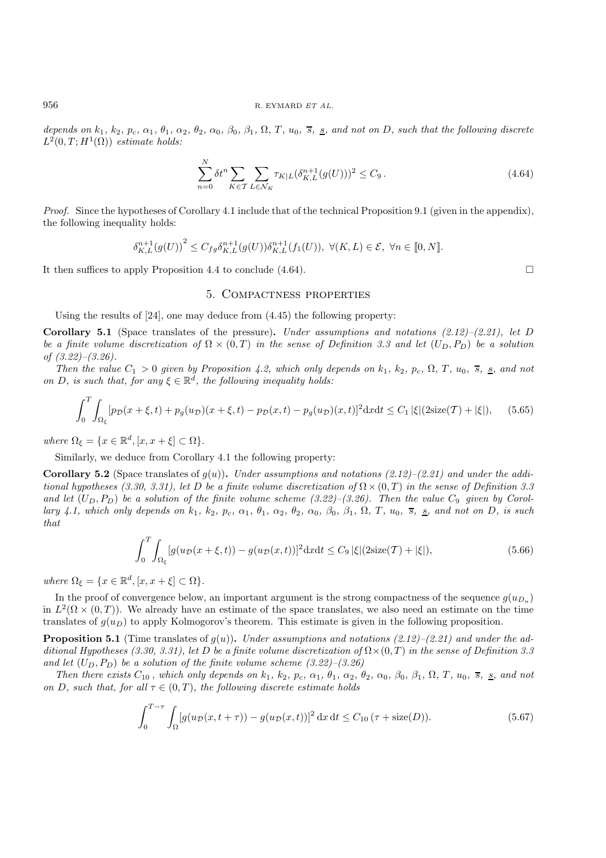depends on  $k_1$ ,  $k_2$ ,  $p_c$ ,  $\alpha_1$ ,  $\theta_1$ ,  $\alpha_2$ ,  $\theta_2$ ,  $\alpha_0$ ,  $\beta_0$ ,  $\beta_1$ ,  $\Omega$ ,  $T$ ,  $u_0$ ,  $\overline{s}$ ,  $\underline{s}$ , and not on  $D$ , such that the following discrete  $L^2(0,T;H^1(\Omega))$  *estimate holds:* 

$$
\sum_{n=0}^{N} \delta t^n \sum_{K \in \mathcal{T}} \sum_{L \in \mathcal{N}_K} \tau_{K|L} (\delta_{K,L}^{n+1}(g(U)))^2 \le C_9.
$$
\n(4.64)

*Proof.* Since the hypotheses of Corollary 4.1 include that of the technical Proposition 9.1 (given in the appendix), the following inequality holds:

$$
\delta_{K,L}^{n+1}(g(U))^{2} \leq C_{fg}\delta_{K,L}^{n+1}(g(U))\delta_{K,L}^{n+1}(f_{1}(U)), \ \forall (K,L)\in\mathcal{E},\ \forall n\in\llbracket 0,N\rrbracket.
$$

It then suffices to apply Proposition 4.4 to conclude (4.64).

#### 5. Compactness properties

Using the results of [24], one may deduce from (4.45) the following property:

**Corollary 5.1** (Space translates of the pressure)**.** *Under assumptions and notations (2.12)–(2.21), let* D *be a finite volume discretization of*  $\Omega \times (0,T)$  *in the sense of Definition 3.3 and let*  $(U_D, P_D)$  *be a solution of (3.22)–(3.26).*

*Then the value*  $C_1 > 0$  *given by Proposition 4.2, which only depends on*  $k_1$ ,  $k_2$ ,  $p_c$ ,  $\Omega$ ,  $T$ ,  $u_0$ ,  $\overline{s}$ ,  $\underline{s}$ , and not *on* D, is such that, for any  $\xi \in \mathbb{R}^d$ , the following inequality holds:

$$
\int_0^T \int_{\Omega_\xi} [p_{\mathcal{D}}(x+\xi,t) + p_g(u_{\mathcal{D}})(x+\xi,t) - p_{\mathcal{D}}(x,t) - p_g(u_{\mathcal{D}})(x,t)]^2 \mathrm{d}x \mathrm{d}t \le C_1 |\xi| (2 \mathrm{size}(\mathcal{T}) + |\xi|), \quad (5.65)
$$

*where*  $\Omega_{\xi} = \{x \in \mathbb{R}^d, [x, x + \xi] \subset \Omega\}.$ 

Similarly, we deduce from Corollary 4.1 the following property:

**Corollary 5.2** (Space translates of  $g(u)$ ). *Under assumptions and notations (2.12)–(2.21) and under the additional hypotheses (3.30, 3.31), let* D *be a finite volume discretization of*  $\Omega \times (0,T)$  *in the sense of Definition 3.3* and let  $(U_D, P_D)$  be a solution of the finite volume scheme  $(3.22)$ – $(3.26)$ . Then the value  $C_9$  *given by Corol*lary 4.1, which only depends on  $k_1$ ,  $k_2$ ,  $p_c$ ,  $\alpha_1$ ,  $\theta_1$ ,  $\alpha_2$ ,  $\theta_2$ ,  $\alpha_0$ ,  $\beta_0$ ,  $\beta_1$ ,  $\Omega$ , T,  $u_0$ ,  $\overline{s}$ ,  $\underline{s}$ , and not on D, is such *that*

$$
\int_0^T \int_{\Omega_\xi} \left[ g(u_\mathcal{D}(x+\xi,t)) - g(u_\mathcal{D}(x,t)) \right]^2 \mathrm{d}x \mathrm{d}t \le C_9 \left| \xi \right| (2 \mathrm{size}(\mathcal{T}) + |\xi|),\tag{5.66}
$$

*where*  $\Omega_{\xi} = \{x \in \mathbb{R}^d, [x, x + \xi] \subset \Omega\}.$ 

In the proof of convergence below, an important argument is the strong compactness of the sequence  $g(u_D)$ in  $L^2(\Omega \times (0,T))$ . We already have an estimate of the space translates, we also need an estimate on the time translates of  $q(u_D)$  to apply Kolmogorov's theorem. This estimate is given in the following proposition.

**Proposition 5.1** (Time translates of  $g(u)$ ). *Under assumptions and notations (2.12)–(2.21) and under the additional Hypotheses (3.30, 3.31), let* D *be a finite volume discretization of*  $\Omega \times (0, T)$  *in the sense of Definition 3.3* and let  $(U_D, P_D)$  be a solution of the finite volume scheme  $(3.22)$ – $(3.26)$ .

Then there exists  $C_{10}$ , which only depends on  $k_1$ ,  $k_2$ ,  $p_c$ ,  $\alpha_1$ ,  $\theta_1$ ,  $\alpha_2$ ,  $\theta_2$ ,  $\alpha_0$ ,  $\beta_0$ ,  $\beta_1$ ,  $\Omega$ ,  $T$ ,  $u_0$ ,  $\overline{s}$ ,  $\underline{s}$ , and not *on* D, such that, for all  $\tau \in (0, T)$ , the following discrete estimate holds

$$
\int_0^{T-\tau} \int_{\Omega} [g(u_{\mathcal{D}}(x, t+\tau)) - g(u_{\mathcal{D}}(x, t))]^2 dx dt \le C_{10} (\tau + \text{size}(D)).
$$
 (5.67)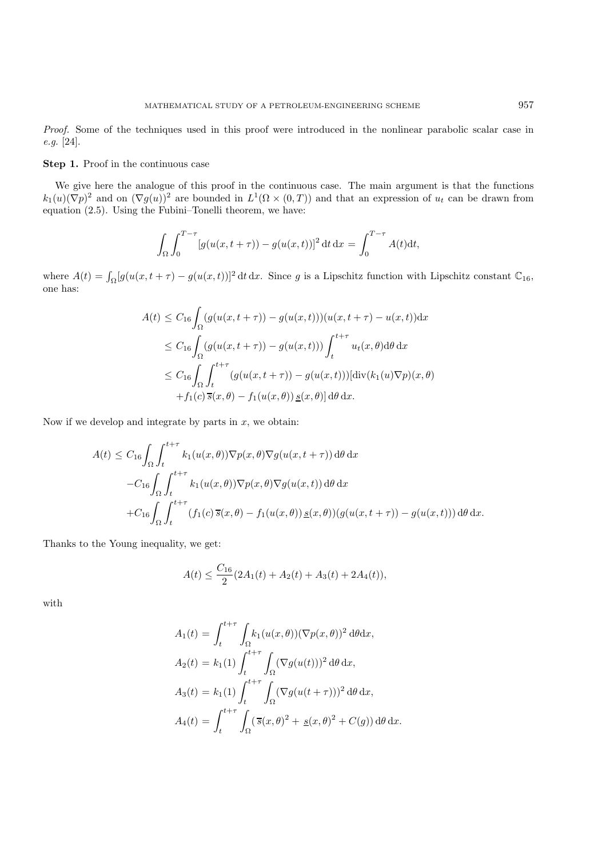*Proof.* Some of the techniques used in this proof were introduced in the nonlinear parabolic scalar case in *e.g.* [24].

### **Step 1.** Proof in the continuous case

We give here the analogue of this proof in the continuous case. The main argument is that the functions  $k_1(u)(\nabla p)^2$  and on  $(\nabla g(u))^2$  are bounded in  $L^1(\Omega \times (0,T))$  and that an expression of  $u_t$  can be drawn from equation (2.5). Using the Fubini–Tonelli theorem, we have:

$$
\int_{\Omega} \int_0^{T-\tau} [g(u(x, t+\tau)) - g(u(x, t))]^2 dt dx = \int_0^{T-\tau} A(t) dt,
$$

where  $A(t) = \int_{\Omega} [g(u(x, t + \tau) - g(u(x, t))]^2 dt dx$ . Since g is a Lipschitz function with Lipschitz constant  $\mathbb{C}_{16}$ , one has:

$$
A(t) \leq C_{16} \int_{\Omega} (g(u(x, t + \tau)) - g(u(x, t)))(u(x, t + \tau) - u(x, t)) dx
$$
  
\n
$$
\leq C_{16} \int_{\Omega} (g(u(x, t + \tau)) - g(u(x, t))) \int_{t}^{t + \tau} u_t(x, \theta) d\theta dx
$$
  
\n
$$
\leq C_{16} \int_{\Omega} \int_{t}^{t + \tau} (g(u(x, t + \tau)) - g(u(x, t))) [\text{div}(k_1(u)\nabla p)(x, \theta) + f_1(c)\overline{s}(x, \theta) - f_1(u(x, \theta)) \underline{s}(x, \theta)] d\theta dx.
$$

Now if we develop and integrate by parts in  $x$ , we obtain:

$$
A(t) \leq C_{16} \int_{\Omega} \int_{t}^{t+\tau} k_{1}(u(x,\theta)) \nabla p(x,\theta) \nabla g(u(x,t+\tau)) d\theta dx
$$
  

$$
-C_{16} \int_{\Omega} \int_{t}^{t+\tau} k_{1}(u(x,\theta)) \nabla p(x,\theta) \nabla g(u(x,t)) d\theta dx
$$
  

$$
+C_{16} \int_{\Omega} \int_{t}^{t+\tau} (f_{1}(c) \overline{s}(x,\theta) - f_{1}(u(x,\theta)) \underline{s}(x,\theta)) (g(u(x,t+\tau)) - g(u(x,t))) d\theta dx.
$$

Thanks to the Young inequality, we get:

$$
A(t) \le \frac{C_{16}}{2} (2A_1(t) + A_2(t) + A_3(t) + 2A_4(t)),
$$

with

$$
A_1(t) = \int_t^{t+\tau} \int_{\Omega} k_1(u(x,\theta)) (\nabla p(x,\theta))^2 d\theta dx,
$$
  
\n
$$
A_2(t) = k_1(1) \int_t^{t+\tau} \int_{\Omega} (\nabla g(u(t)))^2 d\theta dx,
$$
  
\n
$$
A_3(t) = k_1(1) \int_t^{t+\tau} \int_{\Omega} (\nabla g(u(t+\tau)))^2 d\theta dx,
$$
  
\n
$$
A_4(t) = \int_t^{t+\tau} \int_{\Omega} (\overline{s}(x,\theta)^2 + \underline{s}(x,\theta)^2 + C(g)) d\theta dx.
$$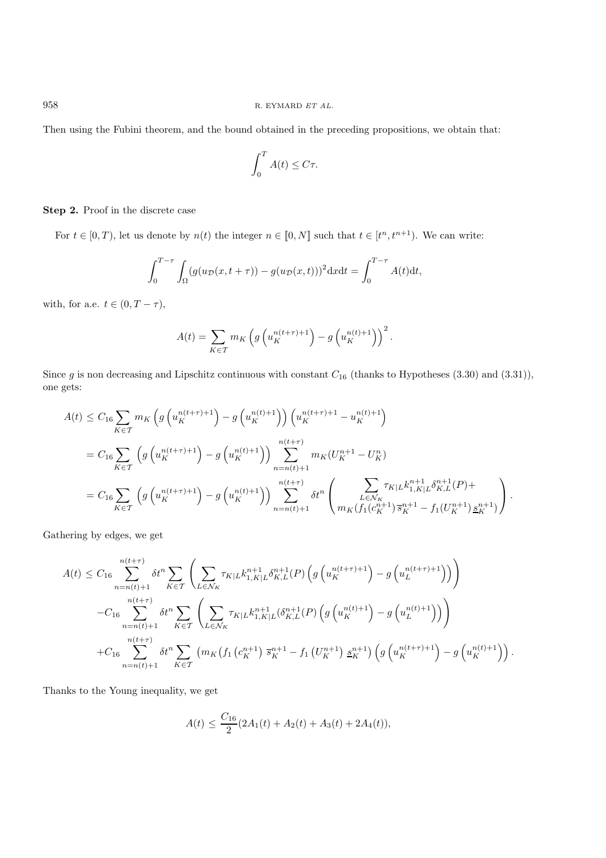Then using the Fubini theorem, and the bound obtained in the preceding propositions, we obtain that:

$$
\int_0^T A(t) \le C\tau.
$$

**Step 2.** Proof in the discrete case

For  $t \in [0, T)$ , let us denote by  $n(t)$  the integer  $n \in [0, N]$  such that  $t \in [t<sup>n</sup>, t<sup>n+1</sup>)$ . We can write:

$$
\int_0^{T-\tau} \int_{\Omega} (g(u_{\mathcal{D}}(x,t+\tau)) - g(u_{\mathcal{D}}(x,t)))^2 \mathrm{d}x \mathrm{d}t = \int_0^{T-\tau} A(t) \mathrm{d}t,
$$

with, for a.e.  $t \in (0, T - \tau)$ ,

$$
A(t) = \sum_{K \in \mathcal{T}} m_K \left( g \left( u_K^{n(t+\tau)+1} \right) - g \left( u_K^{n(t)+1} \right) \right)^2.
$$

Since g is non decreasing and Lipschitz continuous with constant  $C_{16}$  (thanks to Hypotheses (3.30) and (3.31)), one gets:

$$
A(t) \leq C_{16} \sum_{K \in \mathcal{T}} m_K \left( g \left( u_K^{n(t+\tau)+1} \right) - g \left( u_K^{n(t)+1} \right) \right) \left( u_K^{n(t+\tau)+1} - u_K^{n(t)+1} \right)
$$
  
\n
$$
= C_{16} \sum_{K \in \mathcal{T}} \left( g \left( u_K^{n(t+\tau)+1} \right) - g \left( u_K^{n(t)+1} \right) \right) \sum_{n=n(t)+1}^{n(t+\tau)} m_K(U_K^{n+1} - U_K^n)
$$
  
\n
$$
= C_{16} \sum_{K \in \mathcal{T}} \left( g \left( u_K^{n(t+\tau)+1} \right) - g \left( u_K^{n(t)+1} \right) \right) \sum_{n=n(t)+1}^{n(t+\tau)} \delta t^n \left( \sum_{L \in \mathcal{N}_K} \tau_{K|L} k_{1,K|L}^{n+1} \delta_{K,L}^{n+1}(P) + \sum_{K \in \mathcal{T}} k_{1,K|L} \delta_{K,L}^{n+1}(P) \right).
$$

Gathering by edges, we get

$$
A(t) \leq C_{16} \sum_{n=n(t)+1}^{n(t+\tau)} \delta t^{n} \sum_{K \in \mathcal{T}} \left( \sum_{L \in \mathcal{N}_{K}} \tau_{K|L} k_{1,K|L}^{n+1} \delta_{K,L}^{n+1}(P) \left( g \left( u_{K}^{n(t+\tau)+1} \right) - g \left( u_{L}^{n(t+\tau)+1} \right) \right) \right)
$$
  

$$
-C_{16} \sum_{n=n(t)+1}^{n(t+\tau)} \delta t^{n} \sum_{K \in \mathcal{T}} \left( \sum_{L \in \mathcal{N}_{K}} \tau_{K|L} k_{1,K|L}^{n+1} (\delta_{K,L}^{n+1}(P) \left( g \left( u_{K}^{n(t)+1} \right) - g \left( u_{L}^{n(t)+1} \right) \right) \right)
$$
  

$$
+C_{16} \sum_{n=n(t)+1}^{n(t+\tau)} \delta t^{n} \sum_{K \in \mathcal{T}} \left( m_{K} \left( f_{1} \left( c_{K}^{n+1} \right) \overline{s}_{K}^{n+1} - f_{1} \left( U_{K}^{n+1} \right) \underline{s}_{K}^{n+1} \right) \left( g \left( u_{K}^{n(t+\tau)+1} \right) - g \left( u_{K}^{n(t)+1} \right) \right) \right).
$$

Thanks to the Young inequality, we get

$$
A(t) \le \frac{C_{16}}{2}(2A_1(t) + A_2(t) + A_3(t) + 2A_4(t)),
$$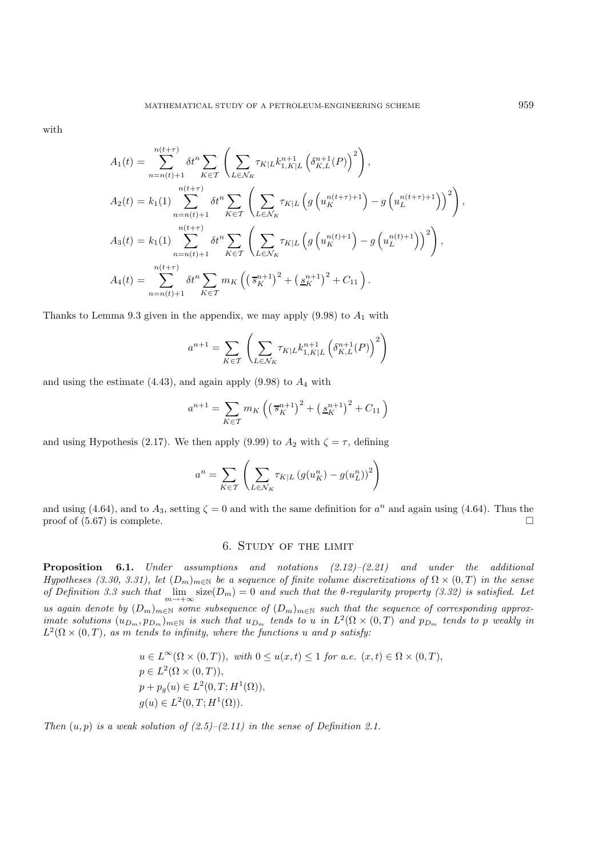with

$$
A_{1}(t) = \sum_{n=n(t)+1}^{n(t+\tau)} \delta t^{n} \sum_{K \in \mathcal{T}} \left( \sum_{L \in \mathcal{N}_{K}} \tau_{K|L} k_{1,K|L}^{n+1} \left( \delta_{K,L}^{n+1}(P) \right)^{2} \right),
$$
  
\n
$$
A_{2}(t) = k_{1}(1) \sum_{n=n(t)+1}^{n(t+\tau)} \delta t^{n} \sum_{K \in \mathcal{T}} \left( \sum_{L \in \mathcal{N}_{K}} \tau_{K|L} \left( g \left( u_{K}^{n(t+\tau)+1} \right) - g \left( u_{L}^{n(t+\tau)+1} \right) \right)^{2} \right),
$$
  
\n
$$
A_{3}(t) = k_{1}(1) \sum_{n=n(t)+1}^{n(t+\tau)} \delta t^{n} \sum_{K \in \mathcal{T}} \left( \sum_{L \in \mathcal{N}_{K}} \tau_{K|L} \left( g \left( u_{K}^{n(t)+1} \right) - g \left( u_{L}^{n(t)+1} \right) \right)^{2} \right),
$$
  
\n
$$
A_{4}(t) = \sum_{n=n(t)+1}^{n(t+\tau)} \delta t^{n} \sum_{K \in \mathcal{T}} m_{K} \left( \left( \overline{s}_{K}^{n+1} \right)^{2} + \left( \underline{s}_{K}^{n+1} \right)^{2} + C_{11} \right).
$$

Thanks to Lemma 9.3 given in the appendix, we may apply  $(9.98)$  to  $A<sub>1</sub>$  with

$$
a^{n+1} = \sum_{K \in \mathcal{T}} \left( \sum_{L \in \mathcal{N}_K} \tau_{K|L} k_{1,K|L}^{n+1} \left( \delta_{K,L}^{n+1}(P) \right)^2 \right)
$$

and using the estimate  $(4.43)$ , and again apply  $(9.98)$  to  $A<sub>4</sub>$  with

$$
a^{n+1} = \sum_{K \in \mathcal{T}} m_K \left( \left( \overline{s}_K^{n+1} \right)^2 + \left( \underline{s}_K^{n+1} \right)^2 + C_{11} \right)
$$

and using Hypothesis (2.17). We then apply (9.99) to  $A_2$  with  $\zeta = \tau$ , defining

$$
a^{n} = \sum_{K \in \mathcal{T}} \left( \sum_{L \in \mathcal{N}_{K}} \tau_{K|L} \left( g(u_{K}^{n}) - g(u_{L}^{n}) \right)^{2} \right)
$$

and using (4.64), and to  $A_3$ , setting  $\zeta = 0$  and with the same definition for  $a^n$  and again using (4.64). Thus the proof of (5.67) is complete. proof of (5.67) is complete.

## 6. Study of the limit

**Proposition 6.1.** *Under assumptions and notations (2.12)–(2.21) and under the additional Hypotheses (3.30, 3.31), let*  $(D_m)_{m \in \mathbb{N}}$  *be a sequence of finite volume discretizations of*  $\Omega \times (0,T)$  *in the sense of Definition 3.3 such that*  $\lim_{m\to+\infty}$  size( $D_m$ ) = 0 *and such that the*  $\theta$ -regularity property (3.32) is satisfied. Let *us again denote by*  $(D_m)_{m \in \mathbb{N}}$  *some subsequence of*  $(D_m)_{m \in \mathbb{N}}$  *such that the sequence of corresponding approximate solutions*  $(u_{D_m}, p_{D_m})_{m \in \mathbb{N}}$  *is such that*  $u_{D_m}$  *tends to* u *in*  $L^2(\Omega \times (0,T))$  *and*  $p_{D_m}$  *tends to* p *weakly in*  $L^2(\Omega \times (0,T))$ , as m tends to infinity, where the functions u and p satisfy:

$$
u \in L^{\infty}(\Omega \times (0, T)), \text{ with } 0 \le u(x, t) \le 1 \text{ for a.e. } (x, t) \in \Omega \times (0, T),
$$
  
\n
$$
p \in L^{2}(\Omega \times (0, T)),
$$
  
\n
$$
p + p_{g}(u) \in L^{2}(0, T; H^{1}(\Omega)),
$$
  
\n
$$
g(u) \in L^{2}(0, T; H^{1}(\Omega)).
$$

*Then*  $(u, p)$  *is a weak solution of*  $(2.5)$ *–* $(2.11)$  *in the sense of Definition 2.1.*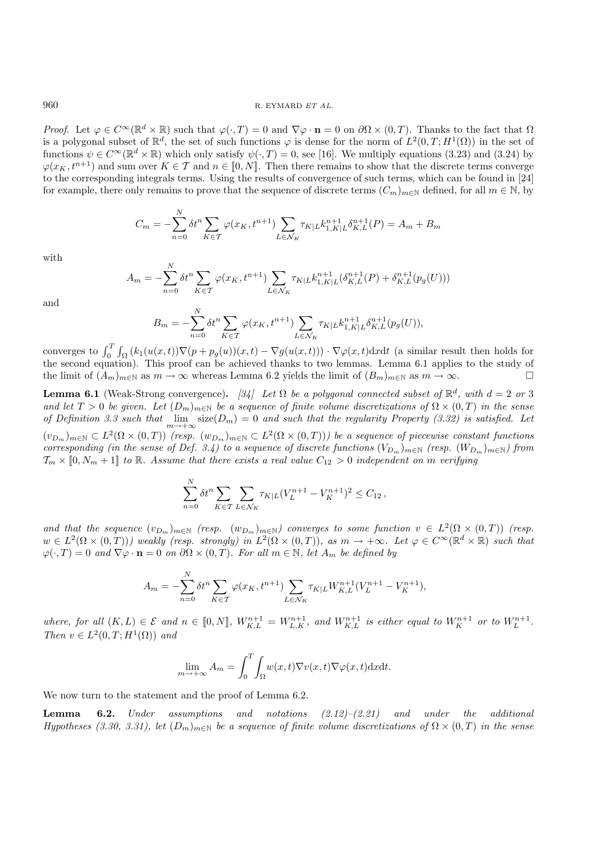*Proof.* Let  $\varphi \in C^{\infty}(\mathbb{R}^d \times \mathbb{R})$  such that  $\varphi(\cdot,T) = 0$  and  $\nabla \varphi \cdot \mathbf{n} = 0$  on  $\partial \Omega \times (0,T)$ . Thanks to the fact that  $\Omega$ is a polygonal subset of  $\mathbb{R}^d$ , the set of such functions  $\varphi$  is dense for the norm of  $L^2(0,T;H^1(\Omega))$  in the set of functions  $\psi \in C^{\infty}(\mathbb{R}^d \times \mathbb{R})$  which only satisfy  $\psi(\cdot, T) = 0$ , see [16]. We multiply equations (3.23) and (3.24) by  $\varphi(x_K, t^{n+1})$  and sum over  $K \in \mathcal{T}$  and  $n \in [0, N]$ . Then there remains to show that the discrete terms converge to the corresponding integrals terms. Using the results of convergence of such terms, which can be found in [24] for example, there only remains to prove that the sequence of discrete terms  $(C_m)_{m\in\mathbb{N}}$  defined, for all  $m\in\mathbb{N}$ , by

$$
C_m = -\sum_{n=0}^{N} \delta t^n \sum_{K \in \mathcal{T}} \varphi(x_K, t^{n+1}) \sum_{L \in \mathcal{N}_K} \tau_{K|L} k_{1, K|L}^{n+1} \delta_{K, L}^{n+1}(P) = A_m + B_m
$$

with

$$
A_m = -\sum_{n=0}^{N} \delta t^n \sum_{K \in \mathcal{T}} \varphi(x_K, t^{n+1}) \sum_{L \in \mathcal{N}_K} \tau_{K|L} k_{1,K|L}^{n+1} (\delta_{K,L}^{n+1}(P) + \delta_{K,L}^{n+1}(p_g(U)))
$$

and

$$
B_m = -\sum_{n=0}^{N} \delta t^n \sum_{K \in \mathcal{T}} \varphi(x_K, t^{n+1}) \sum_{L \in \mathcal{N}_K} \tau_{K|L} k_{1, K|L}^{n+1} \delta_{K, L}^{n+1}(p_g(U)),
$$

converges to  $\int_0^T \int_{\Omega} (k_1(u(x,t))\nabla(p+p_g(u))(x,t) - \nabla g(u(x,t))) \cdot \nabla \varphi(x,t) dxdt$  (a similar result then holds for the second equation). This proof can be achieved thanks to two lemmas. Lemma 6.1 applies to the study of the limit of  $(A_m)_{m\in\mathbb{N}}$  as  $m\to\infty$  whereas Lemma 6.2 yields the limit of  $(B_m)_{m\in\mathbb{N}}$  as  $m\to\infty$ .

**Lemma 6.1** (Weak-Strong convergence). [34] Let  $\Omega$  be a polygonal connected subset of  $\mathbb{R}^d$ , with  $d = 2$  or 3 and let  $T > 0$  be given. Let  $(D_m)_{m \in \mathbb{N}}$  be a sequence of finite volume discretizations of  $\Omega \times (0,T)$  in the sense *of Definition 3.3 such that*  $\lim_{m\to+\infty} \text{size}(D_m)=0$  *and such that the regularity Property (3.32) is satisfied. Let*  $(v_{D_m})_{m\in\mathbb{N}} \subset L^2(\Omega\times(0,T))$  *(resp.*  $(w_{D_m})_{m\in\mathbb{N}} \subset L^2(\Omega\times(0,T))$ ) be a sequence of piecewise constant functions *corresponding (in the sense of Def. 3.4) to a sequence of discrete functions*  $(V_{D_m})_{m\in\mathbb{N}}$  *(resp.*  $(W_{D_m})_{m\in\mathbb{N}}$ *) from*  $\mathcal{T}_m \times [0, N_m + 1]$  to R. Assume that there exists a real value  $C_{12} > 0$  independent on m verifying

$$
\sum_{n=0}^{N} \delta t^{n} \sum_{K \in \mathcal{T}} \sum_{L \in \mathcal{N}_{K}} \tau_{K|L} (V_{L}^{n+1} - V_{K}^{n+1})^{2} \leq C_{12},
$$

and that the sequence  $(v_{D_m})_{m\in\mathbb{N}}$  *(resp.*  $(w_{D_m})_{m\in\mathbb{N}}$ *)* converges to some function  $v \in L^2(\Omega \times (0,T))$  *(resp.*  $w \in L^2(\Omega \times (0,T))$ *)* weakly (resp. strongly) in  $L^2(\Omega \times (0,T))$ , as  $m \to +\infty$ . Let  $\varphi \in C^{\infty}(\mathbb{R}^d \times \mathbb{R})$  such that  $\varphi(\cdot,T) = 0$  *and*  $\nabla \varphi \cdot \mathbf{n} = 0$  *on*  $\partial \Omega \times (0,T)$ *. For all*  $m \in \mathbb{N}$ *, let*  $A_m$  *be defined by* 

$$
A_m = -\sum_{n=0}^{N} \delta t^n \sum_{K \in \mathcal{T}} \varphi(x_K, t^{n+1}) \sum_{L \in \mathcal{N}_K} \tau_{K|L} W_{K,L}^{n+1} (V_L^{n+1} - V_K^{n+1}),
$$

where, for all  $(K, L) \in \mathcal{E}$  and  $n \in [0, N]$ ,  $W_{K, L}^{n+1} = W_{L, K}^{n+1}$ , and  $W_{K, L}^{n+1}$  is either equal to  $W_{K}^{n+1}$  or to  $W_{L}^{n+1}$ . *Then*  $v \in L^2(0,T;H^1(\Omega))$  *and* 

$$
\lim_{m \to +\infty} A_m = \int_0^T \int_{\Omega} w(x, t) \nabla v(x, t) \nabla \varphi(x, t) \mathrm{d}x \mathrm{d}t.
$$

We now turn to the statement and the proof of Lemma 6.2.

 $\mathbf{v}$ 

**Lemma 6.2.** *Under assumptions and notations (2.12)–(2.21) and under the additional Hypotheses (3.30, 3.31), let*  $(D_m)_{m \in \mathbb{N}}$  *be a sequence of finite volume discretizations of*  $\Omega \times (0,T)$  *in the sense*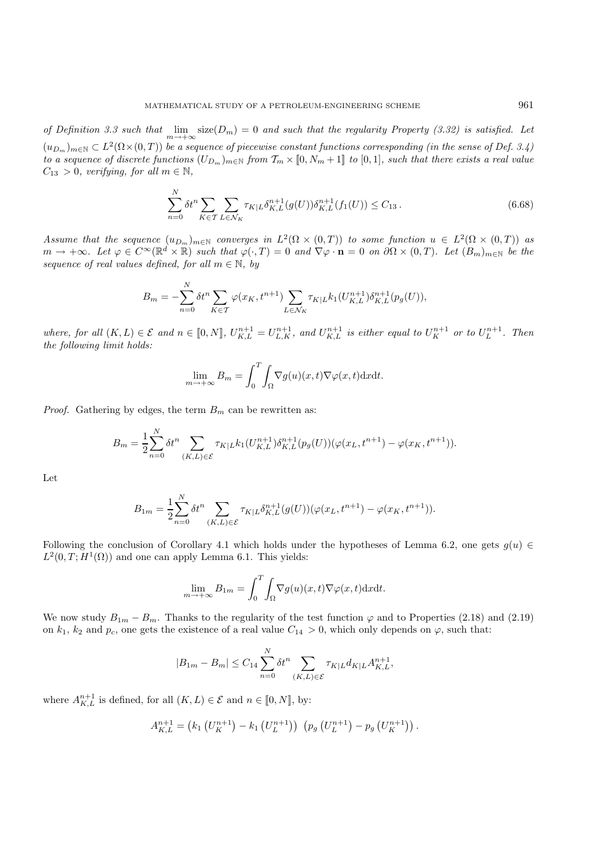*of Definition 3.3 such that*  $\lim_{m\to+\infty}$  size( $D_m$ ) = 0 *and such that the regularity Property (3.32) is satisfied. Let*  $(u_{D_m})_{m\in\mathbb{N}} \subset L^2(\Omega\times(0,T))$  be a sequence of piecewise constant functions corresponding (in the sense of Def. 3.4) *to a sequence of discrete functions*  $(U_{D_m})_{m \in \mathbb{N}}$  *from*  $\mathcal{T}_m \times [0, N_m + 1]$  *to*  $[0, 1]$ *, such that there exists a real value*  $C_{13} > 0$ *, verifying, for all*  $m \in \mathbb{N}$ *,* 

$$
\sum_{n=0}^{N} \delta t^n \sum_{K \in \mathcal{T}} \sum_{L \in \mathcal{N}_K} \tau_{K|L} \delta_{K,L}^{n+1}(g(U)) \delta_{K,L}^{n+1}(f_1(U)) \le C_{13} \,. \tag{6.68}
$$

*Assume that the sequence*  $(u_{D_m})_{m\in\mathbb{N}}$  *converges in*  $L^2(\Omega \times (0,T))$  *to some function*  $u \in L^2(\Omega \times (0,T))$  *as*  $m \to +\infty$ *. Let*  $\varphi \in C^{\infty}(\mathbb{R}^d \times \mathbb{R})$  *such that*  $\varphi(\cdot,T) = 0$  *and*  $\nabla \varphi \cdot \mathbf{n} = 0$  *on*  $\partial \Omega \times (0,T)$ *. Let*  $(B_m)_{m \in \mathbb{N}}$  *be the sequence of real values defined, for all*  $m \in \mathbb{N}$ *, by* 

$$
B_m = -\sum_{n=0}^{N} \delta t^n \sum_{K \in \mathcal{T}} \varphi(x_K, t^{n+1}) \sum_{L \in \mathcal{N}_K} \tau_{K|L} k_1(U_{K,L}^{n+1}) \delta_{K,L}^{n+1}(p_g(U)),
$$

where, for all  $(K, L) \in \mathcal{E}$  and  $n \in [0, N]$ ,  $U_{K,L}^{n+1} = U_{L,K}^{n+1}$ , and  $U_{K,L}^{n+1}$  is either equal to  $U_K^{n+1}$  or to  $U_L^{n+1}$ . Then *the following limit holds:*

$$
\lim_{m \to +\infty} B_m = \int_0^T \int_{\Omega} \nabla g(u)(x, t) \nabla \varphi(x, t) \mathrm{d}x \mathrm{d}t.
$$

*Proof.* Gathering by edges, the term  $B_m$  can be rewritten as:

$$
B_m = \frac{1}{2} \sum_{n=0}^{N} \delta t^n \sum_{(K,L) \in \mathcal{E}} \tau_{K|L} k_1(U_{K,L}^{n+1}) \delta_{K,L}^{n+1}(p_g(U)) (\varphi(x_L, t^{n+1}) - \varphi(x_K, t^{n+1})).
$$

Let

$$
B_{1m}=\frac{1}{2}\overset{N}{\underset{n=0}{\sum}}\delta t^n\sum_{(K,L)\in\mathcal{E}}\tau_{K|L}\delta^{n+1}_{K,L}(g(U))(\varphi(x_L,t^{n+1})-\varphi(x_K,t^{n+1})).
$$

Following the conclusion of Corollary 4.1 which holds under the hypotheses of Lemma 6.2, one gets  $q(u) \in$  $L^2(0,T;H^1(\Omega))$  and one can apply Lemma 6.1. This yields:

$$
\lim_{m \to +\infty} B_{1m} = \int_0^T \int_{\Omega} \nabla g(u)(x, t) \nabla \varphi(x, t) \mathrm{d}x \mathrm{d}t.
$$

We now study  $B_{1m} - B_m$ . Thanks to the regularity of the test function  $\varphi$  and to Properties (2.18) and (2.19) on  $k_1$ ,  $k_2$  and  $p_c$ , one gets the existence of a real value  $C_{14} > 0$ , which only depends on  $\varphi$ , such that:

$$
|B_{1m} - B_m| \le C_{14} \sum_{n=0}^{N} \delta t^n \sum_{(K,L) \in \mathcal{E}} \tau_{K|L} d_{K|L} A_{K,L}^{n+1},
$$

where  $A_{K,L}^{n+1}$  is defined, for all  $(K,L) \in \mathcal{E}$  and  $n \in [0,N]$ , by:

$$
A_{K,L}^{n+1} = (k_1 (U_K^{n+1}) - k_1 (U_L^{n+1})) (p_g (U_L^{n+1}) - p_g (U_K^{n+1})).
$$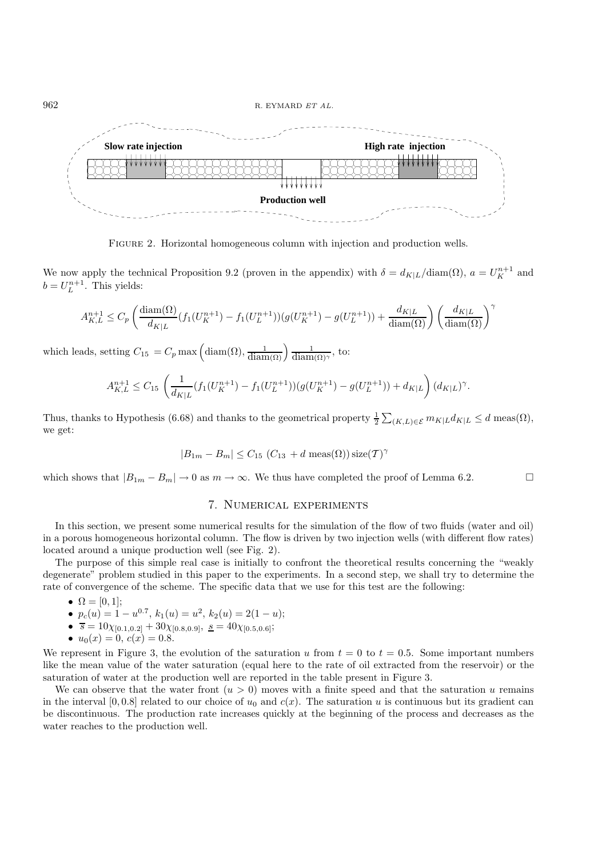

Figure 2. Horizontal homogeneous column with injection and production wells.

We now apply the technical Proposition 9.2 (proven in the appendix) with  $\delta = d_{K|L}/diam(\Omega)$ ,  $a = U_K^{n+1}$  and  $b = U_L^{n+1}$ . This yields:

$$
A_{K,L}^{n+1} \le C_p \left( \frac{\text{diam}(\Omega)}{d_{K|L}} (f_1(U_K^{n+1}) - f_1(U_L^{n+1})) (g(U_K^{n+1}) - g(U_L^{n+1})) + \frac{d_{K|L}}{\text{diam}(\Omega)} \right) \left( \frac{d_{K|L}}{\text{diam}(\Omega)} \right)^{\gamma}
$$

which leads, setting  $C_{15} = C_p \max\left(\text{diam}(\Omega), \frac{1}{\text{diam}(\Omega)}\right) \frac{1}{\text{diam}(\Omega)^{\gamma}}$ , to:

$$
A_{K,L}^{n+1} \le C_{15} \left( \frac{1}{d_{K|L}} (f_1(U_K^{n+1}) - f_1(U_L^{n+1})) (g(U_K^{n+1}) - g(U_L^{n+1})) + d_{K|L} \right) (d_{K|L})^{\gamma}.
$$

Thus, thanks to Hypothesis (6.68) and thanks to the geometrical property  $\frac{1}{2} \sum_{(K,L)\in\mathcal{E}} m_{K|L} d_{K|L} \leq d \text{ meas}(\Omega)$ , we get:

$$
|B_{1m} - B_m| \leq C_{15} (C_{13} + d \operatorname{meas}(\Omega)) \operatorname{size}(\mathcal{T})^{\gamma}
$$

which shows that  $|B_{1m} - B_m| \to 0$  as  $m \to \infty$ . We thus have completed the proof of Lemma 6.2.

# 7. Numerical experiments

In this section, we present some numerical results for the simulation of the flow of two fluids (water and oil) in a porous homogeneous horizontal column. The flow is driven by two injection wells (with different flow rates) located around a unique production well (see Fig. 2).

The purpose of this simple real case is initially to confront the theoretical results concerning the "weakly degenerate" problem studied in this paper to the experiments. In a second step, we shall try to determine the rate of convergence of the scheme. The specific data that we use for this test are the following:

- $\Omega = [0, 1];$
- $p_c(u) = 1 u^{0.7}, k_1(u) = u^2, k_2(u) = 2(1 u);$
- $\bar{s} = 10\chi_{[0.1, 0.2]} + 30\chi_{[0.8, 0.9]}, \underline{s} = 40\chi_{[0.5, 0.6]};$
- $u_0(x) = 0, c(x) = 0.8.$

We represent in Figure 3, the evolution of the saturation u from  $t = 0$  to  $t = 0.5$ . Some important numbers like the mean value of the water saturation (equal here to the rate of oil extracted from the reservoir) or the saturation of water at the production well are reported in the table present in Figure 3.

We can observe that the water front  $(u > 0)$  moves with a finite speed and that the saturation u remains in the interval [0, 0.8] related to our choice of  $u_0$  and  $c(x)$ . The saturation u is continuous but its gradient can be discontinuous. The production rate increases quickly at the beginning of the process and decreases as the water reaches to the production well.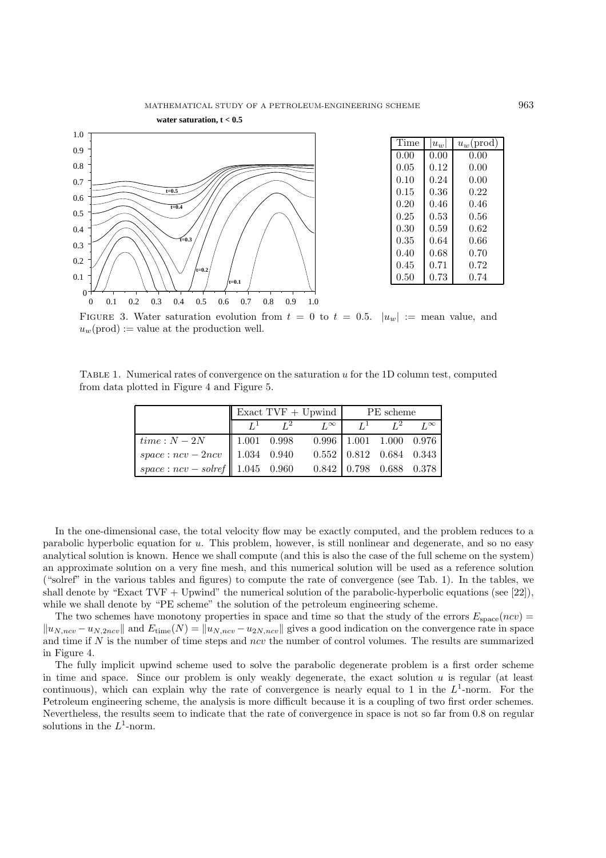

FIGURE 3. Water saturation evolution from  $t = 0$  to  $t = 0.5$ .  $|u_w| := \text{mean value}$ , and  $u_w$ (prod) := value at the production well.

TABLE 1. Numerical rates of convergence on the saturation  $u$  for the 1D column test, computed from data plotted in Figure 4 and Figure 5.

|                                                               | $\parallel$ Exact TVF + Upwind PE scheme |  |                                                   |  |  |  |
|---------------------------------------------------------------|------------------------------------------|--|---------------------------------------------------|--|--|--|
|                                                               |                                          |  | $L^1$ $L^2$ $L^{\infty}$ $L^1$ $L^2$ $L^{\infty}$ |  |  |  |
| $time: N-2N$   1.001 0.998 0.996   1.001 1.000 0.976          |                                          |  |                                                   |  |  |  |
| space: $ncv - 2ncv$   1.034 0.940 0.552 0.812 0.684 0.343     |                                          |  |                                                   |  |  |  |
| space: $ncv - solref$   1.045 0.960 0.842   0.798 0.688 0.378 |                                          |  |                                                   |  |  |  |

In the one-dimensional case, the total velocity flow may be exactly computed, and the problem reduces to a parabolic hyperbolic equation for u. This problem, however, is still nonlinear and degenerate, and so no easy analytical solution is known. Hence we shall compute (and this is also the case of the full scheme on the system) an approximate solution on a very fine mesh, and this numerical solution will be used as a reference solution ("solref" in the various tables and figures) to compute the rate of convergence (see Tab. 1). In the tables, we shall denote by "Exact  $TVF + Upwind$ " the numerical solution of the parabolic-hyperbolic equations (see [22]), while we shall denote by "PE scheme" the solution of the petroleum engineering scheme.

The two schemes have monotony properties in space and time so that the study of the errors  $E_{\text{space}}(ncv)$  =  $||u_{N,ncv} - u_{N,2ncv}||$  and  $E_{time}(N) = ||u_{N,ncv} - u_{2N,ncv}||$  gives a good indication on the convergence rate in space and time if  $N$  is the number of time steps and ncv the number of control volumes. The results are summarized in Figure 4.

The fully implicit upwind scheme used to solve the parabolic degenerate problem is a first order scheme in time and space. Since our problem is only weakly degenerate, the exact solution  $u$  is regular (at least continuous), which can explain why the rate of convergence is nearly equal to 1 in the  $L^1$ -norm. For the Petroleum engineering scheme, the analysis is more difficult because it is a coupling of two first order schemes. Nevertheless, the results seem to indicate that the rate of convergence in space is not so far from 0.8 on regular solutions in the  $L^1$ -norm.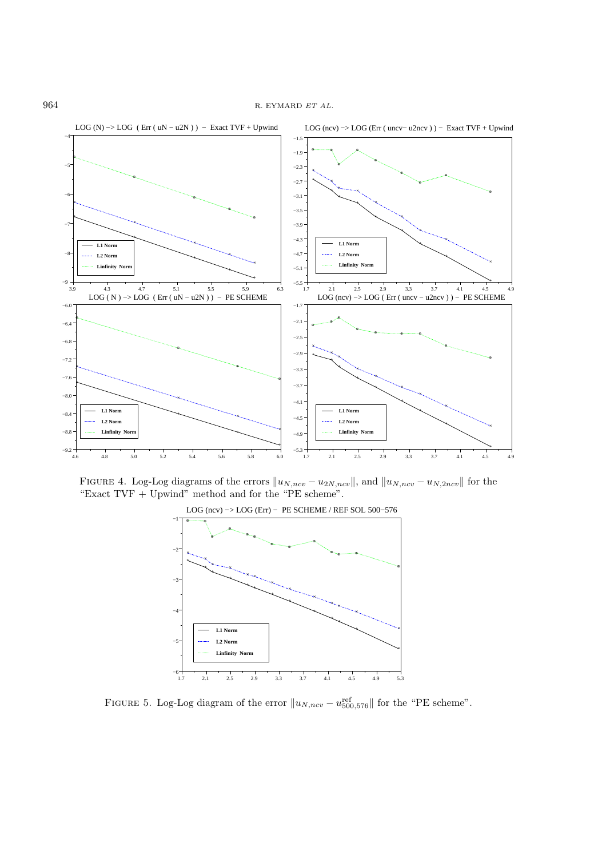

FIGURE 4. Log-Log diagrams of the errors  $||u_{N,ncv} - u_{2N,ncv}||$ , and  $||u_{N,ncv} - u_{N,2ncv}||$  for the "Exact  $TVF + Upwind$ " method and for the "PE scheme".



FIGURE 5. Log-Log diagram of the error  $||u_{N,ncv} - u_{500,576}^{ref}||$  for the "PE scheme".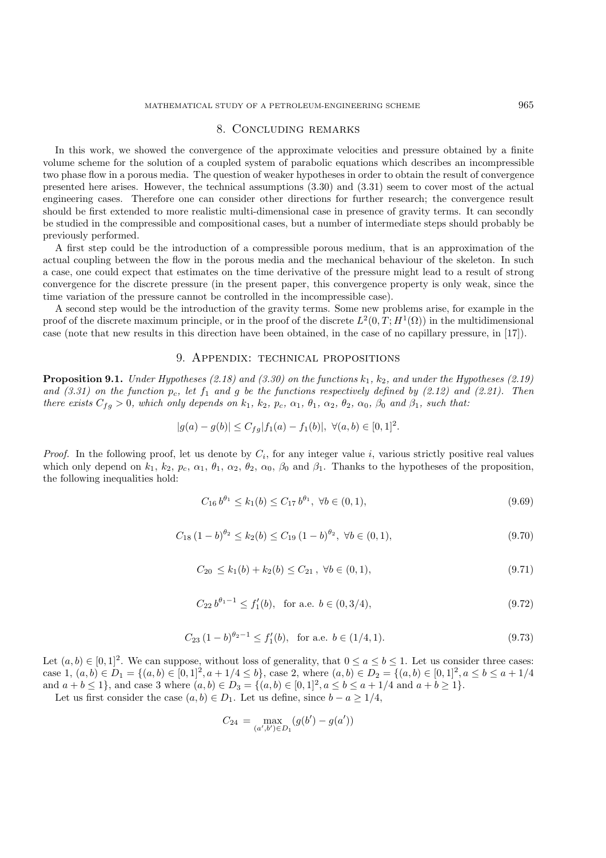### 8. Concluding remarks

In this work, we showed the convergence of the approximate velocities and pressure obtained by a finite volume scheme for the solution of a coupled system of parabolic equations which describes an incompressible two phase flow in a porous media. The question of weaker hypotheses in order to obtain the result of convergence presented here arises. However, the technical assumptions (3.30) and (3.31) seem to cover most of the actual engineering cases. Therefore one can consider other directions for further research; the convergence result should be first extended to more realistic multi-dimensional case in presence of gravity terms. It can secondly be studied in the compressible and compositional cases, but a number of intermediate steps should probably be previously performed.

A first step could be the introduction of a compressible porous medium, that is an approximation of the actual coupling between the flow in the porous media and the mechanical behaviour of the skeleton. In such a case, one could expect that estimates on the time derivative of the pressure might lead to a result of strong convergence for the discrete pressure (in the present paper, this convergence property is only weak, since the time variation of the pressure cannot be controlled in the incompressible case).

A second step would be the introduction of the gravity terms. Some new problems arise, for example in the proof of the discrete maximum principle, or in the proof of the discrete  $L^2(0,T; H^1(\Omega))$  in the multidimensional case (note that new results in this direction have been obtained, in the case of no capillary pressure, in [17]).

#### 9. Appendix: technical propositions

**Proposition 9.1.** *Under Hypotheses (2.18) and (3.30) on the functions*  $k_1$ ,  $k_2$ *, and under the Hypotheses (2.19)* and  $(3.31)$  on the function  $p_c$ , let  $f_1$  and  $g$  be the functions respectively defined by  $(2.12)$  and  $(2.21)$ . Then *there exists*  $C_{fg} > 0$ *, which only depends on*  $k_1$ *,*  $k_2$ *,*  $p_c$ *,*  $\alpha_1$ *,*  $\theta_1$ *,*  $\alpha_2$ *,*  $\theta_2$ *,*  $\alpha_0$ *,*  $\beta_0$  *and*  $\beta_1$ *, such that:* 

$$
|g(a) - g(b)| \le C_{fg} |f_1(a) - f_1(b)|, \ \forall (a, b) \in [0, 1]^2.
$$

*Proof.* In the following proof, let us denote by  $C_i$ , for any integer value i, various strictly positive real values which only depend on  $k_1$ ,  $k_2$ ,  $p_c$ ,  $\alpha_1$ ,  $\theta_1$ ,  $\alpha_2$ ,  $\theta_2$ ,  $\alpha_0$ ,  $\beta_0$  and  $\beta_1$ . Thanks to the hypotheses of the proposition, the following inequalities hold:

$$
C_{16}b^{\theta_1} \le k_1(b) \le C_{17}b^{\theta_1}, \ \forall b \in (0,1), \tag{9.69}
$$

$$
C_{18} (1 - b)^{\theta_2} \le k_2(b) \le C_{19} (1 - b)^{\theta_2}, \ \forall b \in (0, 1), \tag{9.70}
$$

$$
C_{20} \le k_1(b) + k_2(b) \le C_{21}, \ \forall b \in (0, 1), \tag{9.71}
$$

$$
C_{22} b^{\theta_1 - 1} \le f'_1(b), \text{ for a.e. } b \in (0, 3/4), \tag{9.72}
$$

$$
C_{23} (1 - b)^{\theta_2 - 1} \le f_1'(b), \text{ for a.e. } b \in (1/4, 1). \tag{9.73}
$$

Let  $(a, b) \in [0, 1]^2$ . We can suppose, without loss of generality, that  $0 \le a \le b \le 1$ . Let us consider three cases: case 1,  $(a, b) \in D_1 = \{(a, b) \in [0, 1]^2, a + 1/4 \leq b\}$ , case 2, where  $(a, b) \in D_2 = \{(a, b) \in [0, 1]^2, a \leq b \leq a + 1/4\}$ and  $a + b \le 1$ , and case 3 where  $(a, b) \in D_3 = \{(a, b) \in [0, 1]^2, a \le b \le a + 1/4 \text{ and } a + b \ge 1\}.$ 

Let us first consider the case  $(a, b) \in D_1$ . Let us define, since  $b - a \geq 1/4$ ,

$$
C_{24} = \max_{(a',b') \in D_1} (g(b') - g(a'))
$$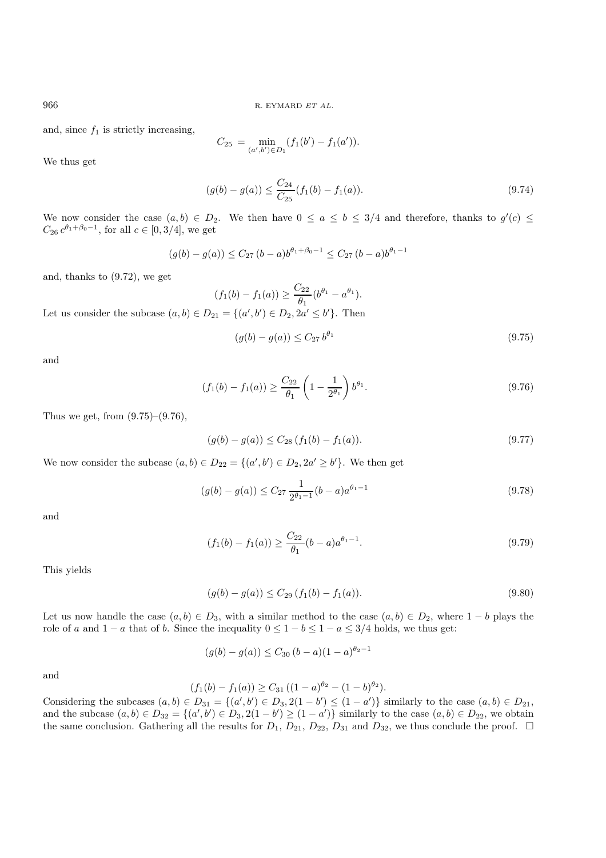and, since  $f_1$  is strictly increasing,

$$
C_{25} = \min_{(a',b') \in D_1} (f_1(b') - f_1(a')).
$$

We thus get

$$
(g(b) - g(a)) \le \frac{C_{24}}{C_{25}} (f_1(b) - f_1(a)).
$$
\n(9.74)

We now consider the case  $(a, b) \in D_2$ . We then have  $0 \le a \le b \le 3/4$  and therefore, thanks to  $g'(c) \le$  $C_{26} e^{\theta_1 + \beta_0 - 1}$ , for all  $c \in [0, 3/4]$ , we get

$$
(g(b) - g(a)) \le C_{27} (b - a)b^{\theta_1 + \beta_0 - 1} \le C_{27} (b - a)b^{\theta_1 - 1}
$$

and, thanks to (9.72), we get

 $(f_1(b) - f_1(a)) \geq \frac{C_{22}}{a}$  $\frac{\partial^2 2}{\partial y_1} (b^{\theta_1} - a^{\theta_1}).$ Let us consider the subcase  $(a, b) \in D_{21} = \{(a', b') \in D_2, 2a' \leq b'\}.$  Then

$$
(g(b) - g(a)) \le C_{27} b^{\theta_1} \tag{9.75}
$$

and

$$
(f_1(b) - f_1(a)) \ge \frac{C_{22}}{\theta_1} \left(1 - \frac{1}{2^{\theta_1}}\right) b^{\theta_1}.
$$
\n(9.76)

Thus we get, from  $(9.75)-(9.76)$ ,

$$
(g(b) - g(a)) \le C_{28} \left( f_1(b) - f_1(a) \right). \tag{9.77}
$$

We now consider the subcase  $(a, b) \in D_{22} = \{(a', b') \in D_2, 2a' \ge b'\}.$  We then get

$$
(g(b) - g(a)) \le C_{27} \frac{1}{2^{\theta_1 - 1}} (b - a) a^{\theta_1 - 1}
$$
\n(9.78)

and

$$
(f_1(b) - f_1(a)) \ge \frac{C_{22}}{\theta_1}(b-a)a^{\theta_1 - 1}.
$$
\n(9.79)

This yields

$$
(g(b) - g(a)) \le C_{29} \left( f_1(b) - f_1(a) \right). \tag{9.80}
$$

Let us now handle the case  $(a, b) \in D_3$ , with a similar method to the case  $(a, b) \in D_2$ , where  $1 - b$  plays the role of a and  $1 - a$  that of b. Since the inequality  $0 \le 1 - b \le 1 - a \le 3/4$  holds, we thus get:

$$
(g(b) - g(a)) \le C_{30} (b - a)(1 - a)^{\theta_2 - 1}
$$

and

$$
(f_1(b) - f_1(a)) \ge C_{31} \left( (1-a)^{\theta_2} - (1-b)^{\theta_2} \right).
$$

Considering the subcases  $(a, b) \in D_{31} = \{(a', b') \in D_3, 2(1 - b') \leq (1 - a')\}$  similarly to the case  $(a, b) \in D_{21}$ , and the subcase  $(a, b) \in D_{32} = \{(a', b') \in D_3, 2(1 - b') \ge (1 - a')\}$  similarly to the case  $(a, b) \in D_{22}$ , we obtain the same conclusion. Gathering all the results for  $D_1$ ,  $D_{21}$ ,  $D_{22}$ ,  $D_{31}$  and  $D_{32}$ , we thus conclude the proof.  $\Box$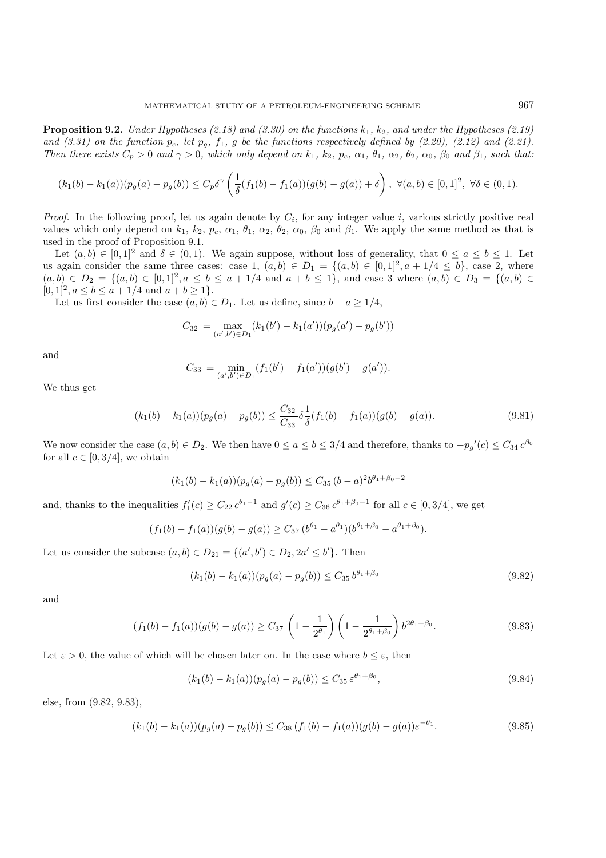**Proposition 9.2.** *Under Hypotheses (2.18) and (3.30) on the functions*  $k_1$ ,  $k_2$ , and under the Hypotheses (2.19) and  $(3.31)$  on the function  $p_c$ , let  $p_g$ ,  $f_1$ ,  $g$  be the functions respectively defined by  $(2.20)$ ,  $(2.12)$  and  $(2.21)$ . *Then there exists*  $C_p > 0$  *and*  $\gamma > 0$ *, which only depend on*  $k_1$ *,*  $k_2$ *,*  $p_c$ *,*  $\alpha_1$ *,*  $\theta_1$ *,*  $\alpha_2$ *,*  $\theta_2$ *,*  $\alpha_0$ *,*  $\beta_0$  *and*  $\beta_1$ *, such that:* 

$$
(k_1(b) - k_1(a))(p_g(a) - p_g(b)) \le C_p \delta^{\gamma} \left(\frac{1}{\delta}(f_1(b) - f_1(a))(g(b) - g(a)) + \delta\right), \ \forall (a, b) \in [0, 1]^2, \ \forall \delta \in (0, 1).
$$

*Proof.* In the following proof, let us again denote by  $C_i$ , for any integer value i, various strictly positive real values which only depend on  $k_1$ ,  $k_2$ ,  $p_c$ ,  $\alpha_1$ ,  $\theta_1$ ,  $\alpha_2$ ,  $\theta_2$ ,  $\alpha_0$ ,  $\beta_0$  and  $\beta_1$ . We apply the same method as that is used in the proof of Proposition 9.1.

Let  $(a, b) \in [0, 1]^2$  and  $\delta \in (0, 1)$ . We again suppose, without loss of generality, that  $0 \le a \le b \le 1$ . Let us again consider the same three cases: case 1,  $(a, b) \in D_1 = \{(a, b) \in [0, 1]^2, a + 1/4 \leq b\}$ , case 2, where  $(a, b) \in D_2 = \{(a, b) \in [0, 1]^2, a \leq b \leq a + 1/4 \text{ and } a + b \leq 1\}$ , and case 3 where  $(a, b) \in D_3 = \{(a, b) \in D_4\}$  $[0, 1]^2, a \le b \le a + 1/4 \text{ and } a + b \ge 1$ .

Let us first consider the case  $(a, b) \in D_1$ . Let us define, since  $b - a \geq 1/4$ ,

$$
C_{32} = \max_{(a',b') \in D_1} (k_1(b') - k_1(a'))(p_g(a') - p_g(b'))
$$

and

$$
C_{33} = \min_{(a',b') \in D_1} (f_1(b') - f_1(a'))(g(b') - g(a')).
$$

We thus get

$$
(k_1(b) - k_1(a))(p_g(a) - p_g(b)) \le \frac{C_{32}}{C_{33}} \delta \frac{1}{\delta} (f_1(b) - f_1(a))(g(b) - g(a)).
$$
\n(9.81)

We now consider the case  $(a, b) \in D_2$ . We then have  $0 \le a \le b \le 3/4$  and therefore, thanks to  $-p_g'(c) \le C_{34} c^{\beta_0}$ for all  $c \in [0, 3/4]$ , we obtain

$$
(k_1(b) - k_1(a))(p_g(a) - p_g(b)) \le C_{35} (b - a)^2 b^{\theta_1 + \beta_0 - 2}
$$

and, thanks to the inequalities  $f_1'(c) \geq C_{22} c^{\theta_1 - 1}$  and  $g'(c) \geq C_{36} c^{\theta_1 + \beta_0 - 1}$  for all  $c \in [0, 3/4]$ , we get

$$
(f_1(b) - f_1(a))(g(b) - g(a)) \geq C_{37} (b^{\theta_1} - a^{\theta_1})(b^{\theta_1 + \beta_0} - a^{\theta_1 + \beta_0}).
$$

Let us consider the subcase  $(a, b) \in D_{21} = \{(a', b') \in D_2, 2a' \leq b'\}.$  Then

$$
(k_1(b) - k_1(a))(p_g(a) - p_g(b)) \le C_{35} b^{\theta_1 + \beta_0}
$$
\n(9.82)

and

$$
(f_1(b) - f_1(a))(g(b) - g(a)) \ge C_{37} \left(1 - \frac{1}{2^{\theta_1}}\right) \left(1 - \frac{1}{2^{\theta_1 + \beta_0}}\right) b^{2\theta_1 + \beta_0}.
$$
\n(9.83)

Let  $\varepsilon > 0$ , the value of which will be chosen later on. In the case where  $b \leq \varepsilon$ , then

$$
(k_1(b) - k_1(a))(p_g(a) - p_g(b)) \le C_{35} \varepsilon^{\theta_1 + \beta_0},\tag{9.84}
$$

else, from (9.82, 9.83),

$$
(k_1(b) - k_1(a))(p_g(a) - p_g(b)) \le C_{38} \left(f_1(b) - f_1(a)\right)(g(b) - g(a))\varepsilon^{-\theta_1}.
$$
\n(9.85)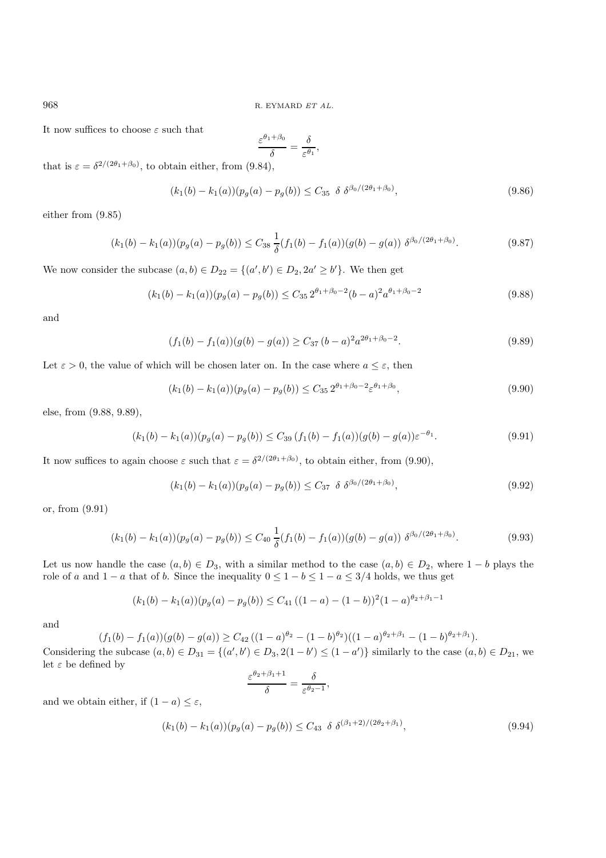It now suffices to choose  $\varepsilon$  such that

$$
\frac{\varepsilon^{\theta_1+\beta_0}}{\delta}=\frac{\delta}{\varepsilon^{\theta_1}},
$$

that is  $\varepsilon = \delta^{2/(2\theta_1 + \beta_0)}$ , to obtain either, from (9.84),

$$
(k_1(b) - k_1(a))(p_g(a) - p_g(b)) \le C_{35} \delta \delta^{3} \delta^{(2\theta_1 + \beta_0)}, \tag{9.86}
$$

either from (9.85)

$$
(k_1(b) - k_1(a))(p_g(a) - p_g(b)) \le C_{38} \frac{1}{\delta}(f_1(b) - f_1(a))(g(b) - g(a)) \delta^{\beta_0/(2\theta_1 + \beta_0)}.
$$
\n(9.87)

We now consider the subcase  $(a, b) \in D_{22} = \{(a', b') \in D_2, 2a' \ge b'\}.$  We then get

$$
(k_1(b) - k_1(a))(p_g(a) - p_g(b)) \le C_{35} 2^{\theta_1 + \beta_0 - 2} (b - a)^2 a^{\theta_1 + \beta_0 - 2}
$$
\n(9.88)

and

$$
(f_1(b) - f_1(a))(g(b) - g(a)) \ge C_{37} (b - a)^2 a^{2\theta_1 + \beta_0 - 2}.
$$
\n(9.89)

Let  $\varepsilon > 0$ , the value of which will be chosen later on. In the case where  $a \leq \varepsilon$ , then

$$
(k_1(b) - k_1(a))(p_g(a) - p_g(b)) \le C_{35} 2^{\theta_1 + \beta_0 - 2} \varepsilon^{\theta_1 + \beta_0},\tag{9.90}
$$

else, from (9.88, 9.89),

$$
(k_1(b) - k_1(a))(p_g(a) - p_g(b)) \le C_{39} \left(f_1(b) - f_1(a)\right)(g(b) - g(a))\varepsilon^{-\theta_1}.
$$
\n(9.91)

It now suffices to again choose  $\varepsilon$  such that  $\varepsilon = \delta^{2/(2\theta_1+\beta_0)}$ , to obtain either, from (9.90),

$$
(k_1(b) - k_1(a))(p_g(a) - p_g(b)) \le C_{37} \delta \delta^{\beta_0/(2\theta_1 + \beta_0)}, \tag{9.92}
$$

or, from (9.91)

$$
(k_1(b) - k_1(a))(p_g(a) - p_g(b)) \le C_{40} \frac{1}{\delta} (f_1(b) - f_1(a))(g(b) - g(a)) \delta^{\beta_0/(2\theta_1 + \beta_0)}.
$$
\n(9.93)

Let us now handle the case  $(a, b) \in D_3$ , with a similar method to the case  $(a, b) \in D_2$ , where  $1 - b$  plays the role of a and  $1 - a$  that of b. Since the inequality  $0 \le 1 - b \le 1 - a \le 3/4$  holds, we thus get

$$
(k_1(b) - k_1(a))(p_g(a) - p_g(b)) \le C_{41} ((1 - a) - (1 - b))^2 (1 - a)^{\theta_2 + \beta_1 - 1}
$$

and

$$
(f_1(b) - f_1(a))(g(b) - g(a)) \ge C_{42} \left( (1-a)^{\theta_2} - (1-b)^{\theta_2} \right) \left( (1-a)^{\theta_2 + \beta_1} - (1-b)^{\theta_2 + \beta_1} \right).
$$

Considering the subcase  $(a, b) \in D_{31} = \{(a', b') \in D_3, 2(1 - b') \le (1 - a')\}$  similarly to the case  $(a, b) \in D_{21}$ , we let  $\varepsilon$  be defined by

$$
\frac{\varepsilon^{\theta_2+\beta_1+1}}{\delta}=\frac{\delta}{\varepsilon^{\theta_2-1}},
$$

and we obtain either, if  $(1 - a) \leq \varepsilon$ ,

$$
(k_1(b) - k_1(a))(p_g(a) - p_g(b)) \le C_{43} \delta \delta^{(\beta_1 + 2)/(2\theta_2 + \beta_1)}, \tag{9.94}
$$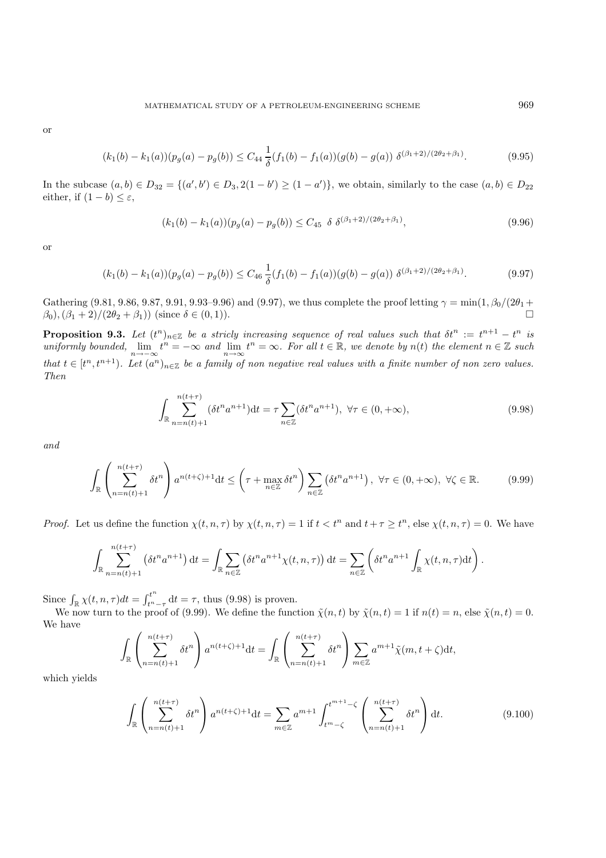$$
(k_1(b) - k_1(a))(p_g(a) - p_g(b)) \le C_{44} \frac{1}{\delta}(f_1(b) - f_1(a))(g(b) - g(a)) \delta^{(\beta_1 + 2)/(2\theta_2 + \beta_1)}.
$$
\n(9.95)

In the subcase  $(a, b) \in D_{32} = \{(a', b') \in D_3, 2(1 - b') \ge (1 - a')\}$ , we obtain, similarly to the case  $(a, b) \in D_{22}$ either, if  $(1 - b) \leq \varepsilon$ ,

$$
(k_1(b) - k_1(a))(p_g(a) - p_g(b)) \le C_{45} \delta \delta^{(\beta_1 + 2)/(2\theta_2 + \beta_1)}, \tag{9.96}
$$

or

$$
(k_1(b) - k_1(a))(p_g(a) - p_g(b)) \le C_{46} \frac{1}{\delta}(f_1(b) - f_1(a))(g(b) - g(a)) \delta^{(\beta_1 + 2)/(2\theta_2 + \beta_1)}.
$$
\n(9.97)

Gathering (9.81, 9.86, 9.87, 9.91, 9.93–9.96) and (9.97), we thus complete the proof letting  $\gamma = \min(1, \beta_0/(2\theta_1 +$  $\beta_0, (\beta_1 + 2)/(2\theta_2 + \beta_1)$  (since  $\delta \in (0, 1)$ ).

**Proposition 9.3.** Let  $(t^n)_{n\in\mathbb{Z}}$  be a stricly increasing sequence of real values such that  $\delta t^n := t^{n+1} - t^n$  is  $uniformly bounded, \lim_{n\to\infty} t^n = -\infty \text{ and } \lim_{n\to\infty} t^n = \infty.$  For all  $t \in \mathbb{R}$ , we denote by  $n(t)$  the element  $n \in \mathbb{Z}$  such *that*  $t \in [t^n, t^{n+1})$ *. Let*  $(a^n)_{n \in \mathbb{Z}}$  *be a family of non negative real values with a finite number of non zero values. Then*

$$
\int_{\mathbb{R}} \sum_{n=n(t)+1}^{n(t+\tau)} (\delta t^n a^{n+1}) dt = \tau \sum_{n \in \mathbb{Z}} (\delta t^n a^{n+1}), \ \forall \tau \in (0, +\infty),
$$
\n(9.98)

*and*

$$
\int_{\mathbb{R}} \left( \sum_{n=n(t)+1}^{n(t+\tau)} \delta t^n \right) a^{n(t+\zeta)+1} \mathrm{d}t \le \left( \tau + \max_{n \in \mathbb{Z}} \delta t^n \right) \sum_{n \in \mathbb{Z}} \left( \delta t^n a^{n+1} \right), \ \forall \tau \in (0, +\infty), \ \forall \zeta \in \mathbb{R}.
$$

*Proof.* Let us define the function  $\chi(t, n, \tau)$  by  $\chi(t, n, \tau) = 1$  if  $t < t^n$  and  $t + \tau \geq t^n$ , else  $\chi(t, n, \tau) = 0$ . We have

$$
\int_{\mathbb{R}} \sum_{n=n(t)+1}^{n(t+\tau)} \left(\delta t^n a^{n+1}\right) dt = \int_{\mathbb{R}} \sum_{n \in \mathbb{Z}} \left(\delta t^n a^{n+1} \chi(t,n,\tau)\right) dt = \sum_{n \in \mathbb{Z}} \left(\delta t^n a^{n+1} \int_{\mathbb{R}} \chi(t,n,\tau) dt\right).
$$

Since  $\int_{\mathbb{R}} \chi(t, n, \tau) dt = \int_{t^n-\tau}^{t^n} dt = \tau$ , thus (9.98) is proven.<br>We now turn to the proof of (9.99). We define the function  $\tilde{\chi}(n, t)$  by  $\tilde{\chi}(n, t) = 1$  if  $n(t) = n$ , else  $\tilde{\chi}(n, t) = 0$ .

We have

$$
\int_{\mathbb{R}} \left( \sum_{n=n(t)+1}^{n(t+\tau)} \delta t^n \right) a^{n(t+\zeta)+1} \mathrm{d}t = \int_{\mathbb{R}} \left( \sum_{n=n(t)+1}^{n(t+\tau)} \delta t^n \right) \sum_{m \in \mathbb{Z}} a^{m+1} \tilde{\chi}(m, t+\zeta) \mathrm{d}t,
$$

which yields

$$
\int_{\mathbb{R}} \left( \sum_{n=n(t)+1}^{n(t+\tau)} \delta t^n \right) a^{n(t+\zeta)+1} \mathrm{d}t = \sum_{m \in \mathbb{Z}} a^{m+1} \int_{t^m - \zeta}^{t^{m+1} - \zeta} \left( \sum_{n=n(t)+1}^{n(t+\tau)} \delta t^n \right) \mathrm{d}t. \tag{9.100}
$$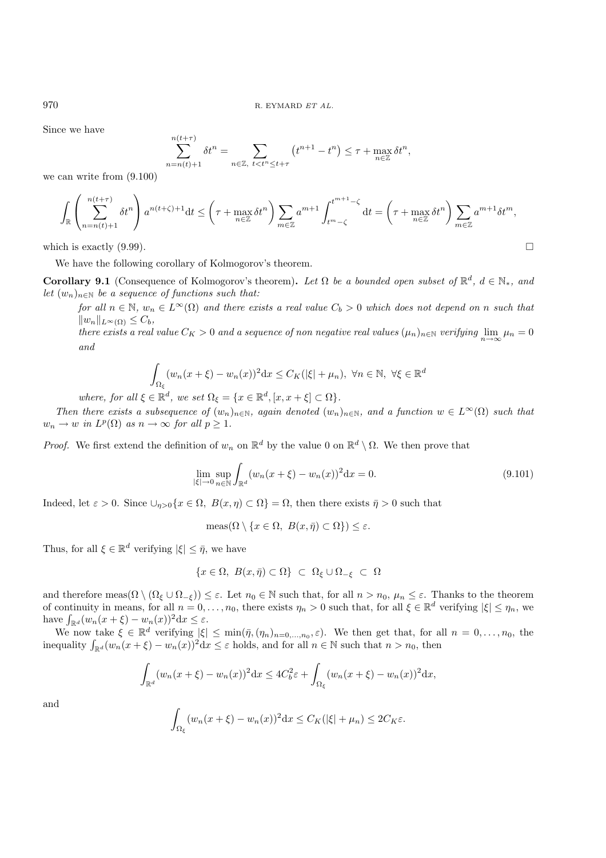Since we have

$$
\sum_{n=n(t)+1}^{n(t+\tau)} \delta t^n = \sum_{n \in \mathbb{Z}, \ t < t^n \leq t+\tau} \left( t^{n+1} - t^n \right) \leq \tau + \max_{n \in \mathbb{Z}} \delta t^n,
$$

we can write from (9.100)

$$
\int_{\mathbb{R}} \left( \sum_{n=n(t)+1}^{n(t+\tau)} \delta t^n \right) a^{n(t+\zeta)+1} \mathrm{d}t \le \left( \tau + \max_{n \in \mathbb{Z}} \delta t^n \right) \sum_{m \in \mathbb{Z}} a^{m+1} \int_{t^m - \zeta}^{t^{m+1} - \zeta} \mathrm{d}t = \left( \tau + \max_{n \in \mathbb{Z}} \delta t^n \right) \sum_{m \in \mathbb{Z}} a^{m+1} \delta t^m,
$$

which is exactly  $(9.99)$ .

We have the following corollary of Kolmogorov's theorem.

**Corollary 9.1** (Consequence of Kolmogorov's theorem). Let  $\Omega$  be a bounded open subset of  $\mathbb{R}^d$ ,  $d \in \mathbb{N}_*$ , and *let*  $(w_n)_{n \in \mathbb{N}}$  *be a sequence of functions such that:* 

*for all*  $n \in \mathbb{N}$ ,  $w_n \in L^{\infty}(\Omega)$  *and there exists a real value*  $C_b > 0$  *which does not depend on* n *such that*  $||w_n||_{L^{\infty}(\Omega)} \leq C_b$ 

*there exists a real value*  $C_K > 0$  *and a sequence of non negative real values*  $(\mu_n)_{n \in \mathbb{N}}$  *verifying* lim  $\mu_n = 0$ *and*

$$
\int_{\Omega_{\xi}} (w_n(x+\xi) - w_n(x))^2 dx \le C_K(|\xi| + \mu_n), \ \forall n \in \mathbb{N}, \ \forall \xi \in \mathbb{R}^d
$$

*where, for all*  $\xi \in \mathbb{R}^d$ *, we set*  $\Omega_{\xi} = \{x \in \mathbb{R}^d, [x, x + \xi] \subset \Omega\}$ *.* 

*Then there exists a subsequence of*  $(w_n)_{n\in\mathbb{N}}$ *, again denoted*  $(w_n)_{n\in\mathbb{N}}$ *, and a function*  $w \in L^{\infty}(\Omega)$  *such that*  $w_n \to w$  *in*  $L^p(\Omega)$  *as*  $n \to \infty$  *for all*  $p \geq 1$ *.* 

*Proof.* We first extend the definition of  $w_n$  on  $\mathbb{R}^d$  by the value 0 on  $\mathbb{R}^d \setminus \Omega$ . We then prove that

$$
\lim_{|\xi| \to 0} \sup_{n \in \mathbb{N}} \int_{\mathbb{R}^d} (w_n(x + \xi) - w_n(x))^2 dx = 0.
$$
\n(9.101)

Indeed, let  $\varepsilon > 0$ . Since  $\cup_{\eta>0} \{x \in \Omega, B(x,\eta) \subset \Omega\} = \Omega$ , then there exists  $\bar{\eta} > 0$  such that

$$
\operatorname{meas}(\Omega \setminus \{x \in \Omega, B(x, \bar{\eta}) \subset \Omega\}) \le \varepsilon.
$$

Thus, for all  $\xi \in \mathbb{R}^d$  verifying  $|\xi| \leq \bar{\eta}$ , we have

$$
\{x\in\Omega,\ B(x,\bar\eta)\subset\Omega\}\ \subset\ \Omega_\xi\cup\Omega_{-\xi}\ \subset\ \Omega
$$

and therefore meas $(\Omega \setminus (\Omega_{\xi} \cup \Omega_{-\xi})) \leq \varepsilon$ . Let  $n_0 \in \mathbb{N}$  such that, for all  $n>n_0$ ,  $\mu_n \leq \varepsilon$ . Thanks to the theorem of continuity in means, for all  $n = 0, \ldots, n_0$ , there exists  $\eta_n > 0$  such that, for all  $\xi \in \mathbb{R}^d$  verifying  $|\xi| \leq \eta_n$ , we have  $\int_{\mathbb{R}^d} (w_n(x+\xi) - w_n(x))^2 dx \leq \varepsilon$ .

We now take  $\xi \in \mathbb{R}^d$  verifying  $|\xi| \leq \min(\bar{\eta}, (\eta_n)_{n=0,\dots,n_0}, \varepsilon)$ . We then get that, for all  $n = 0,\dots,n_0$ , the inequality  $\int_{\mathbb{R}^d} (w_n(x+\xi) - w_n(x))^2 dx \leq \varepsilon$  holds, and for all  $n \in \mathbb{N}$  such that  $n > n_0$ , then

$$
\int_{\mathbb{R}^d} (w_n(x+\xi) - w_n(x))^2 dx \le 4C_b^2 \varepsilon + \int_{\Omega_\xi} (w_n(x+\xi) - w_n(x))^2 dx,
$$

and

$$
\int_{\Omega_{\xi}} (w_n(x+\xi) - w_n(x))^2 dx \le C_K(|\xi| + \mu_n) \le 2C_K \varepsilon.
$$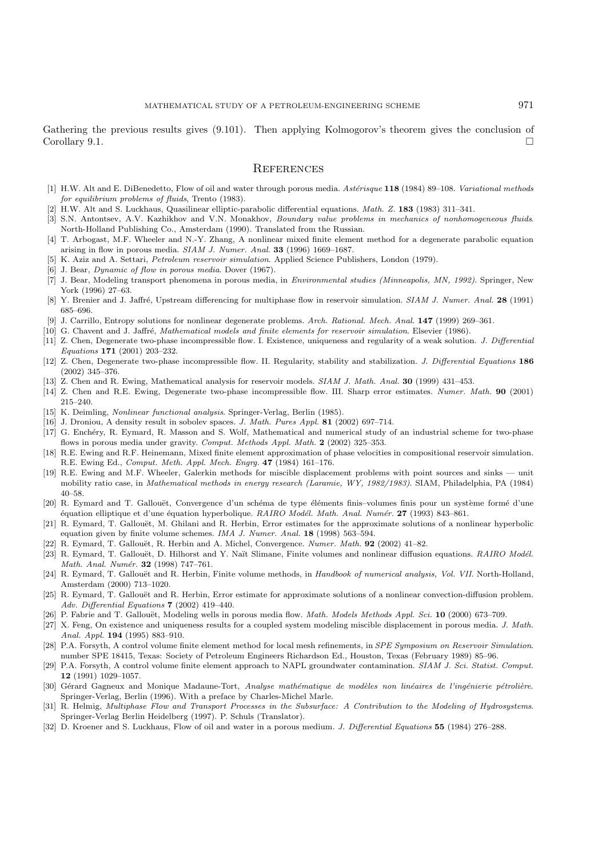Gathering the previous results gives (9.101). Then applying Kolmogorov's theorem gives the conclusion of Corollary 9.1.  $\Box$ 

### **REFERENCES**

- [1] H.W. Alt and E. DiBenedetto, Flow of oil and water through porous media. Astérisque 118 (1984) 89-108. Variational methods for equilibrium problems of fluids, Trento (1983).
- [2] H.W. Alt and S. Luckhaus, Quasilinear elliptic-parabolic differential equations. Math. Z. **183** (1983) 311–341.
- [3] S.N. Antontsev, A.V. Kazhikhov and V.N. Monakhov, Boundary value problems in mechanics of nonhomogeneous fluids. North-Holland Publishing Co., Amsterdam (1990). Translated from the Russian.
- [4] T. Arbogast, M.F. Wheeler and N.-Y. Zhang, A nonlinear mixed finite element method for a degenerate parabolic equation arising in flow in porous media. SIAM J. Numer. Anal. **33** (1996) 1669–1687.
- [5] K. Aziz and A. Settari, Petroleum reservoir simulation. Applied Science Publishers, London (1979).
- [6] J. Bear, Dynamic of flow in porous media. Dover (1967).
- [7] J. Bear, Modeling transport phenomena in porous media, in Environmental studies (Minneapolis, MN, 1992). Springer, New York (1996) 27–63.
- [8] Y. Brenier and J. Jaffré, Upstream differencing for multiphase flow in reservoir simulation. SIAM J. Numer. Anal. 28 (1991) 685–696.
- [9] J. Carrillo, Entropy solutions for nonlinear degenerate problems. Arch. Rational. Mech. Anal. **147** (1999) 269–361.
- [10] G. Chavent and J. Jaffré, Mathematical models and finite elements for reservoir simulation. Elsevier (1986).
- [11] Z. Chen, Degenerate two-phase incompressible flow. I. Existence, uniqueness and regularity of a weak solution. J. Differential Equations **171** (2001) 203–232.
- [12] Z. Chen, Degenerate two-phase incompressible flow. II. Regularity, stability and stabilization. J. Differential Equations **186** (2002) 345–376.
- [13] Z. Chen and R. Ewing, Mathematical analysis for reservoir models. SIAM J. Math. Anal. **30** (1999) 431–453.
- [14] Z. Chen and R.E. Ewing, Degenerate two-phase incompressible flow. III. Sharp error estimates. Numer. Math. **90** (2001) 215–240.
- [15] K. Deimling, Nonlinear functional analysis. Springer-Verlag, Berlin (1985).
- [16] J. Droniou, A density result in sobolev spaces. J. Math. Pures Appl. **81** (2002) 697–714.
- [17] G. Enchéry, R. Eymard, R. Masson and S. Wolf, Mathematical and numerical study of an industrial scheme for two-phase flows in porous media under gravity. Comput. Methods Appl. Math. **2** (2002) 325–353.
- [18] R.E. Ewing and R.F. Heinemann, Mixed finite element approximation of phase velocities in compositional reservoir simulation. R.E. Ewing Ed., Comput. Meth. Appl. Mech. Engrg. **47** (1984) 161–176.
- [19] R.E. Ewing and M.F. Wheeler, Galerkin methods for miscible displacement problems with point sources and sinks unit mobility ratio case, in Mathematical methods in energy research (Laramie, WY, 1982/1983). SIAM, Philadelphia, PA (1984) 40–58.
- [20] R. Eymard and T. Gallouët, Convergence d'un schéma de type éléments finis–volumes finis pour un système formé d'une ´equation elliptique et d'une ´equation hyperbolique. RAIRO Mod´el. Math. Anal. Num´er. **27** (1993) 843–861.
- [21] R. Eymard, T. Gallouët, M. Ghilani and R. Herbin, Error estimates for the approximate solutions of a nonlinear hyperbolic equation given by finite volume schemes. IMA J. Numer. Anal. **18** (1998) 563–594.
- [22] R. Eymard, T. Gallouët, R. Herbin and A. Michel, Convergence. Numer. Math. **92** (2002) 41–82.
- [23] R. Eymard, T. Gallouët, D. Hilhorst and Y. Naït Slimane, Finite volumes and nonlinear diffusion equations. RAIRO Modél. Math. Anal. Numér. **32** (1998) 747-761.
- [24] R. Eymard, T. Gallouët and R. Herbin, Finite volume methods, in Handbook of numerical analysis, Vol. VII. North-Holland, Amsterdam (2000) 713–1020.
- [25] R. Eymard, T. Gallouët and R. Herbin, Error estimate for approximate solutions of a nonlinear convection-diffusion problem. Adv. Differential Equations **7** (2002) 419–440.
- [26] P. Fabrie and T. Gallouët, Modeling wells in porous media flow. Math. Models Methods Appl. Sci. 10 (2000) 673–709.
- [27] X. Feng, On existence and uniqueness results for a coupled system modeling miscible displacement in porous media. J. Math. Anal. Appl. **194** (1995) 883–910.
- [28] P.A. Forsyth, A control volume finite element method for local mesh refinements, in SPE Symposium on Reservoir Simulation. number SPE 18415, Texas: Society of Petroleum Engineers Richardson Ed., Houston, Texas (February 1989) 85–96.
- [29] P.A. Forsyth, A control volume finite element approach to NAPL groundwater contamination. SIAM J. Sci. Statist. Comput. **12** (1991) 1029–1057.
- [30] Gérard Gagneux and Monique Madaune-Tort, Analyse mathématique de modèles non linéaires de l'ingénierie pétrolière. Springer-Verlag, Berlin (1996). With a preface by Charles-Michel Marle.
- [31] R. Helmig, Multiphase Flow and Transport Processes in the Subsurface: A Contribution to the Modeling of Hydrosystems. Springer-Verlag Berlin Heidelberg (1997). P. Schuls (Translator).
- [32] D. Kroener and S. Luckhaus, Flow of oil and water in a porous medium. J. Differential Equations **55** (1984) 276–288.